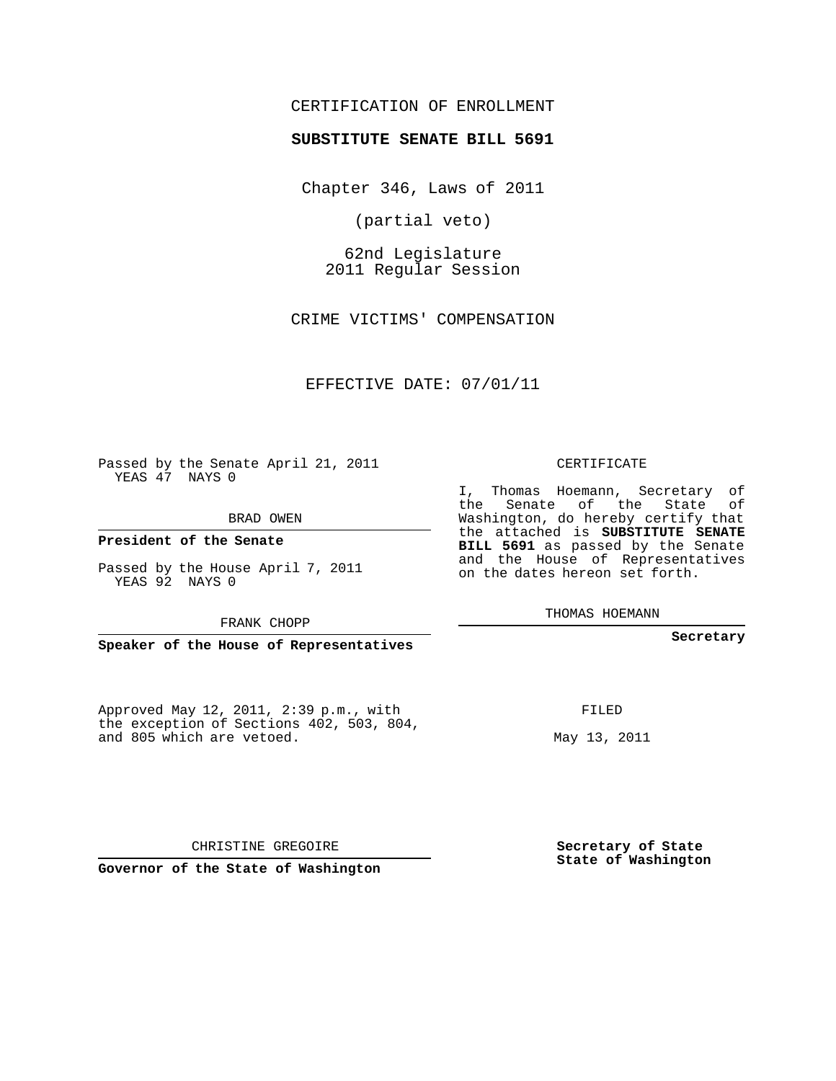### CERTIFICATION OF ENROLLMENT

#### **SUBSTITUTE SENATE BILL 5691**

Chapter 346, Laws of 2011

(partial veto)

62nd Legislature 2011 Regular Session

CRIME VICTIMS' COMPENSATION

#### EFFECTIVE DATE: 07/01/11

Passed by the Senate April 21, 2011 YEAS 47 NAYS 0

BRAD OWEN

**President of the Senate**

Passed by the House April 7, 2011 YEAS 92 NAYS 0

FRANK CHOPP

**Speaker of the House of Representatives**

Approved May 12, 2011, 2:39 p.m., with the exception of Sections 402, 503, 804, and 805 which are vetoed.

CERTIFICATE

I, Thomas Hoemann, Secretary of the Senate of the State of Washington, do hereby certify that the attached is **SUBSTITUTE SENATE BILL 5691** as passed by the Senate and the House of Representatives on the dates hereon set forth.

THOMAS HOEMANN

**Secretary**

FILED

May 13, 2011

**Secretary of State State of Washington**

CHRISTINE GREGOIRE

**Governor of the State of Washington**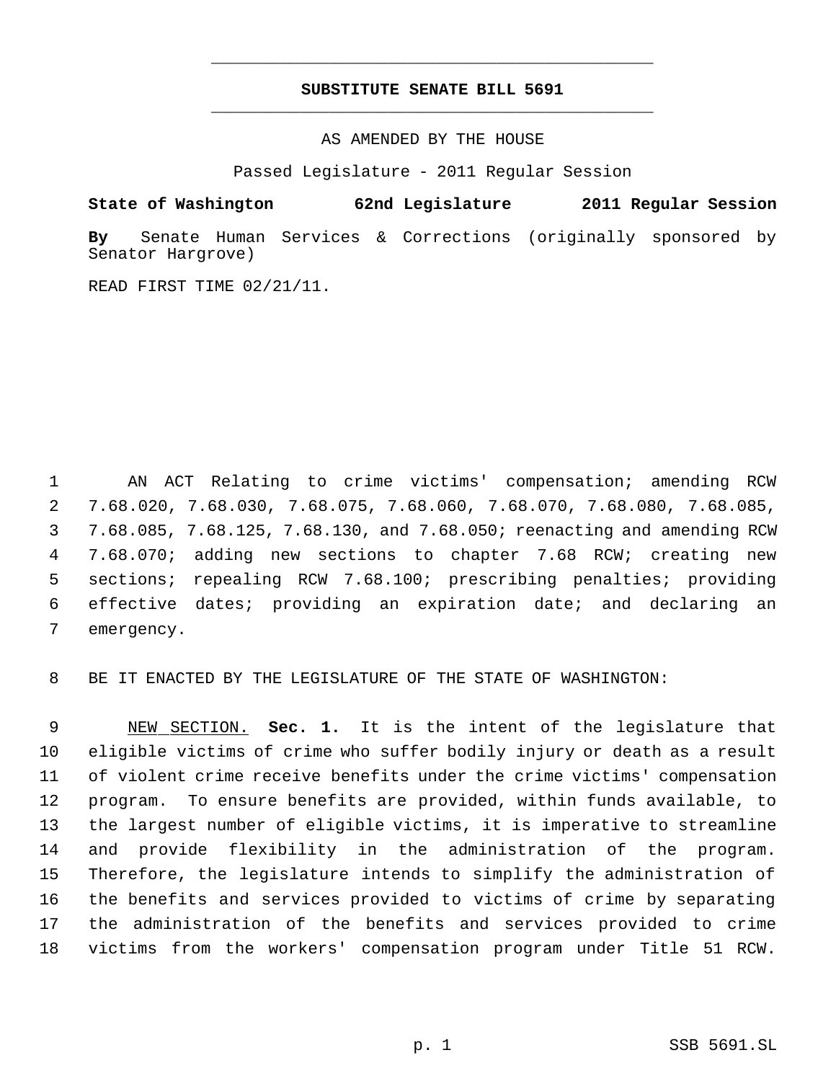### **SUBSTITUTE SENATE BILL 5691** \_\_\_\_\_\_\_\_\_\_\_\_\_\_\_\_\_\_\_\_\_\_\_\_\_\_\_\_\_\_\_\_\_\_\_\_\_\_\_\_\_\_\_\_\_

\_\_\_\_\_\_\_\_\_\_\_\_\_\_\_\_\_\_\_\_\_\_\_\_\_\_\_\_\_\_\_\_\_\_\_\_\_\_\_\_\_\_\_\_\_

AS AMENDED BY THE HOUSE

Passed Legislature - 2011 Regular Session

**State of Washington 62nd Legislature 2011 Regular Session**

**By** Senate Human Services & Corrections (originally sponsored by Senator Hargrove)

READ FIRST TIME 02/21/11.

 AN ACT Relating to crime victims' compensation; amending RCW 7.68.020, 7.68.030, 7.68.075, 7.68.060, 7.68.070, 7.68.080, 7.68.085, 7.68.085, 7.68.125, 7.68.130, and 7.68.050; reenacting and amending RCW 7.68.070; adding new sections to chapter 7.68 RCW; creating new sections; repealing RCW 7.68.100; prescribing penalties; providing effective dates; providing an expiration date; and declaring an emergency.

BE IT ENACTED BY THE LEGISLATURE OF THE STATE OF WASHINGTON:

 NEW SECTION. **Sec. 1.** It is the intent of the legislature that eligible victims of crime who suffer bodily injury or death as a result of violent crime receive benefits under the crime victims' compensation program. To ensure benefits are provided, within funds available, to the largest number of eligible victims, it is imperative to streamline and provide flexibility in the administration of the program. Therefore, the legislature intends to simplify the administration of the benefits and services provided to victims of crime by separating the administration of the benefits and services provided to crime victims from the workers' compensation program under Title 51 RCW.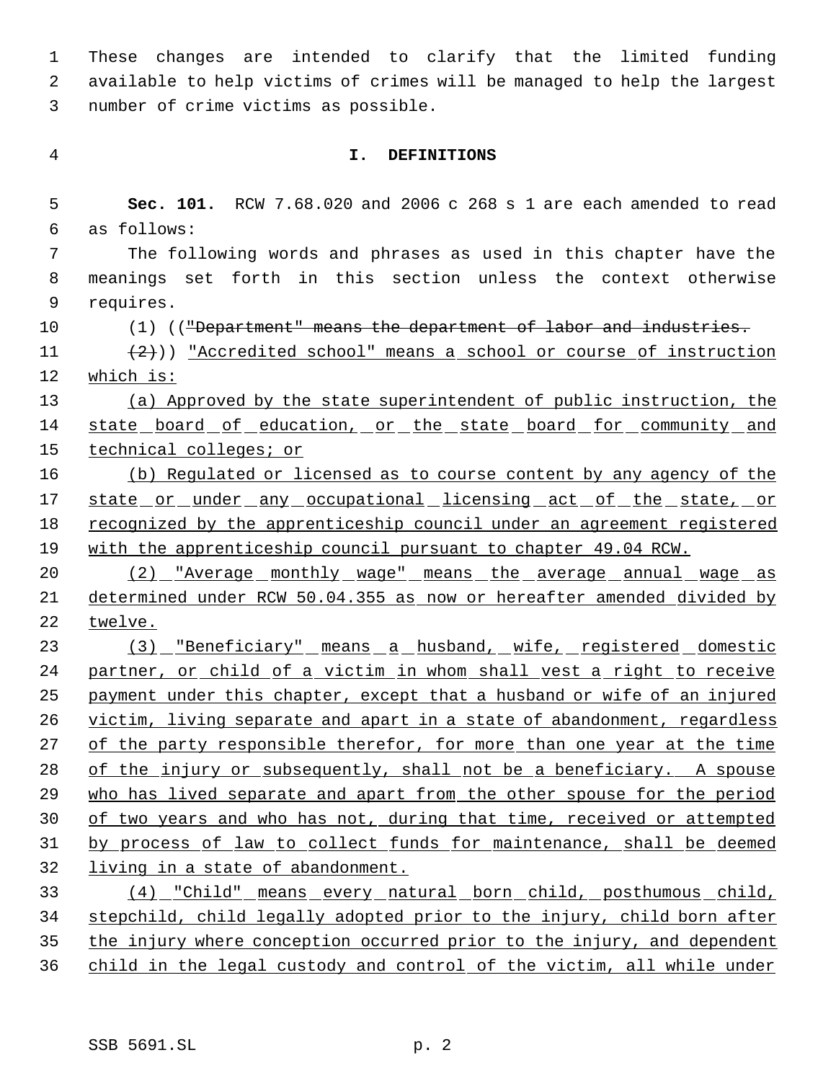These changes are intended to clarify that the limited funding available to help victims of crimes will be managed to help the largest number of crime victims as possible.

### **I. DEFINITIONS**

 **Sec. 101.** RCW 7.68.020 and 2006 c 268 s 1 are each amended to read as follows:

 The following words and phrases as used in this chapter have the meanings set forth in this section unless the context otherwise requires.

10 (1) (("Department" means the department of labor and industries.

11  $(2)$ )) "Accredited school" means a school or course of instruction which is:

 (a) Approved by the state superintendent of public instruction, the 14 state board of education, or the state board for community and technical colleges; or

 (b) Regulated or licensed as to course content by any agency of the 17 state or under any occupational licensing act of the state, or 18 recognized by the apprenticeship council under an agreement registered with the apprenticeship council pursuant to chapter 49.04 RCW.

20 (2) "Average monthly wage" means the average annual wage as determined under RCW 50.04.355 as now or hereafter amended divided by twelve.

 (3) "Beneficiary" means a husband, wife, registered domestic 24 partner, or child of a victim in whom shall vest a right to receive 25 payment under this chapter, except that a husband or wife of an injured 26 victim, living separate and apart in a state of abandonment, regardless of the party responsible therefor, for more than one year at the time 28 of the injury or subsequently, shall not be a beneficiary. A spouse 29 who has lived separate and apart from the other spouse for the period of two years and who has not, during that time, received or attempted by process of law to collect funds for maintenance, shall be deemed living in a state of abandonment.

 (4) "Child" means every natural born child, posthumous child, stepchild, child legally adopted prior to the injury, child born after 35 the injury where conception occurred prior to the injury, and dependent child in the legal custody and control of the victim, all while under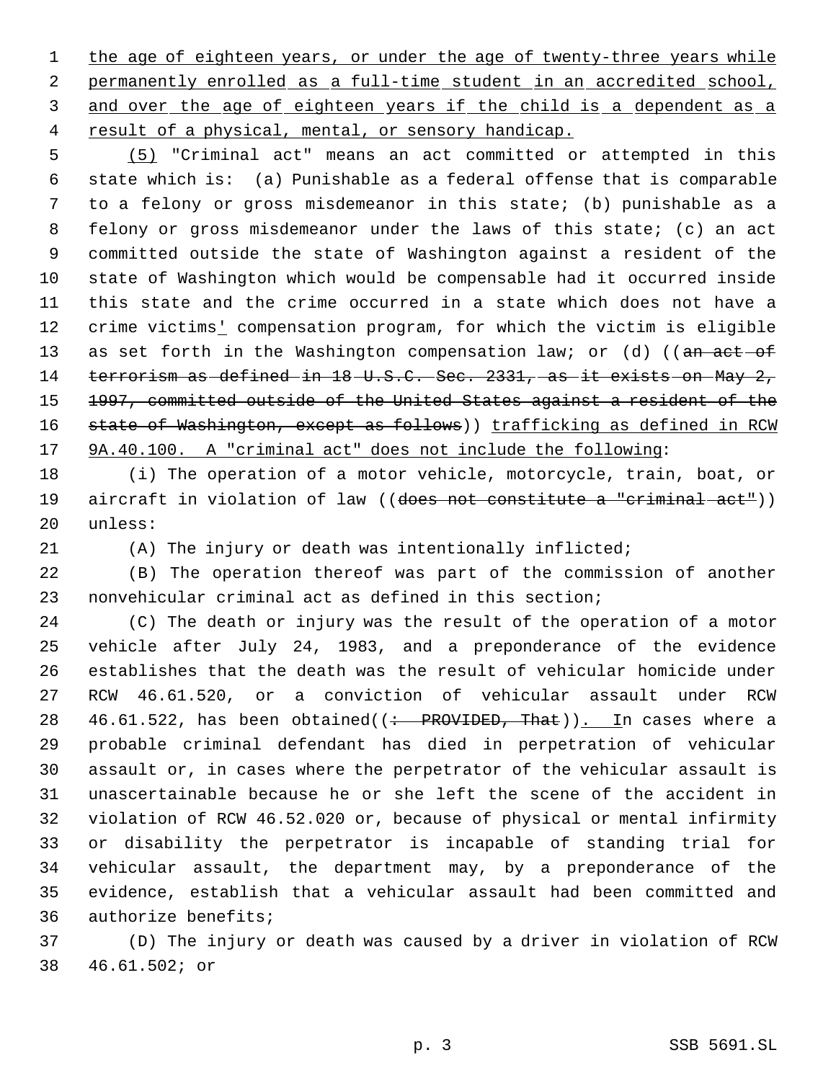1 the age of eighteen years, or under the age of twenty-three years while permanently enrolled as a full-time student in an accredited school, 3 and over the age of eighteen years if the child is a dependent as a 4 result of a physical, mental, or sensory handicap.

 (5) "Criminal act" means an act committed or attempted in this state which is: (a) Punishable as a federal offense that is comparable to a felony or gross misdemeanor in this state; (b) punishable as a felony or gross misdemeanor under the laws of this state; (c) an act committed outside the state of Washington against a resident of the state of Washington which would be compensable had it occurred inside this state and the crime occurred in a state which does not have a 12 crime victims' compensation program, for which the victim is eligible 13 as set forth in the Washington compensation law; or (d) ((an act-of terrorism as defined in 18 U.S.C. Sec. 2331, as it exists on May 2, 1997, committed outside of the United States against a resident of the 16 state of Washington, except as follows)) trafficking as defined in RCW 9A.40.100. A "criminal act" does not include the following:

 (i) The operation of a motor vehicle, motorcycle, train, boat, or 19 aircraft in violation of law ((does not constitute a "criminal act")) unless:

(A) The injury or death was intentionally inflicted;

 (B) The operation thereof was part of the commission of another nonvehicular criminal act as defined in this section;

 (C) The death or injury was the result of the operation of a motor vehicle after July 24, 1983, and a preponderance of the evidence establishes that the death was the result of vehicular homicide under RCW 46.61.520, or a conviction of vehicular assault under RCW 28 46.61.522, has been obtained( $\left($  : PROVIDED, That)). In cases where a probable criminal defendant has died in perpetration of vehicular assault or, in cases where the perpetrator of the vehicular assault is unascertainable because he or she left the scene of the accident in violation of RCW 46.52.020 or, because of physical or mental infirmity or disability the perpetrator is incapable of standing trial for vehicular assault, the department may, by a preponderance of the evidence, establish that a vehicular assault had been committed and authorize benefits;

 (D) The injury or death was caused by a driver in violation of RCW 46.61.502; or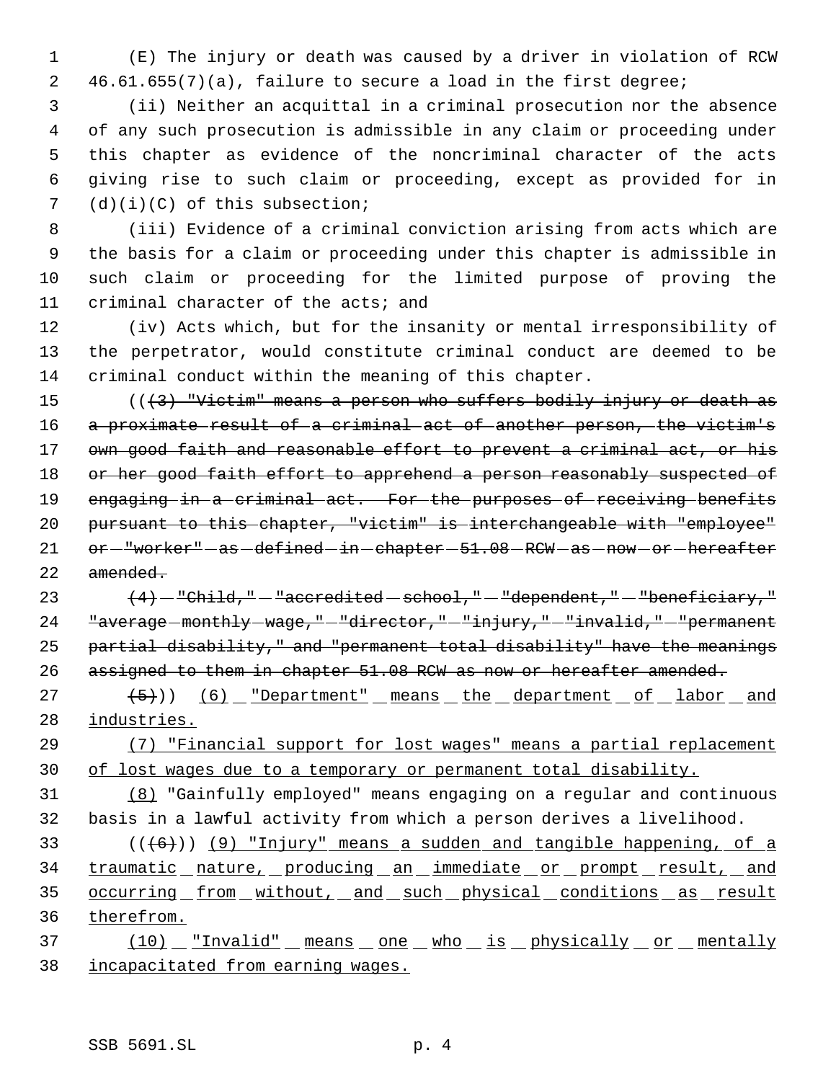(E) The injury or death was caused by a driver in violation of RCW 46.61.655(7)(a), failure to secure a load in the first degree;

 (ii) Neither an acquittal in a criminal prosecution nor the absence of any such prosecution is admissible in any claim or proceeding under this chapter as evidence of the noncriminal character of the acts giving rise to such claim or proceeding, except as provided for in (d)(i)(C) of this subsection;

 (iii) Evidence of a criminal conviction arising from acts which are the basis for a claim or proceeding under this chapter is admissible in such claim or proceeding for the limited purpose of proving the criminal character of the acts; and

 (iv) Acts which, but for the insanity or mental irresponsibility of the perpetrator, would constitute criminal conduct are deemed to be criminal conduct within the meaning of this chapter.

15  $((3)$  "Victim" means a person who suffers bodily injury or death as 16 a proximate result of a criminal act of another person, the victim's 17 own good faith and reasonable effort to prevent a criminal act, or his 18 or her good faith effort to apprehend a person reasonably suspected of 19 engaging in a criminal act. For the purposes of receiving benefits pursuant to this chapter, "victim" is interchangeable with "employee" 21 or  $-\frac{w}{\sqrt{C}}$  or  $\frac{w}{\sqrt{C}}$  as  $-\text{defined}-\text{in}-\text{chatter}-51.08$  RCW  $-\text{as}-\text{now}-\text{or}-\text{hereafter}$ amended.

 $(4)$  -"Child," -"accredited -school," -"dependent," -"beneficiary," "average monthly wage," "director," "injury," "invalid," "permanent partial disability," and "permanent total disability" have the meanings 26 assigned to them in chapter 51.08 RCW as now or hereafter amended.

 $(27 + (-5))$   $(6)$  "Department" means the department of labor and industries.

 (7) "Financial support for lost wages" means a partial replacement of lost wages due to a temporary or permanent total disability.

 (8) "Gainfully employed" means engaging on a regular and continuous basis in a lawful activity from which a person derives a livelihood.

 $(1+6)$ ) (9) "Injury" means a sudden and tangible happening, of a 34 traumatic nature, producing an immediate or prompt result, and 35 occurring from without, and such physical conditions as result therefrom.

37 (10) <u>"Invalid" means one who is physically or mentally</u> incapacitated from earning wages.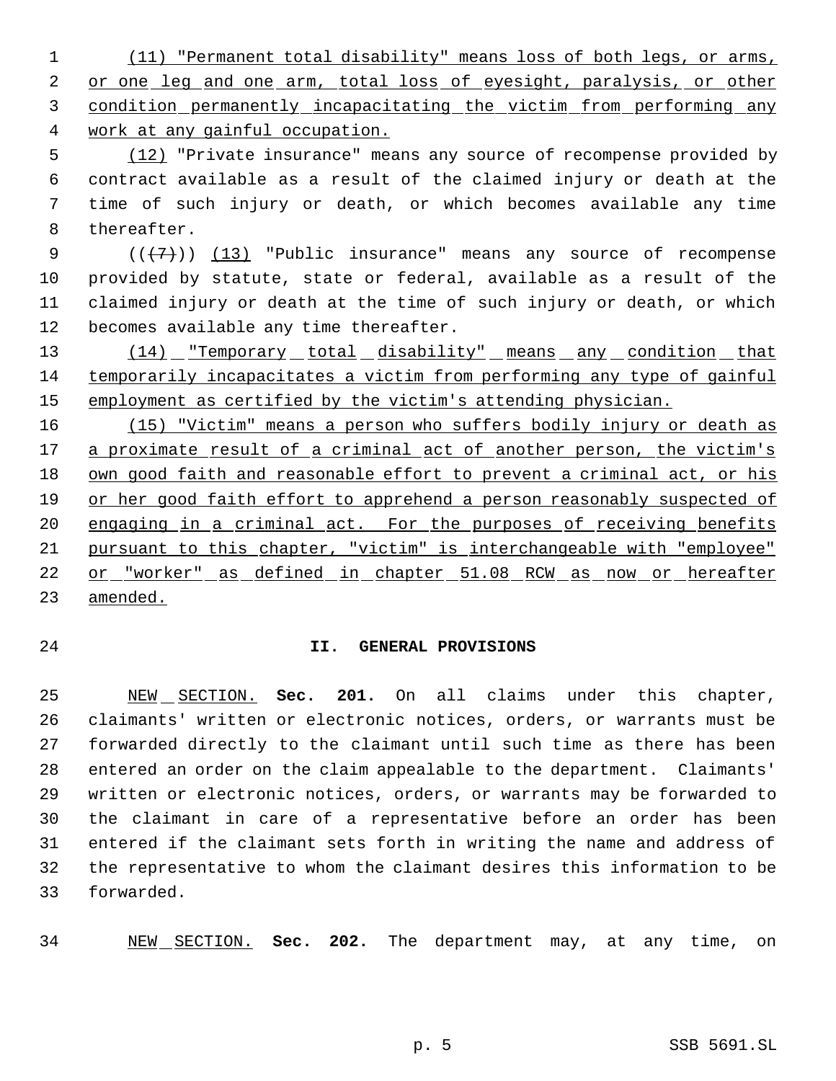(11) "Permanent total disability" means loss of both legs, or arms, 2 or one leg and one arm, total loss of eyesight, paralysis, or other condition permanently incapacitating the victim from performing any work at any gainful occupation.

 (12) "Private insurance" means any source of recompense provided by contract available as a result of the claimed injury or death at the time of such injury or death, or which becomes available any time thereafter.

 $((+7))$   $(13)$  "Public insurance" means any source of recompense provided by statute, state or federal, available as a result of the claimed injury or death at the time of such injury or death, or which becomes available any time thereafter.

13 (14) "Temporary total disability" means any condition that temporarily incapacitates a victim from performing any type of gainful 15 employment as certified by the victim's attending physician.

 (15) "Victim" means a person who suffers bodily injury or death as 17 a proximate result of a criminal act of another person, the victim's own good faith and reasonable effort to prevent a criminal act, or his or her good faith effort to apprehend a person reasonably suspected of 20 engaging in a criminal act. For the purposes of receiving benefits pursuant to this chapter, "victim" is interchangeable with "employee" or "worker" as defined in chapter 51.08 RCW as now or hereafter amended.

## **II. GENERAL PROVISIONS**

 NEW SECTION. **Sec. 201.** On all claims under this chapter, claimants' written or electronic notices, orders, or warrants must be forwarded directly to the claimant until such time as there has been entered an order on the claim appealable to the department. Claimants' written or electronic notices, orders, or warrants may be forwarded to the claimant in care of a representative before an order has been entered if the claimant sets forth in writing the name and address of the representative to whom the claimant desires this information to be forwarded.

NEW SECTION. **Sec. 202.** The department may, at any time, on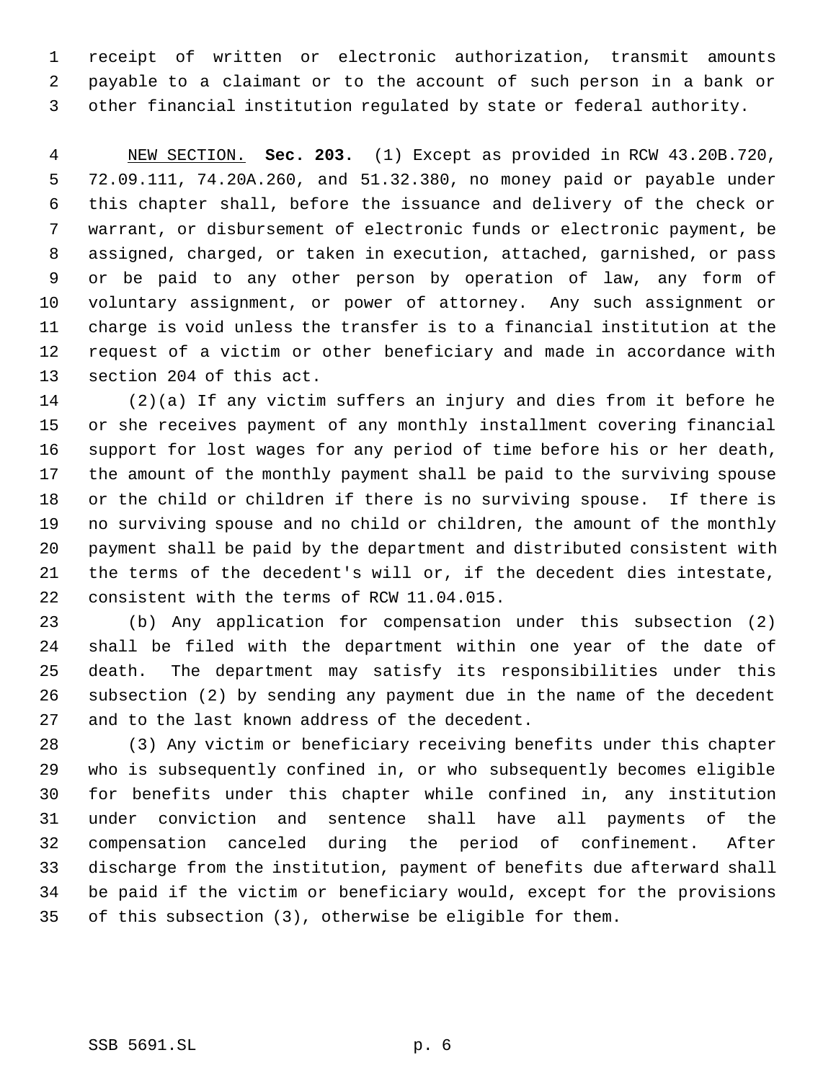receipt of written or electronic authorization, transmit amounts payable to a claimant or to the account of such person in a bank or other financial institution regulated by state or federal authority.

 NEW SECTION. **Sec. 203.** (1) Except as provided in RCW 43.20B.720, 72.09.111, 74.20A.260, and 51.32.380, no money paid or payable under this chapter shall, before the issuance and delivery of the check or warrant, or disbursement of electronic funds or electronic payment, be assigned, charged, or taken in execution, attached, garnished, or pass or be paid to any other person by operation of law, any form of voluntary assignment, or power of attorney. Any such assignment or charge is void unless the transfer is to a financial institution at the request of a victim or other beneficiary and made in accordance with section 204 of this act.

 (2)(a) If any victim suffers an injury and dies from it before he or she receives payment of any monthly installment covering financial support for lost wages for any period of time before his or her death, the amount of the monthly payment shall be paid to the surviving spouse or the child or children if there is no surviving spouse. If there is no surviving spouse and no child or children, the amount of the monthly payment shall be paid by the department and distributed consistent with the terms of the decedent's will or, if the decedent dies intestate, consistent with the terms of RCW 11.04.015.

 (b) Any application for compensation under this subsection (2) shall be filed with the department within one year of the date of death. The department may satisfy its responsibilities under this subsection (2) by sending any payment due in the name of the decedent and to the last known address of the decedent.

 (3) Any victim or beneficiary receiving benefits under this chapter who is subsequently confined in, or who subsequently becomes eligible for benefits under this chapter while confined in, any institution under conviction and sentence shall have all payments of the compensation canceled during the period of confinement. After discharge from the institution, payment of benefits due afterward shall be paid if the victim or beneficiary would, except for the provisions of this subsection (3), otherwise be eligible for them.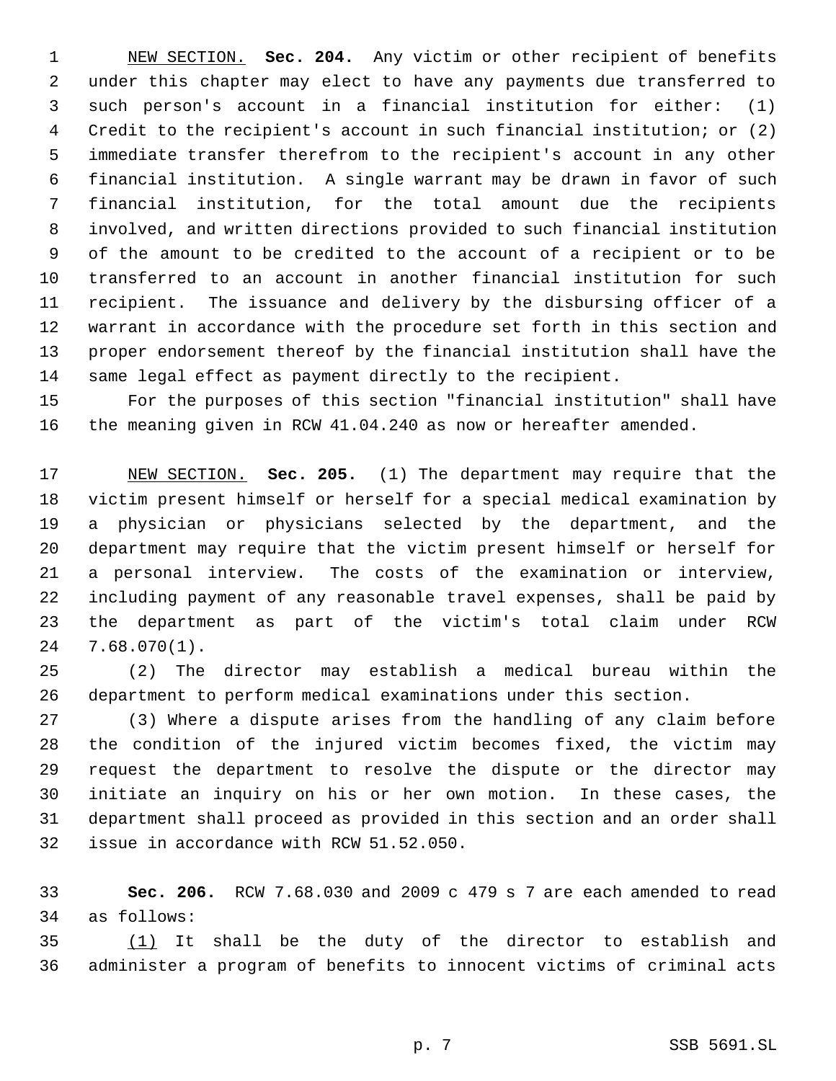NEW SECTION. **Sec. 204.** Any victim or other recipient of benefits under this chapter may elect to have any payments due transferred to such person's account in a financial institution for either: (1) Credit to the recipient's account in such financial institution; or (2) immediate transfer therefrom to the recipient's account in any other financial institution. A single warrant may be drawn in favor of such financial institution, for the total amount due the recipients involved, and written directions provided to such financial institution of the amount to be credited to the account of a recipient or to be transferred to an account in another financial institution for such recipient. The issuance and delivery by the disbursing officer of a warrant in accordance with the procedure set forth in this section and proper endorsement thereof by the financial institution shall have the same legal effect as payment directly to the recipient.

 For the purposes of this section "financial institution" shall have the meaning given in RCW 41.04.240 as now or hereafter amended.

 NEW SECTION. **Sec. 205.** (1) The department may require that the victim present himself or herself for a special medical examination by a physician or physicians selected by the department, and the department may require that the victim present himself or herself for a personal interview. The costs of the examination or interview, including payment of any reasonable travel expenses, shall be paid by the department as part of the victim's total claim under RCW 7.68.070(1).

 (2) The director may establish a medical bureau within the department to perform medical examinations under this section.

 (3) Where a dispute arises from the handling of any claim before the condition of the injured victim becomes fixed, the victim may request the department to resolve the dispute or the director may initiate an inquiry on his or her own motion. In these cases, the department shall proceed as provided in this section and an order shall issue in accordance with RCW 51.52.050.

 **Sec. 206.** RCW 7.68.030 and 2009 c 479 s 7 are each amended to read as follows:

 (1) It shall be the duty of the director to establish and administer a program of benefits to innocent victims of criminal acts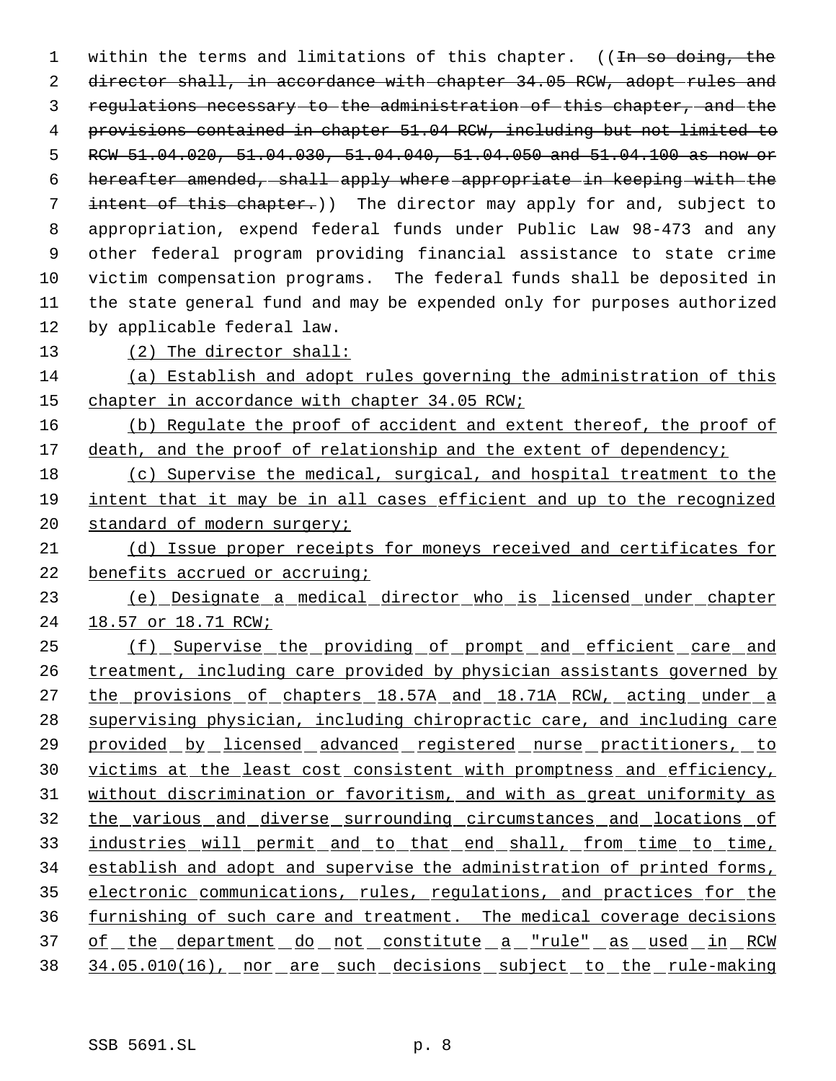1 within the terms and limitations of this chapter. ((In so doing, the 2 director shall, in accordance with chapter 34.05 RCW, adopt rules and regulations necessary to the administration of this chapter, and the provisions contained in chapter 51.04 RCW, including but not limited to RCW 51.04.020, 51.04.030, 51.04.040, 51.04.050 and 51.04.100 as now or hereafter amended, shall apply where appropriate in keeping with the intent of this chapter.)) The director may apply for and, subject to appropriation, expend federal funds under Public Law 98-473 and any other federal program providing financial assistance to state crime victim compensation programs. The federal funds shall be deposited in the state general fund and may be expended only for purposes authorized by applicable federal law. (2) The director shall:

 (a) Establish and adopt rules governing the administration of this 15 chapter in accordance with chapter 34.05 RCW;

 (b) Regulate the proof of accident and extent thereof, the proof of 17 death, and the proof of relationship and the extent of dependency;

 (c) Supervise the medical, surgical, and hospital treatment to the intent that it may be in all cases efficient and up to the recognized 20 standard of modern surgery;

 (d) Issue proper receipts for moneys received and certificates for 22 benefits accrued or accruing;

 (e) Designate a medical director who is licensed under chapter 18.57 or 18.71 RCW;

 (f) Supervise the providing of prompt and efficient care and 26 treatment, including care provided by physician assistants governed by 27 the provisions of chapters 18.57A and 18.71A RCW, acting under a supervising physician, including chiropractic care, and including care provided by licensed advanced registered nurse practitioners, to victims at the least cost consistent with promptness and efficiency, without discrimination or favoritism, and with as great uniformity as 32 the various and diverse surrounding circumstances and locations of industries will permit and to that end shall, from time to time, establish and adopt and supervise the administration of printed forms, electronic communications, rules, regulations, and practices for the furnishing of such care and treatment. The medical coverage decisions 37 of the department do not constitute a "rule" as used in RCW 38 34.05.010(16), nor are such decisions subject to the rule-making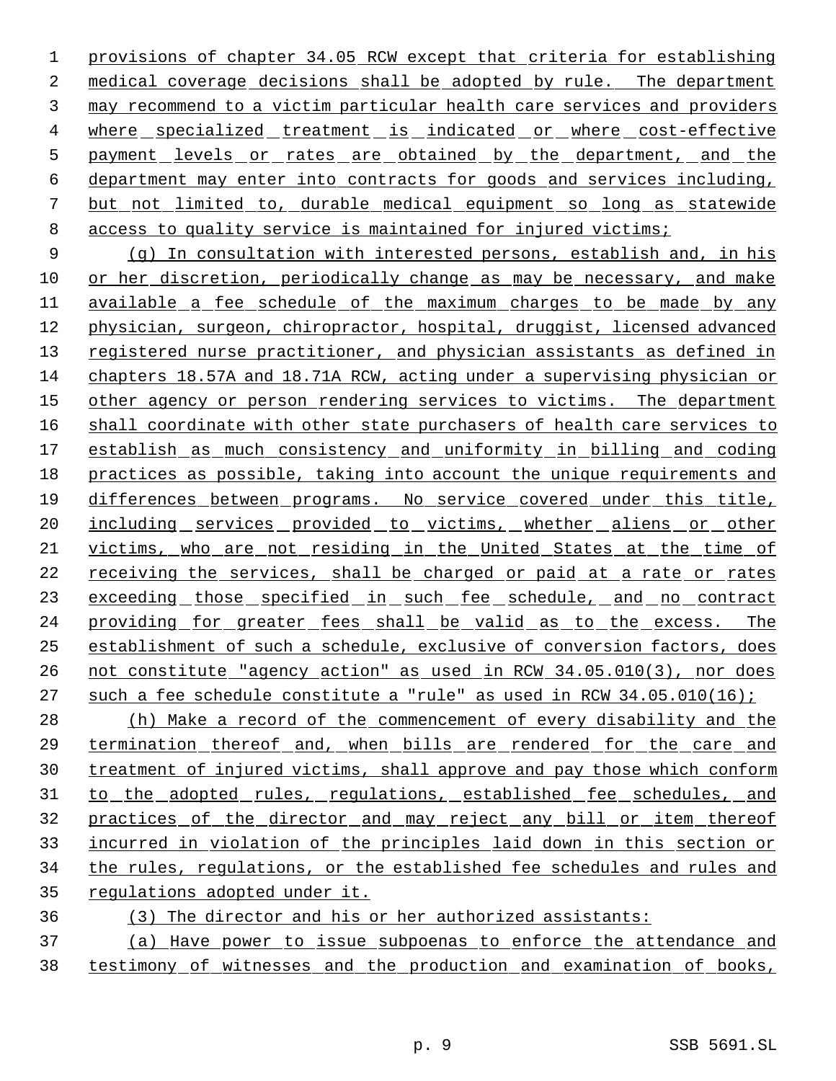provisions of chapter 34.05 RCW except that criteria for establishing medical coverage decisions shall be adopted by rule. The department may recommend to a victim particular health care services and providers 4 where specialized treatment is indicated or where cost-effective 5 payment levels or rates are obtained by the department, and the department may enter into contracts for goods and services including, but not limited to, durable medical equipment so long as statewide 8 access to quality service is maintained for injured victims;

 (g) In consultation with interested persons, establish and, in his or her discretion, periodically change as may be necessary, and make available a fee schedule of the maximum charges to be made by any physician, surgeon, chiropractor, hospital, druggist, licensed advanced 13 registered nurse practitioner, and physician assistants as defined in chapters 18.57A and 18.71A RCW, acting under a supervising physician or other agency or person rendering services to victims. The department shall coordinate with other state purchasers of health care services to establish as much consistency and uniformity in billing and coding practices as possible, taking into account the unique requirements and differences between programs. No service covered under this title, 20 <u>including services provided to victims, whether aliens or other</u> victims, who are not residing in the United States at the time of receiving the services, shall be charged or paid at a rate or rates 23 exceeding those specified in such fee schedule, and no contract providing for greater fees shall be valid as to the excess. The establishment of such a schedule, exclusive of conversion factors, does not constitute "agency action" as used in RCW 34.05.010(3), nor does 27 such a fee schedule constitute a "rule" as used in RCW 34.05.010(16);

 (h) Make a record of the commencement of every disability and the termination thereof and, when bills are rendered for the care and treatment of injured victims, shall approve and pay those which conform 31 to the adopted rules, regulations, established fee schedules, and practices of the director and may reject any bill or item thereof incurred in violation of the principles laid down in this section or the rules, regulations, or the established fee schedules and rules and regulations adopted under it.

(3) The director and his or her authorized assistants:

 (a) Have power to issue subpoenas to enforce the attendance and testimony of witnesses and the production and examination of books,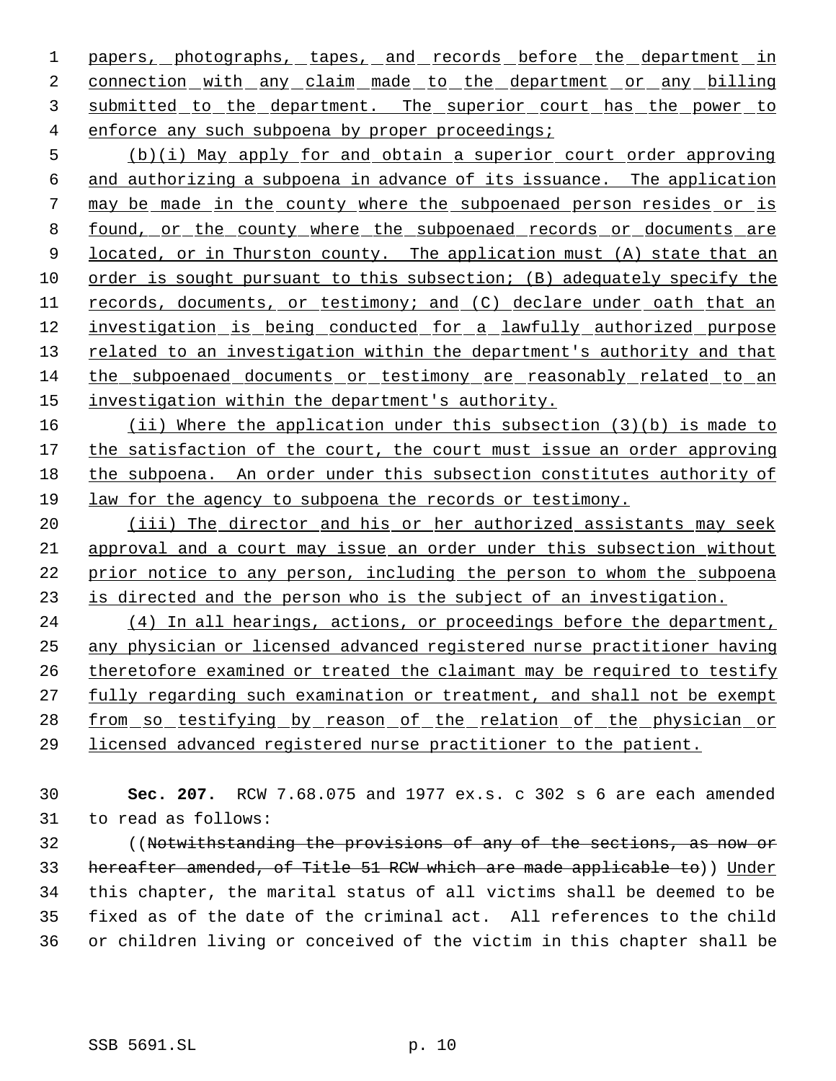1 papers, photographs, tapes, and records before the department in 2 connection with any claim made to the department or any billing submitted to the department. The superior court has the power to enforce any such subpoena by proper proceedings;

 (b)(i) May apply for and obtain a superior court order approving and authorizing a subpoena in advance of its issuance. The application may be made in the county where the subpoenaed person resides or is found, or the county where the subpoenaed records or documents are 9 located, or in Thurston county. The application must (A) state that an order is sought pursuant to this subsection; (B) adequately specify the records, documents, or testimony; and (C) declare under oath that an investigation is being conducted for a lawfully authorized purpose 13 related to an investigation within the department's authority and that the subpoenaed documents or testimony are reasonably related to an 15 investigation within the department's authority.

 (ii) Where the application under this subsection (3)(b) is made to 17 the satisfaction of the court, the court must issue an order approving the subpoena. An order under this subsection constitutes authority of law for the agency to subpoena the records or testimony.

20 (iii) The director and his or her authorized assistants may seek approval and a court may issue an order under this subsection without prior notice to any person, including the person to whom the subpoena is directed and the person who is the subject of an investigation.

24 (4) In all hearings, actions, or proceedings before the department, any physician or licensed advanced registered nurse practitioner having theretofore examined or treated the claimant may be required to testify fully regarding such examination or treatment, and shall not be exempt 28 from so testifying by reason of the relation of the physician or licensed advanced registered nurse practitioner to the patient.

 **Sec. 207.** RCW 7.68.075 and 1977 ex.s. c 302 s 6 are each amended to read as follows:

 ((Notwithstanding the provisions of any of the sections, as now or hereafter amended, of Title 51 RCW which are made applicable to)) Under this chapter, the marital status of all victims shall be deemed to be fixed as of the date of the criminal act. All references to the child or children living or conceived of the victim in this chapter shall be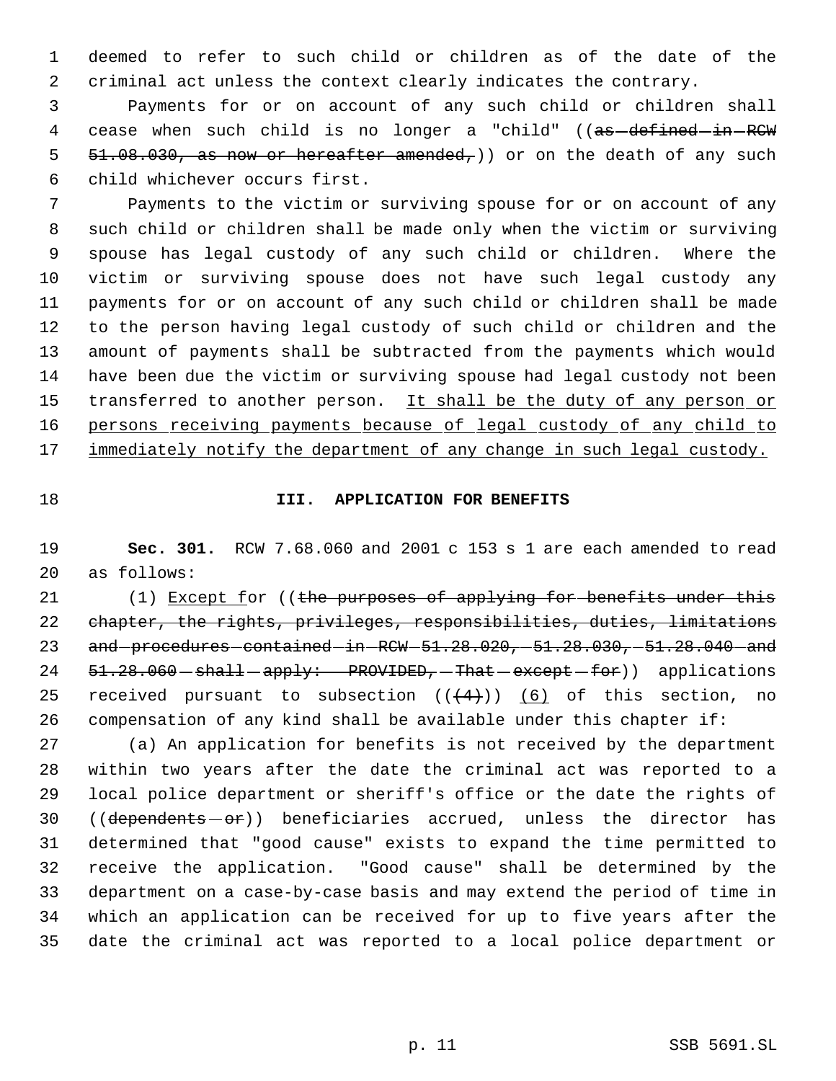deemed to refer to such child or children as of the date of the criminal act unless the context clearly indicates the contrary.

 Payments for or on account of any such child or children shall 4 cease when such child is no longer a "child" ((as-defined-in-RCW  $51.08.030$ , as now or hereafter amended,)) or on the death of any such child whichever occurs first.

 Payments to the victim or surviving spouse for or on account of any such child or children shall be made only when the victim or surviving spouse has legal custody of any such child or children. Where the victim or surviving spouse does not have such legal custody any payments for or on account of any such child or children shall be made to the person having legal custody of such child or children and the amount of payments shall be subtracted from the payments which would have been due the victim or surviving spouse had legal custody not been 15 transferred to another person. It shall be the duty of any person or 16 persons receiving payments because of legal custody of any child to 17 immediately notify the department of any change in such legal custody.

#### **III. APPLICATION FOR BENEFITS**

 **Sec. 301.** RCW 7.68.060 and 2001 c 153 s 1 are each amended to read as follows:

21 (1) Except for ((the purposes of applying for benefits under this chapter, the rights, privileges, responsibilities, duties, limitations 23 and procedures contained in RCW 51.28.020, 51.28.030, 51.28.040 and 24  $51.28.060 - shall - apply: PROVIDED - That - except - for)$  applications 25 received pursuant to subsection  $((4+))$  (6) of this section, no compensation of any kind shall be available under this chapter if:

 (a) An application for benefits is not received by the department within two years after the date the criminal act was reported to a local police department or sheriff's office or the date the rights of 30 ((dependents - or)) beneficiaries accrued, unless the director has determined that "good cause" exists to expand the time permitted to receive the application. "Good cause" shall be determined by the department on a case-by-case basis and may extend the period of time in which an application can be received for up to five years after the date the criminal act was reported to a local police department or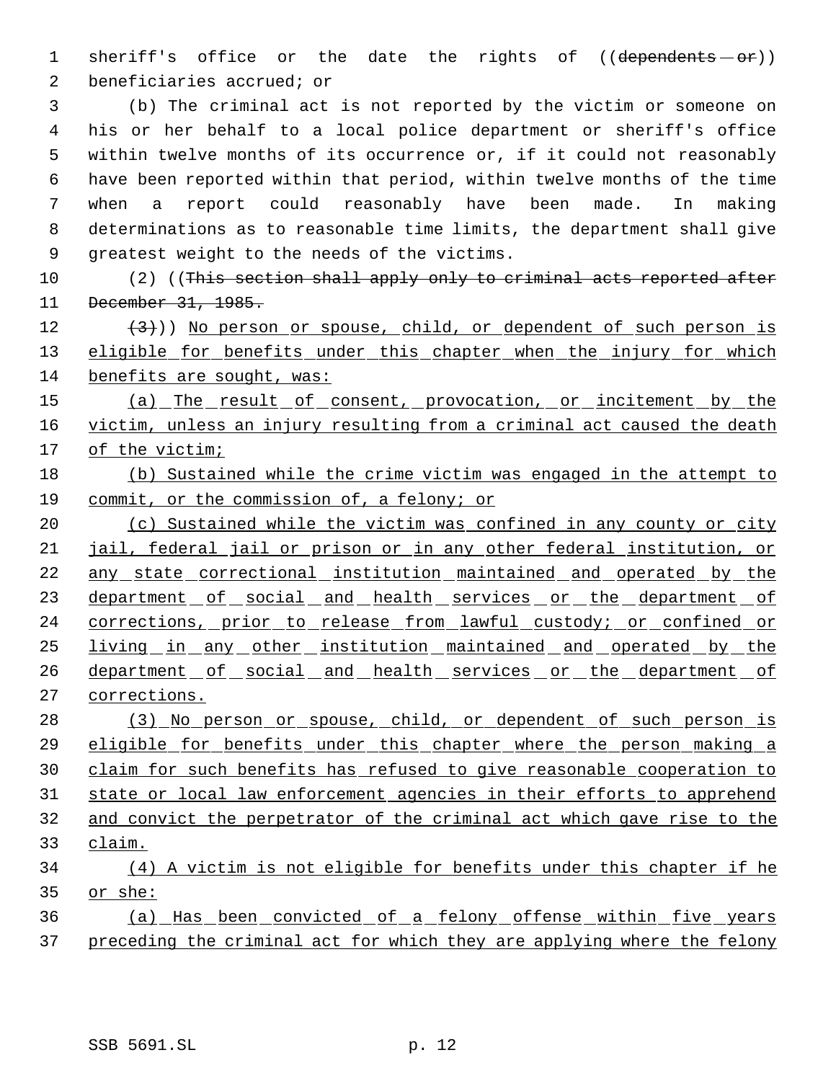1 sheriff's office or the date the rights of ((dependents - or)) beneficiaries accrued; or

 (b) The criminal act is not reported by the victim or someone on his or her behalf to a local police department or sheriff's office within twelve months of its occurrence or, if it could not reasonably have been reported within that period, within twelve months of the time when a report could reasonably have been made. In making determinations as to reasonable time limits, the department shall give greatest weight to the needs of the victims.

10 (2) ((This section shall apply only to criminal acts reported after December 31, 1985.

 $(3)$ )) No person or spouse, child, or dependent of such person is 13 eligible for benefits under this chapter when the injury for which benefits are sought, was:

15 (a) The result of consent, provocation, or incitement by the 16 victim, unless an injury resulting from a criminal act caused the death of the victim;

# (b) Sustained while the crime victim was engaged in the attempt to commit, or the commission of, a felony; or

20 (c) Sustained while the victim was confined in any county or city jail, federal jail or prison or in any other federal institution, or 22 any state correctional institution maintained and operated by the 23 department of social and health services or the department of 24 corrections, prior to release from lawful custody; or confined or living in any other institution maintained and operated by the 26 department of social and health services or the department of corrections.

 (3) No person or spouse, child, or dependent of such person is eligible for benefits under this chapter where the person making a claim for such benefits has refused to give reasonable cooperation to state or local law enforcement agencies in their efforts to apprehend and convict the perpetrator of the criminal act which gave rise to the claim. (4) A victim is not eligible for benefits under this chapter if he

or she:

 (a) Has been convicted of a felony offense within five years 37 preceding the criminal act for which they are applying where the felony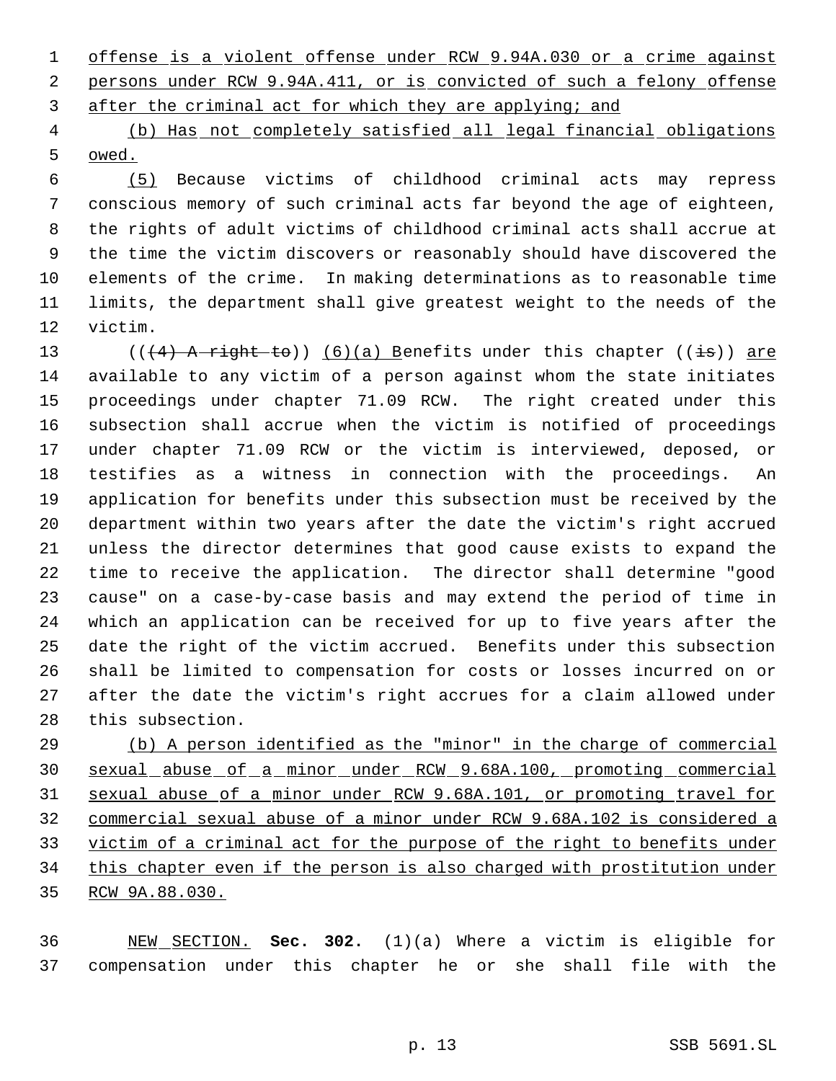offense is a violent offense under RCW 9.94A.030 or a crime against persons under RCW 9.94A.411, or is convicted of such a felony offense after the criminal act for which they are applying; and

 (b) Has not completely satisfied all legal financial obligations owed.

 (5) Because victims of childhood criminal acts may repress conscious memory of such criminal acts far beyond the age of eighteen, the rights of adult victims of childhood criminal acts shall accrue at the time the victim discovers or reasonably should have discovered the elements of the crime. In making determinations as to reasonable time limits, the department shall give greatest weight to the needs of the victim.

13 ( $((4)$  A right to)) (6)(a) Benefits under this chapter ((is)) are available to any victim of a person against whom the state initiates proceedings under chapter 71.09 RCW. The right created under this subsection shall accrue when the victim is notified of proceedings under chapter 71.09 RCW or the victim is interviewed, deposed, or testifies as a witness in connection with the proceedings. An application for benefits under this subsection must be received by the department within two years after the date the victim's right accrued unless the director determines that good cause exists to expand the time to receive the application. The director shall determine "good cause" on a case-by-case basis and may extend the period of time in which an application can be received for up to five years after the date the right of the victim accrued. Benefits under this subsection shall be limited to compensation for costs or losses incurred on or after the date the victim's right accrues for a claim allowed under this subsection.

 (b) A person identified as the "minor" in the charge of commercial sexual abuse of a minor under RCW 9.68A.100, promoting commercial sexual abuse of a minor under RCW 9.68A.101, or promoting travel for commercial sexual abuse of a minor under RCW 9.68A.102 is considered a victim of a criminal act for the purpose of the right to benefits under this chapter even if the person is also charged with prostitution under RCW 9A.88.030.

 NEW SECTION. **Sec. 302.** (1)(a) Where a victim is eligible for compensation under this chapter he or she shall file with the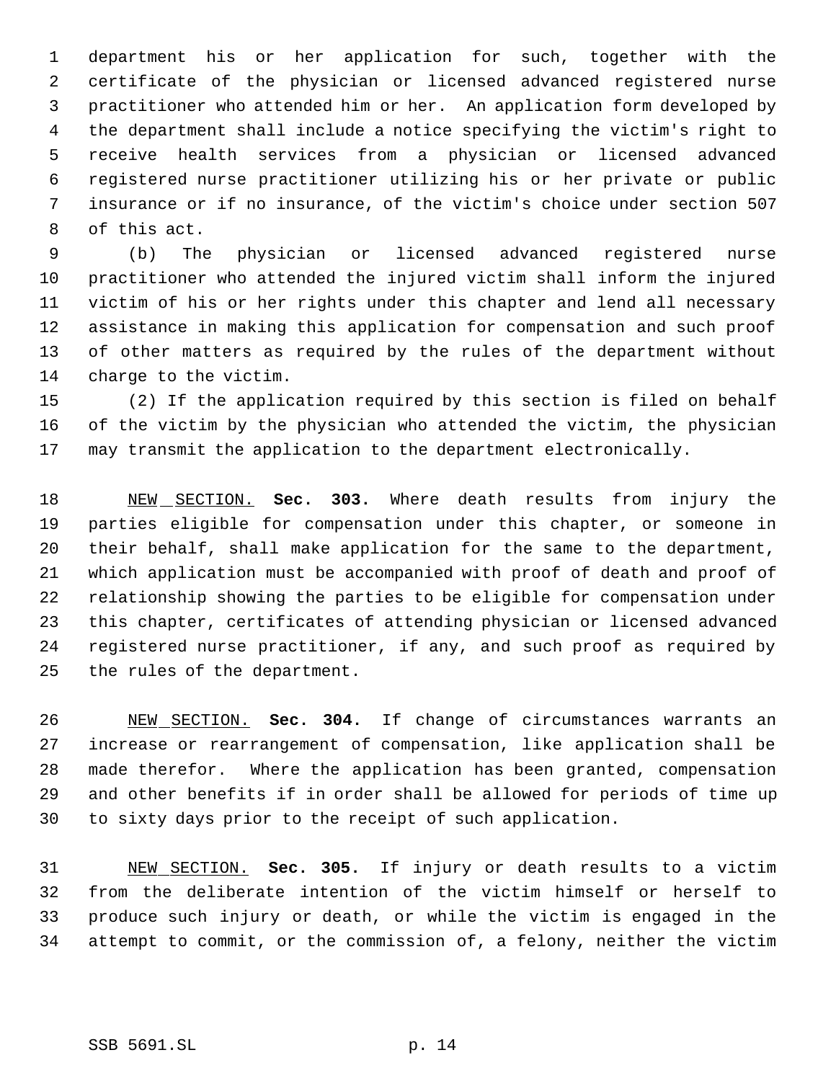department his or her application for such, together with the certificate of the physician or licensed advanced registered nurse practitioner who attended him or her. An application form developed by the department shall include a notice specifying the victim's right to receive health services from a physician or licensed advanced registered nurse practitioner utilizing his or her private or public insurance or if no insurance, of the victim's choice under section 507 of this act.

 (b) The physician or licensed advanced registered nurse practitioner who attended the injured victim shall inform the injured victim of his or her rights under this chapter and lend all necessary assistance in making this application for compensation and such proof of other matters as required by the rules of the department without charge to the victim.

 (2) If the application required by this section is filed on behalf of the victim by the physician who attended the victim, the physician may transmit the application to the department electronically.

 NEW SECTION. **Sec. 303.** Where death results from injury the parties eligible for compensation under this chapter, or someone in their behalf, shall make application for the same to the department, which application must be accompanied with proof of death and proof of relationship showing the parties to be eligible for compensation under this chapter, certificates of attending physician or licensed advanced registered nurse practitioner, if any, and such proof as required by the rules of the department.

 NEW SECTION. **Sec. 304.** If change of circumstances warrants an increase or rearrangement of compensation, like application shall be made therefor. Where the application has been granted, compensation and other benefits if in order shall be allowed for periods of time up to sixty days prior to the receipt of such application.

 NEW SECTION. **Sec. 305.** If injury or death results to a victim from the deliberate intention of the victim himself or herself to produce such injury or death, or while the victim is engaged in the attempt to commit, or the commission of, a felony, neither the victim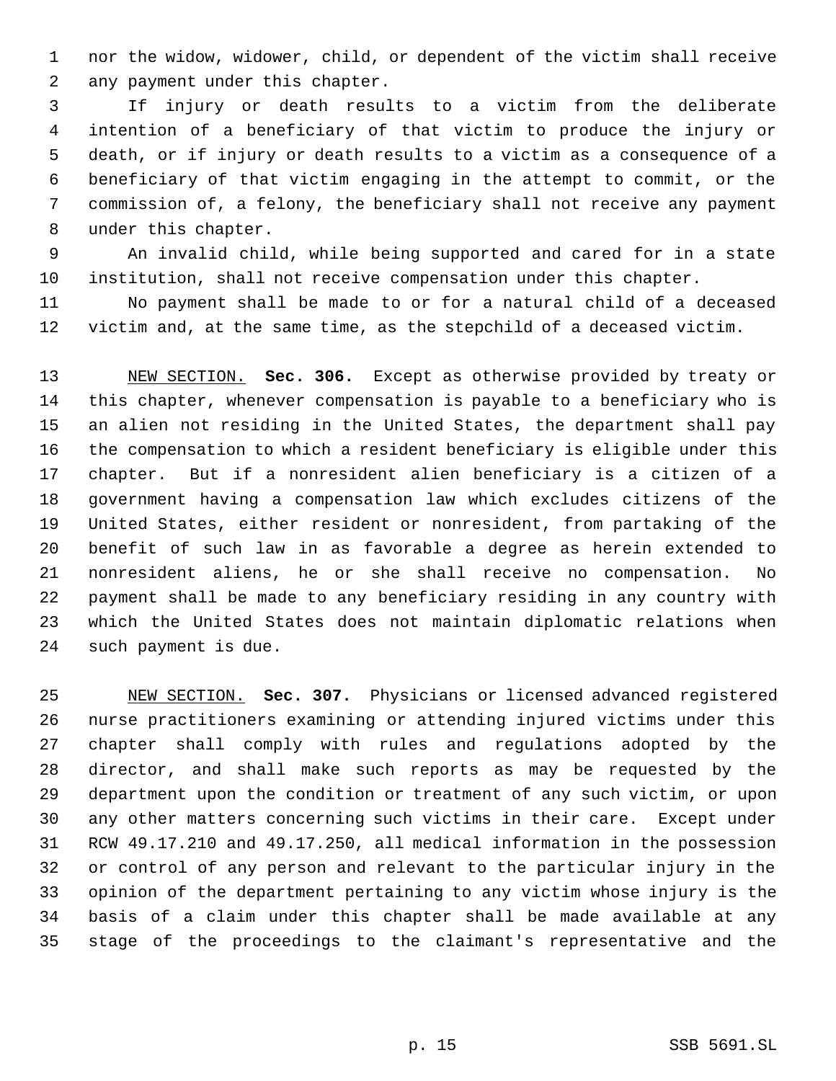nor the widow, widower, child, or dependent of the victim shall receive any payment under this chapter.

 If injury or death results to a victim from the deliberate intention of a beneficiary of that victim to produce the injury or death, or if injury or death results to a victim as a consequence of a beneficiary of that victim engaging in the attempt to commit, or the commission of, a felony, the beneficiary shall not receive any payment under this chapter.

 An invalid child, while being supported and cared for in a state institution, shall not receive compensation under this chapter.

 No payment shall be made to or for a natural child of a deceased victim and, at the same time, as the stepchild of a deceased victim.

 NEW SECTION. **Sec. 306.** Except as otherwise provided by treaty or this chapter, whenever compensation is payable to a beneficiary who is an alien not residing in the United States, the department shall pay the compensation to which a resident beneficiary is eligible under this chapter. But if a nonresident alien beneficiary is a citizen of a government having a compensation law which excludes citizens of the United States, either resident or nonresident, from partaking of the benefit of such law in as favorable a degree as herein extended to nonresident aliens, he or she shall receive no compensation. No payment shall be made to any beneficiary residing in any country with which the United States does not maintain diplomatic relations when such payment is due.

 NEW SECTION. **Sec. 307.** Physicians or licensed advanced registered nurse practitioners examining or attending injured victims under this chapter shall comply with rules and regulations adopted by the director, and shall make such reports as may be requested by the department upon the condition or treatment of any such victim, or upon any other matters concerning such victims in their care. Except under RCW 49.17.210 and 49.17.250, all medical information in the possession or control of any person and relevant to the particular injury in the opinion of the department pertaining to any victim whose injury is the basis of a claim under this chapter shall be made available at any stage of the proceedings to the claimant's representative and the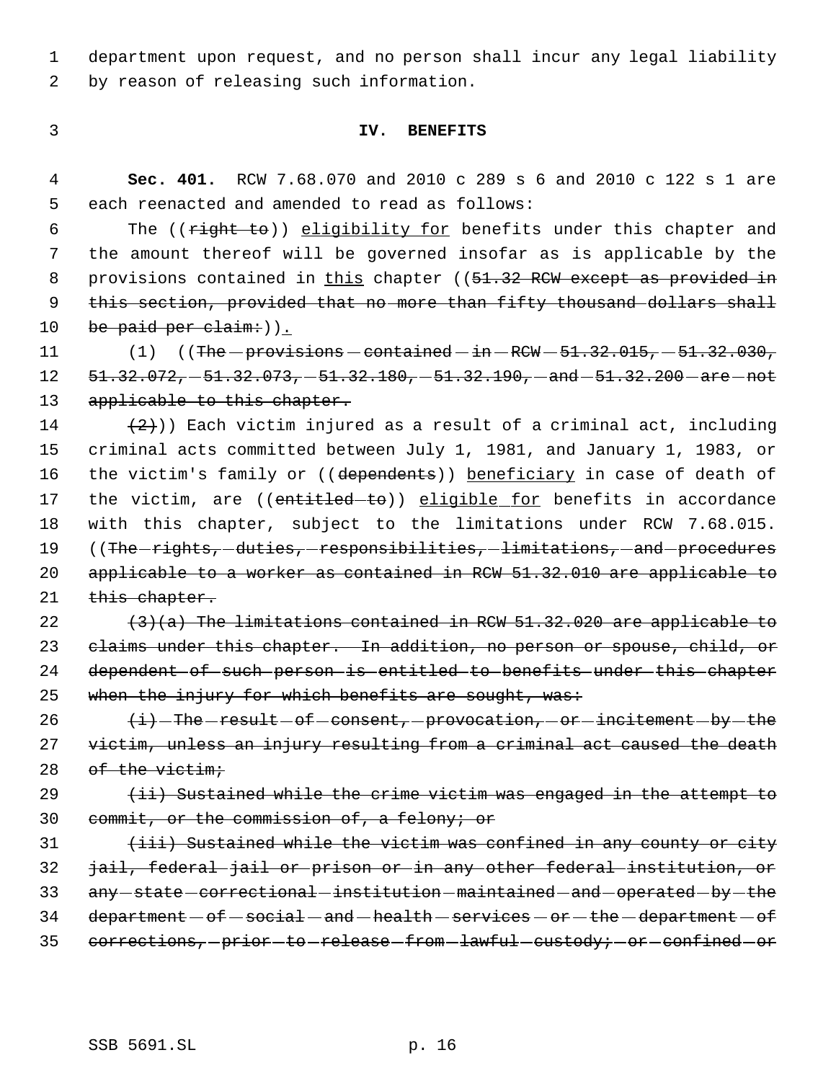1 department upon request, and no person shall incur any legal liability 2 by reason of releasing such information.

#### 3 **IV. BENEFITS**

 4 **Sec. 401.** RCW 7.68.070 and 2010 c 289 s 6 and 2010 c 122 s 1 are 5 each reenacted and amended to read as follows:

6 The ((right to)) eligibility for benefits under this chapter and 7 the amount thereof will be governed insofar as is applicable by the 8 provisions contained in this chapter ((51.32 RCW except as provided in 9 this section, provided that no more than fifty thousand dollars shall 10 be paid per claim:  $)\underline{\ }$ .

11  $(1)$   $($  The - provisions - contained - in - RCW -  $51.32.015$ ,  $-51.32.030$ ,  $12$   $51.32.072, -51.32.073, -51.32.180, -51.32.190, -and -51.32.200 - are - not$ 13 applicable to this chapter.

14  $(2)$ )) Each victim injured as a result of a criminal act, including 15 criminal acts committed between July 1, 1981, and January 1, 1983, or 16 the victim's family or ((dependents)) beneficiary in case of death of 17 the victim, are ((entitled-to)) eligible for benefits in accordance 18 with this chapter, subject to the limitations under RCW 7.68.015. 19 ((The -rights, -duties, -responsibilities, -limitations, -and -procedures 20 applicable to a worker as contained in RCW 51.32.010 are applicable to 21 this chapter.

22  $(3)(a)$  The limitations contained in RCW 51.32.020 are applicable to 23 claims under this chapter. In addition, no person or spouse, child, or 24 dependent of such person is entitled to benefits under this chapter 25 when the injury for which benefits are sought, was:

26  $\leftarrow$   $\leftarrow$  The -result - of -consent, -provocation, -or -incitement - by -the 27 victim, unless an injury resulting from a criminal act caused the death 28 of the victim;

29  $(ii)$  Sustained while the crime victim was engaged in the attempt to 30 commit, or the commission of, a felony; or

31 (iii) Sustained while the victim was confined in any county or city 32 jail, federal jail or prison or in any other federal institution, or 33 any -state -correctional -institution -maintained -and -operated -by -the  $34$  department  $-$  of  $-$  social  $-$  and  $-$  health  $-$  services  $-$  or  $-$  the  $-$  department  $-$  of 35 corrections, -prior -to -release -from -lawful -custody; -or -confined -or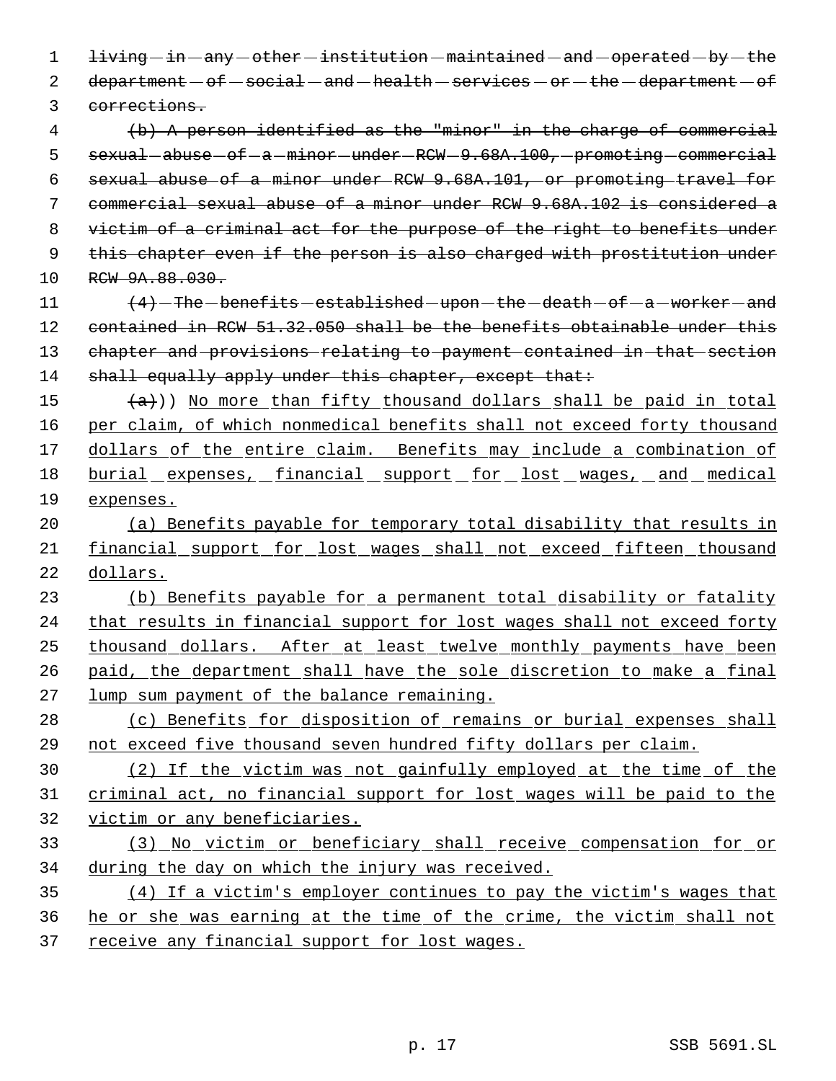1 living  $-$  in  $-$  any  $-$  other  $-$  institution  $-$  maintained  $-$  and  $-$  operated  $-$  by  $-$  the 2 department - of - social - and - health - services - or - the - department - of corrections. (b) A person identified as the "minor" in the charge of commercial 5 sexual - abuse - of - a - minor - under - RCW - 9.68A.100, - promoting - commercial sexual abuse of a minor under RCW 9.68A.101, or promoting travel for commercial sexual abuse of a minor under RCW 9.68A.102 is considered a victim of a criminal act for the purpose of the right to benefits under 9 this chapter even if the person is also charged with prostitution under 10 RCW 9A.88.030.  $(4)$  -The -benefits -established -upon -the -death -of -a -worker -and 12 contained in RCW 51.32.050 shall be the benefits obtainable under this chapter and provisions relating to payment contained in that section 14 shall equally apply under this chapter, except that:  $(a)$ )) No more than fifty thousand dollars shall be paid in total 16 per claim, of which nonmedical benefits shall not exceed forty thousand 17 dollars of the entire claim. Benefits may include a combination of 18 burial expenses, financial support for lost wages, and medical expenses. (a) Benefits payable for temporary total disability that results in financial support for lost wages shall not exceed fifteen thousand dollars. (b) Benefits payable for a permanent total disability or fatality 24 that results in financial support for lost wages shall not exceed forty thousand dollars. After at least twelve monthly payments have been paid, the department shall have the sole discretion to make a final lump sum payment of the balance remaining. 28 (c) Benefits for disposition of remains or burial expenses shall not exceed five thousand seven hundred fifty dollars per claim. (2) If the victim was not gainfully employed at the time of the criminal act, no financial support for lost wages will be paid to the victim or any beneficiaries. (3) No victim or beneficiary shall receive compensation for or during the day on which the injury was received. (4) If a victim's employer continues to pay the victim's wages that he or she was earning at the time of the crime, the victim shall not 37 receive any financial support for lost wages.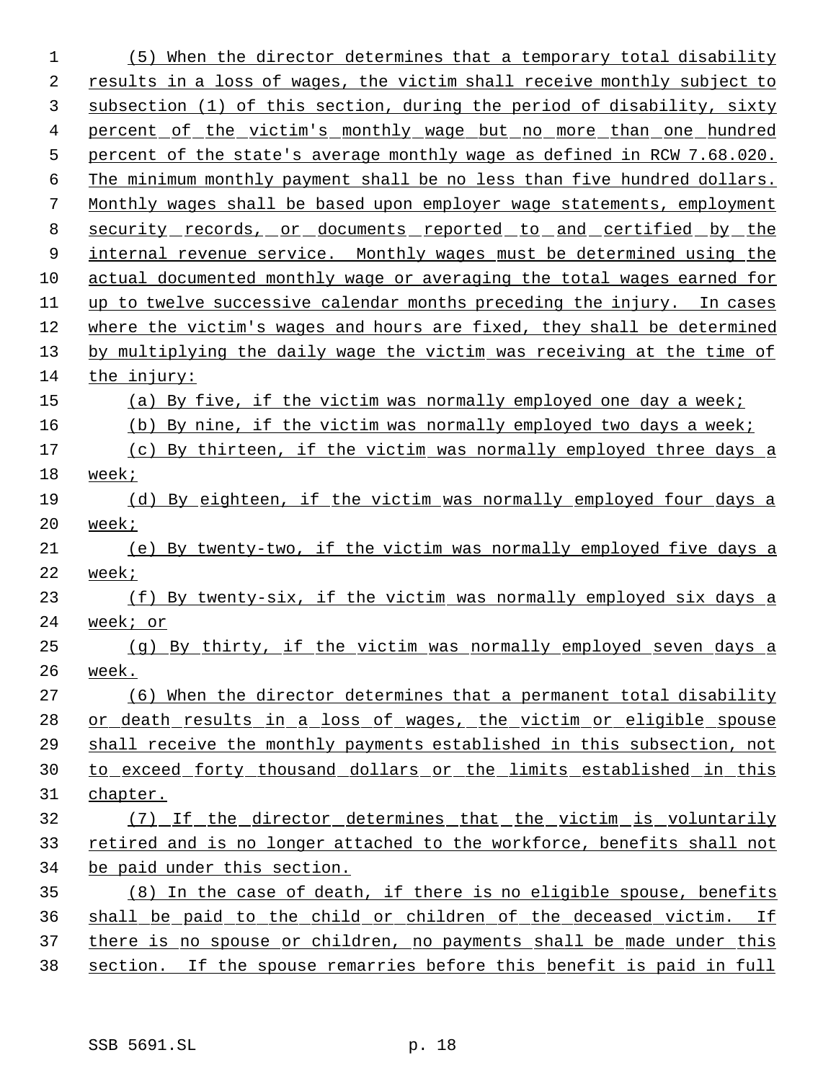(5) When the director determines that a temporary total disability results in a loss of wages, the victim shall receive monthly subject to subsection (1) of this section, during the period of disability, sixty 4 percent of the victim's monthly wage but no more than one hundred percent of the state's average monthly wage as defined in RCW 7.68.020. 6 The minimum monthly payment shall be no less than five hundred dollars. Monthly wages shall be based upon employer wage statements, employment security records, or documents reported to and certified by the 9 internal revenue service. Monthly wages must be determined using the actual documented monthly wage or averaging the total wages earned for up to twelve successive calendar months preceding the injury. In cases where the victim's wages and hours are fixed, they shall be determined by multiplying the daily wage the victim was receiving at the time of the injury: (a) By five, if the victim was normally employed one day a week; (b) By nine, if the victim was normally employed two days a week; 17 (c) By thirteen, if the victim was normally employed three days a week; (d) By eighteen, if the victim was normally employed four days a week; (e) By twenty-two, if the victim was normally employed five days a week; 23 (f) By twenty-six, if the victim was normally employed six days a week; or (g) By thirty, if the victim was normally employed seven days a week. (6) When the director determines that a permanent total disability 28 or death results in a loss of wages, the victim or eligible spouse shall receive the monthly payments established in this subsection, not to exceed forty thousand dollars or the limits established in this chapter. (7) If the director determines that the victim is voluntarily retired and is no longer attached to the workforce, benefits shall not be paid under this section. (8) In the case of death, if there is no eligible spouse, benefits shall be paid to the child or children of the deceased victim. If 37 there is no spouse or children, no payments shall be made under this section. If the spouse remarries before this benefit is paid in full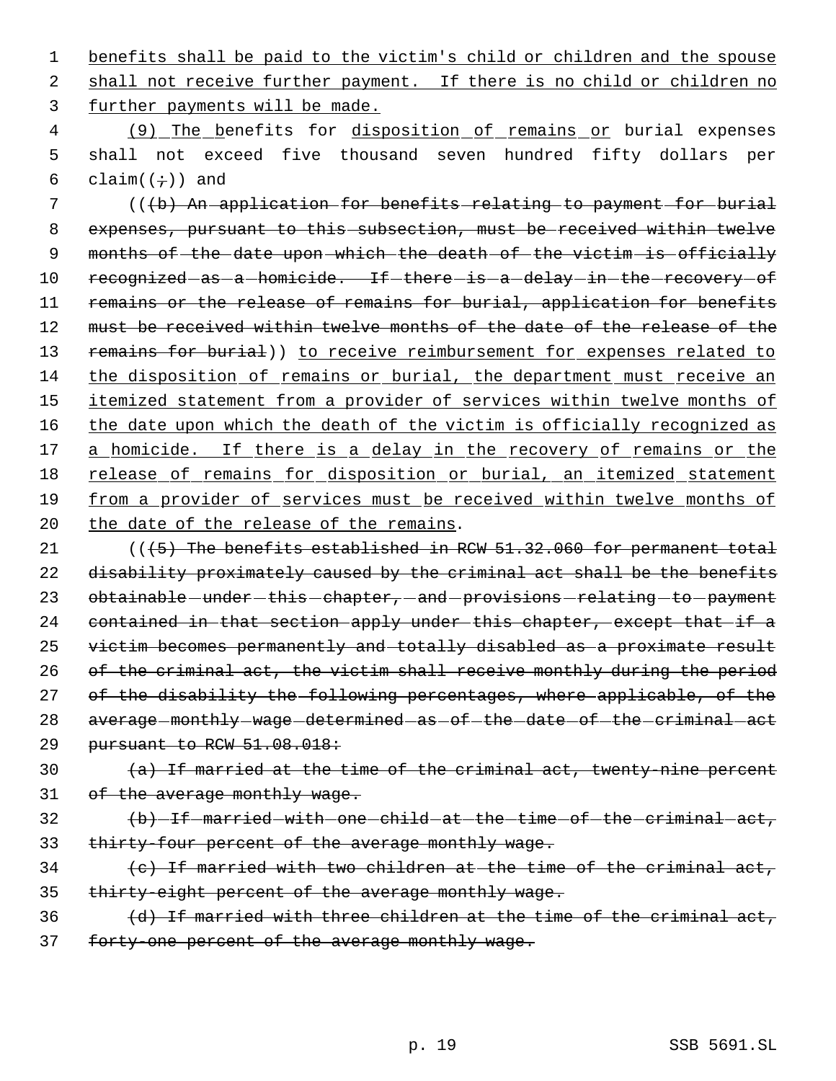1 benefits shall be paid to the victim's child or children and the spouse 2 shall not receive further payment. If there is no child or children no 3 further payments will be made.

4 (9) The benefits for disposition of remains or burial expenses 5 shall not exceed five thousand seven hundred fifty dollars per 6 claim $((\div))$  and

 7 (((b) An application for benefits relating to payment for burial 8 expenses, pursuant to this subsection, must be received within twelve 9 months of the date upon which the death of the victim is officially 10 recognized-as-a-homicide. If-there-is-a-delay-in-the-recovery-of 11 remains or the release of remains for burial, application for benefits 12 must be received within twelve months of the date of the release of the 13 remains for burial)) to receive reimbursement for expenses related to 14 the disposition of remains or burial, the department must receive an 15 itemized statement from a provider of services within twelve months of 16 the date upon which the death of the victim is officially recognized as 17 a homicide. If there is a delay in the recovery of remains or the 18 release of remains for disposition or burial, an itemized statement 19 from a provider of services must be received within twelve months of 20 the date of the release of the remains.

21 (( $\left($  + 5) The benefits established in RCW 51.32.060 for permanent total 22 disability proximately caused by the criminal act shall be the benefits 23 obtainable - under - this - chapter, - and - provisions - relating - to - payment 24 contained in that section apply under this chapter, except that if a 25 victim becomes permanently and totally disabled as a proximate result 26 of the criminal act, the victim shall receive monthly during the period 27 of the disability the following percentages, where applicable, of the 28 average monthly -wage determined as of the date of the criminal act 29 pursuant to RCW 51.08.018:

30  $(a)$  If married at the time of the criminal act, twenty-nine percent 31 of the average monthly wage.

# 32 (b) If married with one child at the time of the criminal act, 33 thirty-four percent of the average monthly wage.

- $34$  (c) If married with two children at the time of the criminal act, 35 thirty-eight percent of the average monthly wage.
- $36$  (d) If married with three children at the time of the criminal act, 37 forty-one percent of the average monthly wage.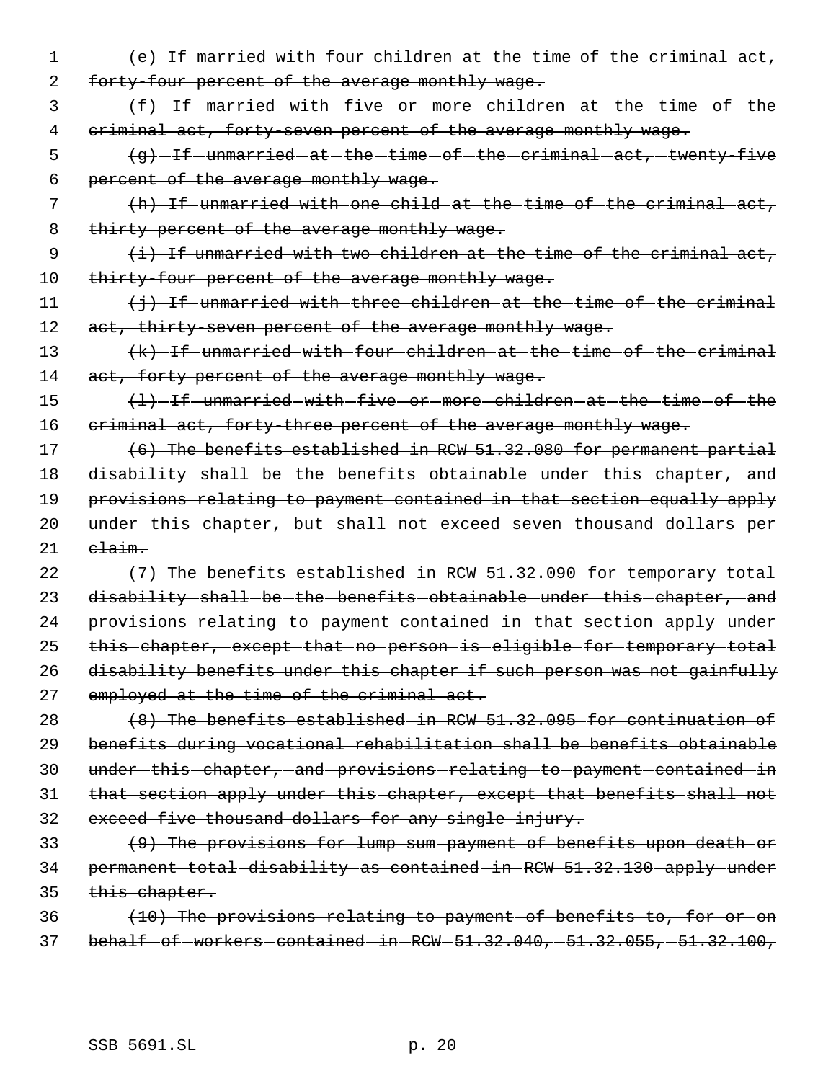- 1 (e) If married with four children at the time of the criminal act, 2 forty-four percent of the average monthly wage.
- 3 (f) -If married with -five or more children at the time of the 4 criminal act, forty-seven percent of the average monthly wage.
- 5 (g) -If -unmarried -at -the -time -of -the -criminal -act, -twenty-five 6 percent of the average monthly wage.
- 7 (h) If unmarried with one child at the time of the criminal act, 8 thirty percent of the average monthly wage.
- 9  $(i)$  If unmarried with two children at the time of the criminal act, 10 thirty-four percent of the average monthly wage.
- 11  $\{\frac{1}{7}\}$  If unmarried with three children at the time of the criminal 12 act, thirty-seven percent of the average monthly wage.
- 13 (k) If unmarried with four children at the time of the criminal 14 act, forty percent of the average monthly wage.
- 15  $\left\{\frac{1}{1}-\frac{1}{1}+\frac{1}{1}+\frac{1}{1}\right\}$  unmarried with five or more children at the time of the 16 criminal act, forty-three percent of the average monthly wage.
- 17 (6) The benefits established in RCW 51.32.080 for permanent partial 18 disability shall be the benefits obtainable under this chapter, and 19 provisions relating to payment contained in that section equally apply 20 under this chapter, but shall not exceed seven thousand dollars per  $21$   $e$ laim.
- 22  $(7)$  The benefits established in RCW  $51.32.090$  for temporary total 23 disability shall be the benefits obtainable under this chapter, and 24 provisions relating to payment contained in that section apply under 25 this chapter, except that no person is eligible for temporary total 26 disability benefits under this chapter if such person was not gainfully 27 employed at the time of the criminal act.
- 28 (8) The benefits established in RCW 51.32.095 for continuation of 29 benefits during vocational rehabilitation shall be benefits obtainable 30 under-this-chapter, and provisions relating to payment contained in 31 that section apply under this chapter, except that benefits shall not 32 exceed five thousand dollars for any single injury.
- 33 (9) The provisions for lump sum payment of benefits upon death or 34 permanent total disability as contained in RCW 51.32.130 apply under 35 this chapter.
- 36 (10) The provisions relating to payment of benefits to, for or on 37 behalf of workers contained in RCW 51.32.040, 51.32.055, 51.32.100,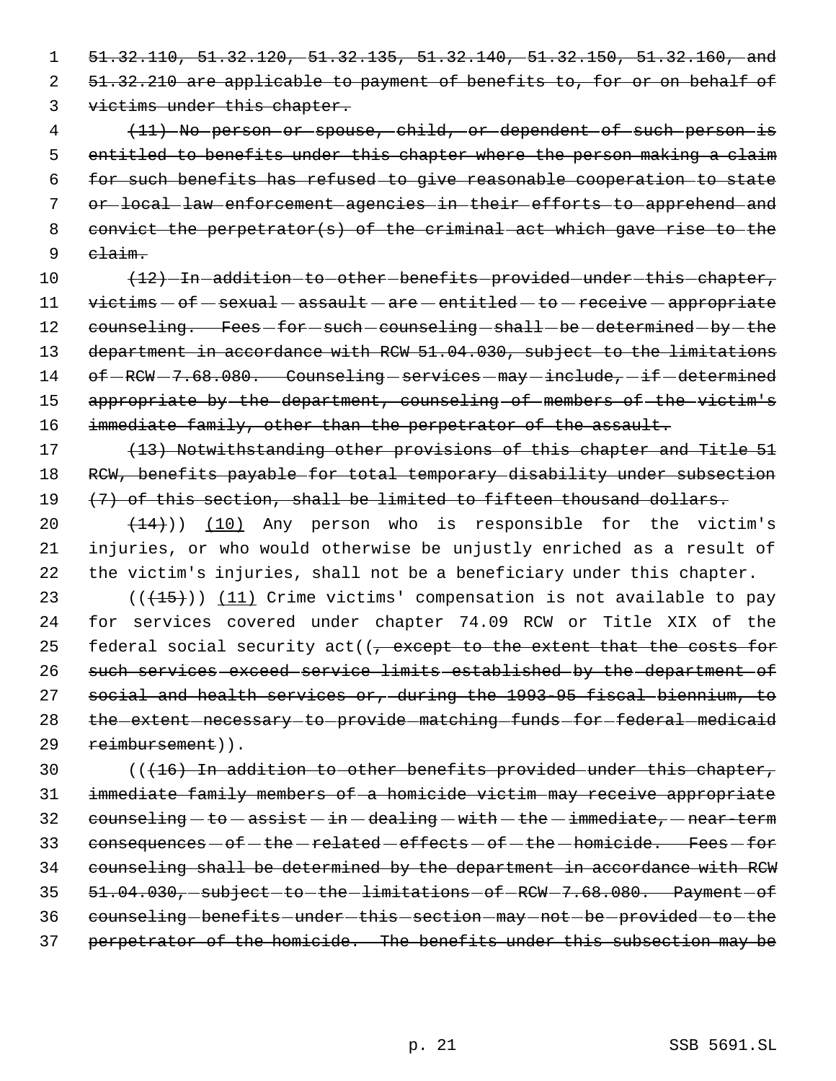1 51.32.110, 51.32.120, 51.32.135, 51.32.140, 51.32.150, 51.32.160, and 2 51.32.210 are applicable to payment of benefits to, for or on behalf of 3 victims under this chapter.

 (11) No person or spouse, child, or dependent of such person is 5 entitled to benefits under this chapter where the person making a claim for such benefits has refused to give reasonable cooperation to state or local law enforcement agencies in their efforts to apprehend and convict the perpetrator(s) of the criminal act which gave rise to the 9 claim.

10  $\left(12\right)$  -In addition to other benefits provided under this chapter,  $11$  victims  $-$  of  $-$  sexual  $-$  assault  $-$  are  $-$  entitled  $-$  to  $-$  receive  $-$  appropriate 12 counseling. Fees-for-such-counseling-shall-be-determined-by-the 13 department in accordance with RCW 51.04.030, subject to the limitations 14 of -RCW - 7.68.080. Counseling - services - may - include, - if - determined 15 appropriate by the department, counseling of members of the victim's 16 immediate family, other than the perpetrator of the assault.

17 (13) Notwithstanding other provisions of this chapter and Title 51 18 RCW, benefits payable for total temporary disability under subsection 19 (7) of this section, shall be limited to fifteen thousand dollars.

20  $(14)$ )) (10) Any person who is responsible for the victim's 21 injuries, or who would otherwise be unjustly enriched as a result of 22 the victim's injuries, shall not be a beneficiary under this chapter.

 $((+15))$   $(11)$  Crime victims' compensation is not available to pay for services covered under chapter 74.09 RCW or Title XIX of the 25 federal social security act( $(-$  except to the extent that the costs for such services exceed service limits established by the department of social and health services or, during the 1993-95 fiscal biennium, to 28 the extent necessary to provide matching funds for federal medicaid reimbursement)).

 (((16) In addition to other benefits provided under this chapter, immediate family members of a homicide victim may receive appropriate counseling  $-to -$  assist  $-in -$  dealing  $-i$  with  $-the -$  immediate,  $-near - term$ 33 consequences  $-$  of  $-$  the  $-$  related  $-$  effects  $-$  of  $-$  the  $-$  homicide. Fees  $-$  for counseling shall be determined by the department in accordance with RCW 35 51.04.030, subject to the limitations of RCW 7.68.080. Payment of 36 counseling - benefits - under - this - section - may - not - be - provided - to - the perpetrator of the homicide. The benefits under this subsection may be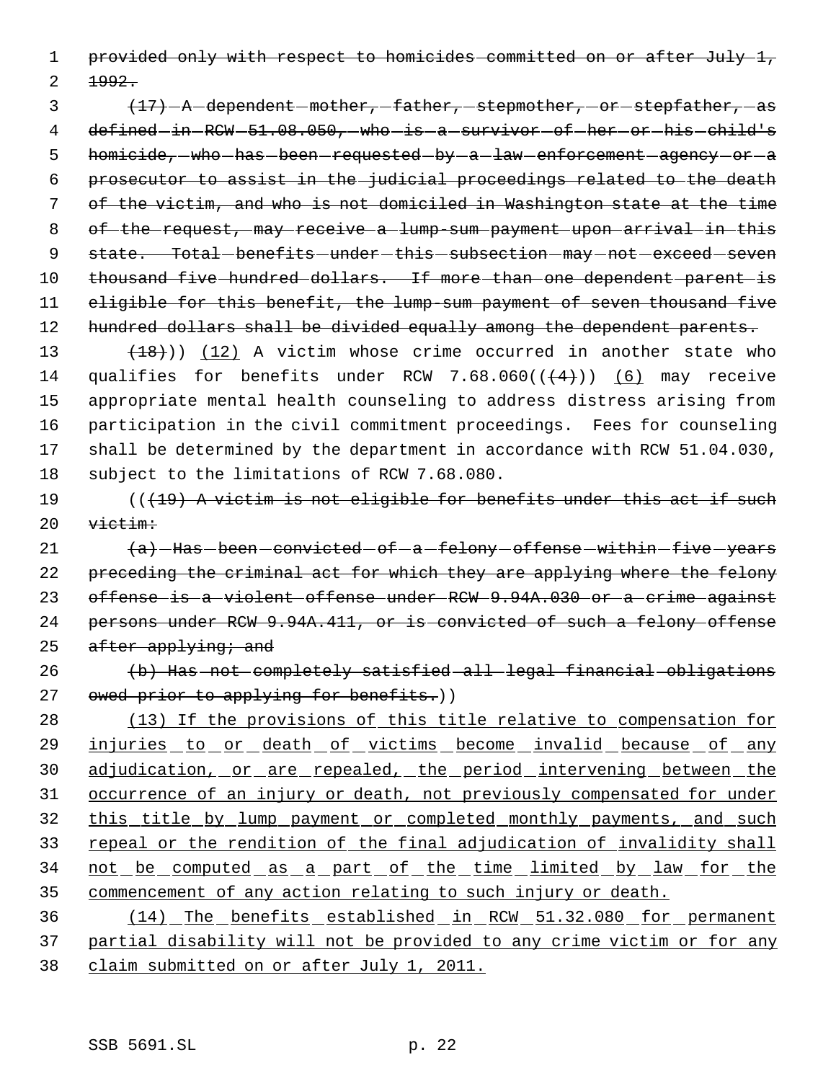1 provided only with respect to homicides committed on or after July 1,

 $2 + 992.$ 

3  $\{17\}$  -A dependent -mother, -father, stepmother, or stepfather, as 4 defined in RCW 51.08.050, who is a survivor of her or his child's 5 homicide, who has been requested by -a law enforcement agency or a 6 prosecutor to assist in the judicial proceedings related to the death 7 of the victim, and who is not domiciled in Washington state at the time 8 of the request, may receive a lump sum payment upon arrival in this 9 state. Total-benefits-under-this-subsection-may-not-exceed-seven 10 thousand five hundred dollars. If more than one dependent parent is 11 eligible for this benefit, the lump-sum payment of seven thousand five 12 hundred dollars shall be divided equally among the dependent parents.

 $(18)$  (12) A victim whose crime occurred in another state who 14 qualifies for benefits under RCW 7.68.060( $(\frac{4}{1})$ ) (6) may receive appropriate mental health counseling to address distress arising from participation in the civil commitment proceedings. Fees for counseling shall be determined by the department in accordance with RCW 51.04.030, subject to the limitations of RCW 7.68.080.

19  $($   $($   $($   $+19)$  A victim is not eligible for benefits under this act if such  $20 \qquad \overline{\text{vietim}}$ :

 $(a)$  -Has -been -convicted - of  $-a$  -felony - offense - within -five - years preceding the criminal act for which they are applying where the felony offense is a violent offense under RCW 9.94A.030 or a crime against persons under RCW 9.94A.411, or is convicted of such a felony offense  $after$  applying; and

26 (b) Has not completely satisfied all legal financial obligations 27 owed prior to applying for benefits.))

 (13) If the provisions of this title relative to compensation for 29 injuries to or death of victims become invalid because of any 30 adjudication, or are repealed, the period intervening between the occurrence of an injury or death, not previously compensated for under this title by lump payment or completed monthly payments, and such repeal or the rendition of the final adjudication of invalidity shall 34 not be computed as a part of the time limited by law for the commencement of any action relating to such injury or death.

36 (14) The benefits established in RCW 51.32.080 for permanent 37 partial disability will not be provided to any crime victim or for any 38 claim submitted on or after July 1, 2011.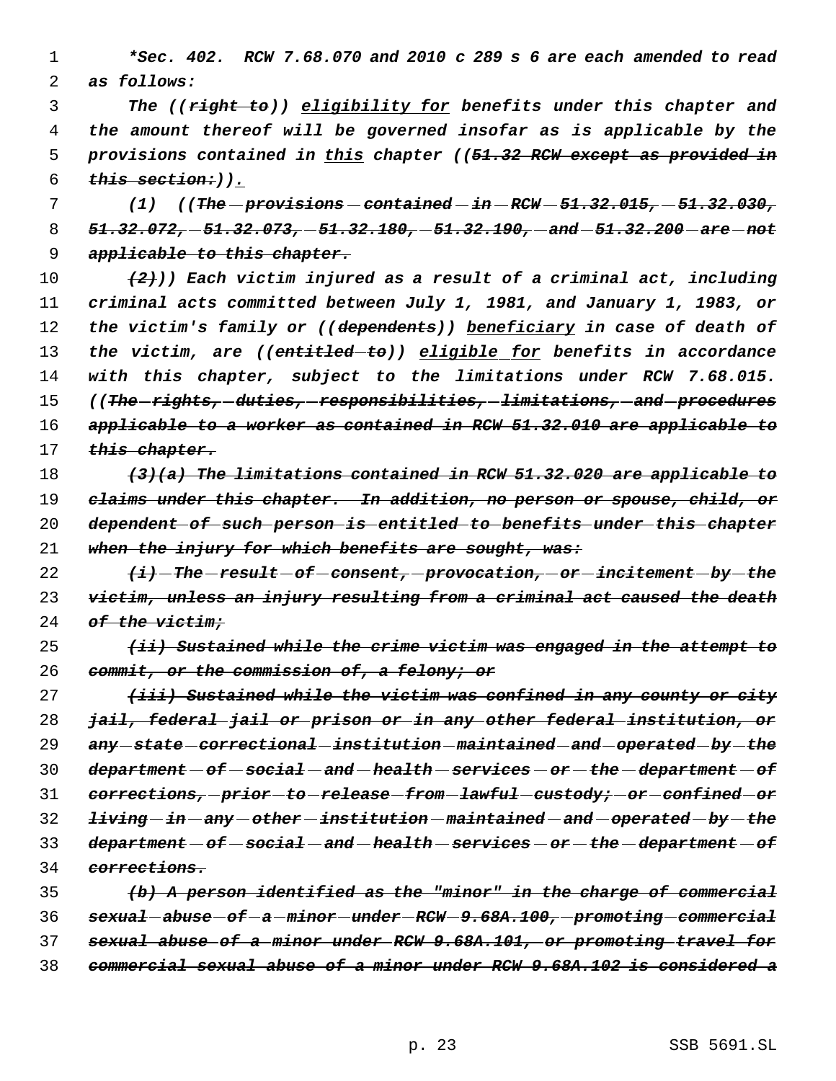*\*Sec. 402. RCW 7.68.070 and 2010 c 289 s 6 are each amended to read as follows:*

 *The ((right to)) eligibility for benefits under this chapter and the amount thereof will be governed insofar as is applicable by the provisions contained in this chapter ((51.32 RCW except as provided in this section:)).*

 *(1) ((The provisions contained in RCW 51.32.015, 51.32.030, 51.32.072, 51.32.073, 51.32.180, 51.32.190, and 51.32.200 are not applicable to this chapter.*

 *(2))) Each victim injured as a result of a criminal act, including criminal acts committed between July 1, 1981, and January 1, 1983, or the victim's family or ((dependents)) beneficiary in case of death of the victim, are ((entitled to)) eligible for benefits in accordance with this chapter, subject to the limitations under RCW 7.68.015. ((The rights, duties, responsibilities, limitations, and procedures applicable to a worker as contained in RCW 51.32.010 are applicable to this chapter.*

 *(3)(a) The limitations contained in RCW 51.32.020 are applicable to claims under this chapter. In addition, no person or spouse, child, or dependent of such person is entitled to benefits under this chapter when the injury for which benefits are sought, was:*

 *(i) The result of consent, provocation, or incitement by the victim, unless an injury resulting from a criminal act caused the death of the victim;*

 *(ii) Sustained while the crime victim was engaged in the attempt to commit, or the commission of, a felony; or*

 *(iii) Sustained while the victim was confined in any county or city jail, federal jail or prison or in any other federal institution, or any state correctional institution maintained and operated by the department of social and health services or the department of corrections, prior to release from lawful custody; or confined or living in any other institution maintained and operated by the department of social and health services or the department of corrections.*

 *(b) A person identified as the "minor" in the charge of commercial sexual abuse of a minor under RCW 9.68A.100, promoting commercial sexual abuse of a minor under RCW 9.68A.101, or promoting travel for commercial sexual abuse of a minor under RCW 9.68A.102 is considered a*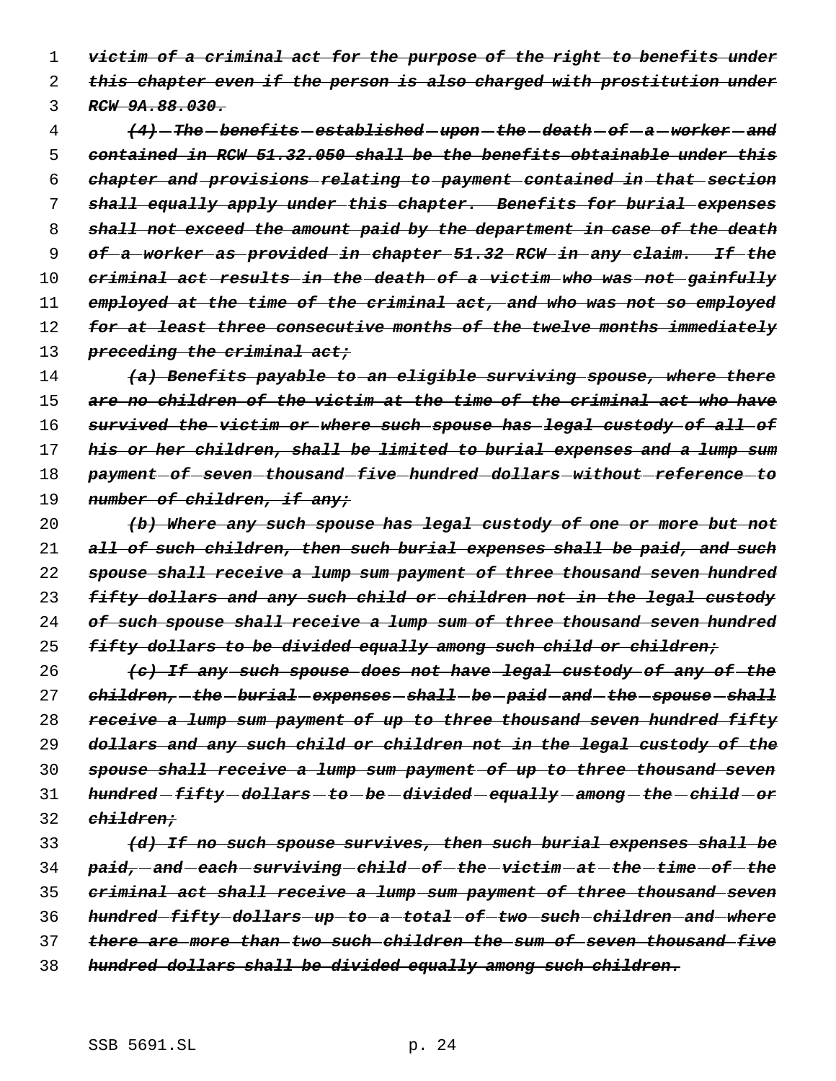*victim of a criminal act for the purpose of the right to benefits under this chapter even if the person is also charged with prostitution under RCW 9A.88.030.*

 *(4) The benefits established upon the death of a worker and contained in RCW 51.32.050 shall be the benefits obtainable under this chapter and provisions relating to payment contained in that section shall equally apply under this chapter. Benefits for burial expenses shall not exceed the amount paid by the department in case of the death of a worker as provided in chapter 51.32 RCW in any claim. If the criminal act results in the death of a victim who was not gainfully employed at the time of the criminal act, and who was not so employed for at least three consecutive months of the twelve months immediately preceding the criminal act;*

 *(a) Benefits payable to an eligible surviving spouse, where there are no children of the victim at the time of the criminal act who have survived the victim or where such spouse has legal custody of all of his or her children, shall be limited to burial expenses and a lump sum payment of seven thousand five hundred dollars without reference to number of children, if any;*

 *(b) Where any such spouse has legal custody of one or more but not all of such children, then such burial expenses shall be paid, and such spouse shall receive a lump sum payment of three thousand seven hundred fifty dollars and any such child or children not in the legal custody of such spouse shall receive a lump sum of three thousand seven hundred fifty dollars to be divided equally among such child or children;*

 *(c) If any such spouse does not have legal custody of any of the children, the burial expenses shall be paid and the spouse shall receive a lump sum payment of up to three thousand seven hundred fifty dollars and any such child or children not in the legal custody of the spouse shall receive a lump sum payment of up to three thousand seven hundred fifty dollars to be divided equally among the child or children;*

 *(d) If no such spouse survives, then such burial expenses shall be paid, and each surviving child of the victim at the time of the criminal act shall receive a lump sum payment of three thousand seven hundred fifty dollars up to a total of two such children and where there are more than two such children the sum of seven thousand five hundred dollars shall be divided equally among such children.*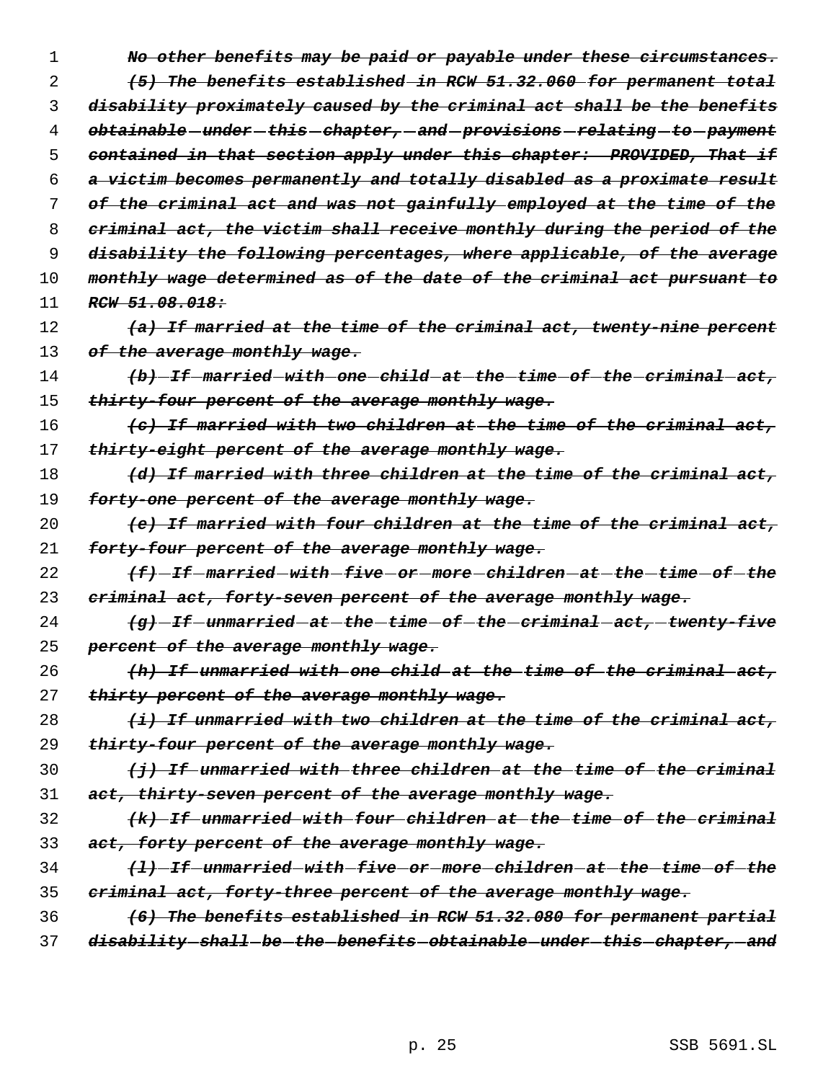| No other benefits may be paid or payable under these circumstances.     |
|-------------------------------------------------------------------------|
| (5) The benefits established in RCW 51.32.060 for permanent total       |
| disability proximately caused by the criminal act shall be the benefits |
| obtainable-under-this-chapter,-and-provisions-relating-to-payment       |
| contained in that section apply under this chapter: PROVIDED, That if   |
| a victim becomes permanently and totally disabled as a proximate result |
| of the criminal act and was not gainfully employed at the time of the   |
| criminal act, the victim shall receive monthly during the period of the |
| disability the following percentages, where applicable, of the average  |
| monthly wage determined as of the date of the criminal act pursuant to  |
| RCW 51.08.018:                                                          |
| (a) If married at the time of the criminal act, twenty-nine percent     |
| of the average monthly wage.                                            |
| $(b)$ -If-married-with-one-child-at-the-time-of-the-criminal-act,       |
| thirty-four percent of the average monthly wage.                        |
| (c) If married with two children at the time of the criminal act,       |
| thirty-eight percent of the average monthly wage.                       |
| (d) If married with three children at the time of the criminal act,     |
| forty-one percent of the average monthly wage.                          |
| (e) If married with four children at the time of the criminal act,      |
| forty-four percent of the average monthly wage.                         |
| <del>(f)-If-married-with-five-or-more-children-at-the-time-of-the</del> |
| criminal act, forty-seven percent of the average monthly wage.          |
| $(g)$ -If-unmarried-at-the-time-of-the-criminal-act,-twenty-five        |
| percent of the average monthly wage.                                    |
| $(h)$ If unmarried with one child at the time of the criminal act,      |
| thirty percent of the average monthly wage.                             |
| $(i)$ If unmarried with two children at the time of the criminal act,   |
| thirty-four percent of the average monthly wage.                        |
| $(j)$ If unmarried with three children at the time of the criminal      |
| act, thirty-seven percent of the average monthly wage.                  |
| (k) If unmarried with four children at the time of the criminal         |
| act, forty percent of the average monthly wage.                         |
| (1) If unmarried with five or more children at the time of the          |
| criminal act, forty-three percent of the average monthly wage.          |
| (6) The benefits established in RCW 51.32.080 for permanent partial     |
| disability-shall-be-the-benefits-obtainable-under-this-chapter, and     |
|                                                                         |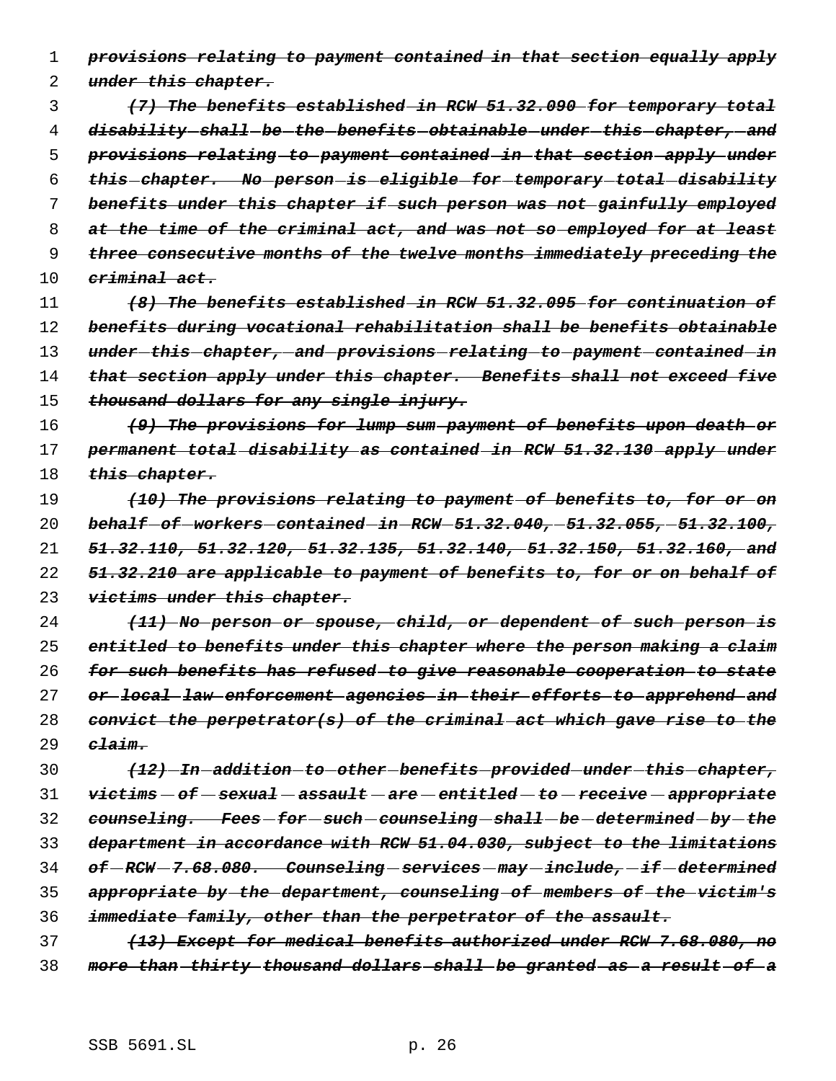*provisions relating to payment contained in that section equally apply*

*under this chapter.*

 *(7) The benefits established in RCW 51.32.090 for temporary total disability shall be the benefits obtainable under this chapter, and provisions relating to payment contained in that section apply under this chapter. No person is eligible for temporary total disability benefits under this chapter if such person was not gainfully employed at the time of the criminal act, and was not so employed for at least three consecutive months of the twelve months immediately preceding the criminal act.*

 *(8) The benefits established in RCW 51.32.095 for continuation of benefits during vocational rehabilitation shall be benefits obtainable under this chapter, and provisions relating to payment contained in that section apply under this chapter. Benefits shall not exceed five thousand dollars for any single injury.*

 *(9) The provisions for lump sum payment of benefits upon death or permanent total disability as contained in RCW 51.32.130 apply under this chapter.*

 *(10) The provisions relating to payment of benefits to, for or on behalf of workers contained in RCW 51.32.040, 51.32.055, 51.32.100, 51.32.110, 51.32.120, 51.32.135, 51.32.140, 51.32.150, 51.32.160, and 51.32.210 are applicable to payment of benefits to, for or on behalf of victims under this chapter.*

 *(11) No person or spouse, child, or dependent of such person is entitled to benefits under this chapter where the person making a claim for such benefits has refused to give reasonable cooperation to state or local law enforcement agencies in their efforts to apprehend and convict the perpetrator(s) of the criminal act which gave rise to the claim.*

 *(12) In addition to other benefits provided under this chapter, victims of sexual assault are entitled to receive appropriate counseling. Fees for such counseling shall be determined by the department in accordance with RCW 51.04.030, subject to the limitations of RCW 7.68.080. Counseling services may include, if determined appropriate by the department, counseling of members of the victim's immediate family, other than the perpetrator of the assault.*

 *(13) Except for medical benefits authorized under RCW 7.68.080, no more than thirty thousand dollars shall be granted as a result of a*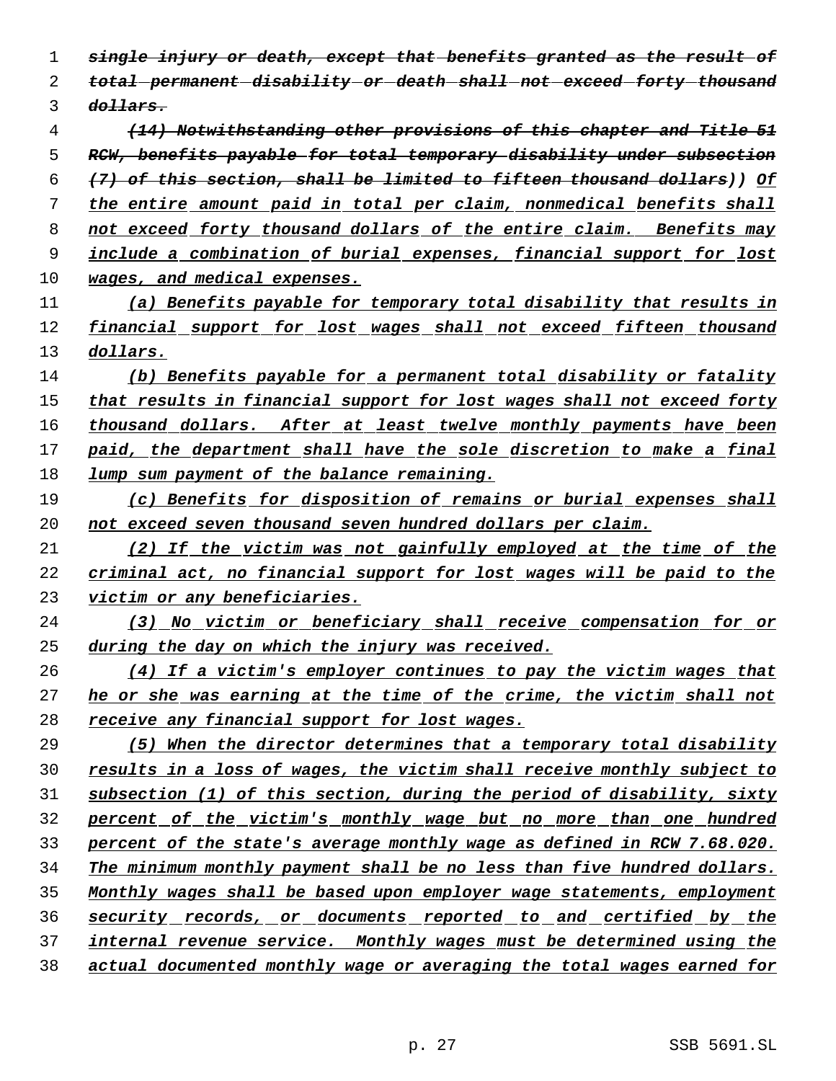*single injury or death, except that benefits granted as the result of total permanent disability or death shall not exceed forty thousand dollars.*

 *(14) Notwithstanding other provisions of this chapter and Title 51 RCW, benefits payable for total temporary disability under subsection (7) of this section, shall be limited to fifteen thousand dollars)) Of the entire amount paid in total per claim, nonmedical benefits shall not exceed forty thousand dollars of the entire claim. Benefits may include a combination of burial expenses, financial support for lost wages, and medical expenses.*

 *(a) Benefits payable for temporary total disability that results in financial support for lost wages shall not exceed fifteen thousand dollars.*

 *(b) Benefits payable for a permanent total disability or fatality that results in financial support for lost wages shall not exceed forty thousand dollars. After at least twelve monthly payments have been paid, the department shall have the sole discretion to make a final lump sum payment of the balance remaining.*

 *(c) Benefits for disposition of remains or burial expenses shall not exceed seven thousand seven hundred dollars per claim.*

 *(2) If the victim was not gainfully employed at the time of the criminal act, no financial support for lost wages will be paid to the victim or any beneficiaries.*

 *(3) No victim or beneficiary shall receive compensation for or during the day on which the injury was received.*

 *(4) If a victim's employer continues to pay the victim wages that he or she was earning at the time of the crime, the victim shall not receive any financial support for lost wages.*

 *(5) When the director determines that a temporary total disability results in a loss of wages, the victim shall receive monthly subject to subsection (1) of this section, during the period of disability, sixty percent of the victim's monthly wage but no more than one hundred percent of the state's average monthly wage as defined in RCW 7.68.020. The minimum monthly payment shall be no less than five hundred dollars. Monthly wages shall be based upon employer wage statements, employment security records, or documents reported to and certified by the internal revenue service. Monthly wages must be determined using the actual documented monthly wage or averaging the total wages earned for*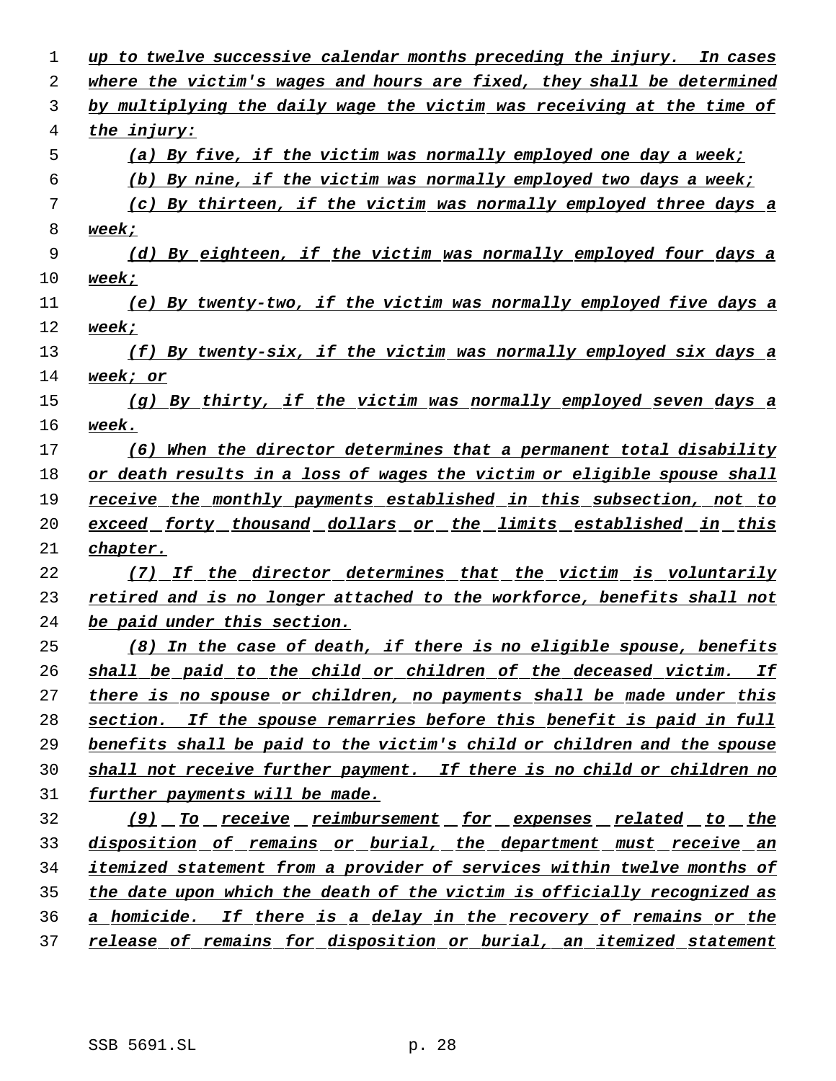| 1  | up to twelve successive calendar months preceding the injury. In cases        |
|----|-------------------------------------------------------------------------------|
| 2  | where the victim's wages and hours are fixed, they shall be determined        |
| 3  | by multiplying the daily wage the victim was receiving at the time of         |
| 4  | the injury:                                                                   |
| 5  | (a) By five, if the victim was normally employed one day a week;              |
| 6  | (b) By nine, if the victim was normally employed two days a week;             |
| 7  | (c) By thirteen, if the victim was normally employed three days a             |
| 8  | week;                                                                         |
| 9  | (d) By eighteen, if the victim was normally employed four days a              |
| 10 | week;                                                                         |
| 11 | (e) By twenty-two, if the victim was normally employed five days a            |
| 12 | week;                                                                         |
| 13 | $(f)$ By twenty-six, if the victim was normally employed six days a           |
| 14 | <u>week; or</u>                                                               |
| 15 | $(g)$ By thirty, if the victim was normally employed seven days a             |
| 16 | week.                                                                         |
| 17 | (6) When the director determines that a permanent total disability            |
| 18 | or death results in a loss of wages the victim or eligible spouse shall       |
| 19 | receive the monthly payments established in this subsection, not to           |
| 20 | exceed forty thousand dollars or the limits established in this               |
| 21 | chapter.                                                                      |
| 22 | (7) If the director determines that the victim is voluntarily                 |
| 23 | retired and is no longer attached to the workforce, benefits shall not        |
| 24 | be paid under this section.                                                   |
| 25 | (8) In the case of death, if there is no eligible spouse, benefits            |
| 26 | shall be paid to the child or children of the deceased victim. If             |
| 27 | there is no spouse or children, no payments shall be made under this          |
| 28 | section. If the spouse remarries before this benefit is paid in full          |
| 29 | benefits shall be paid to the victim's child or children and the spouse       |
| 30 | shall not receive further payment. If there is no child or children no        |
| 31 | further payments will be made.                                                |
| 32 | <u>(9) To receive reimbursement for expenses related to the</u>               |
| 33 | disposition of remains or burial, the department must receive an              |
| 34 | <i>itemized statement from a provider of services within twelve months of</i> |
| 35 | the date upon which the death of the victim is officially recognized as       |
| 36 | a homicide. If there is a delay in the recovery of remains or the             |
| 37 | release of remains for disposition or burial, an itemized statement           |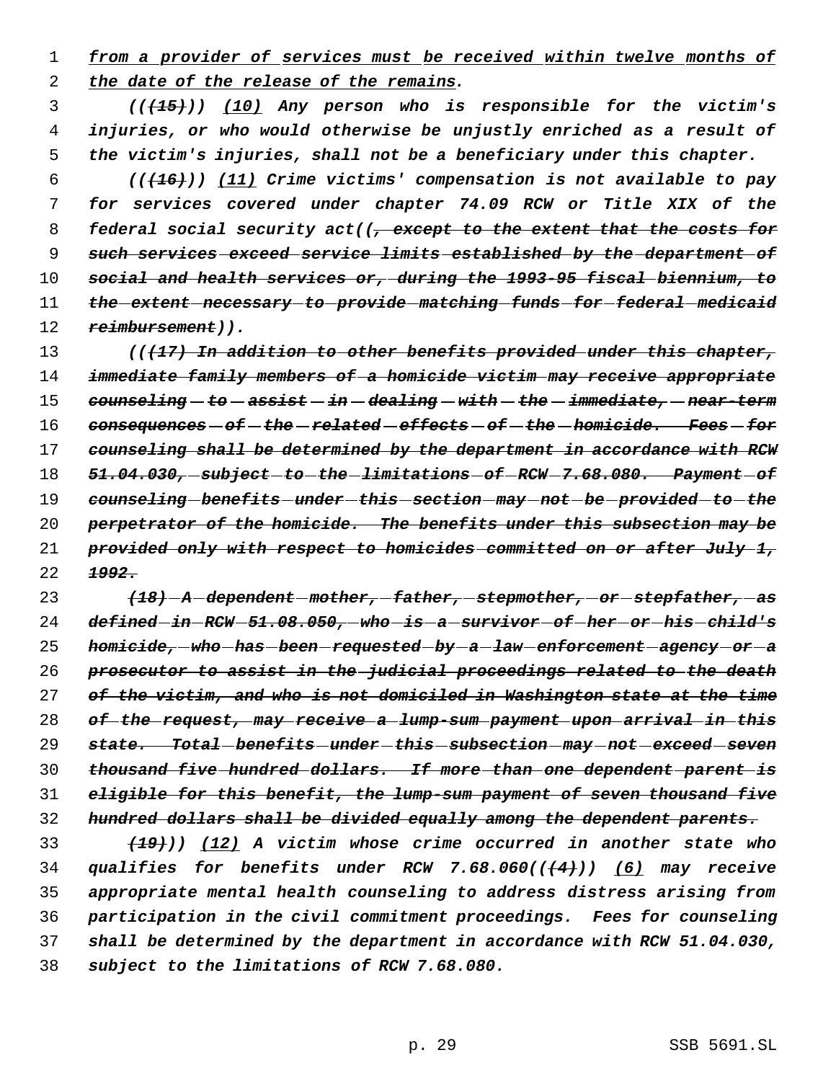*from a provider of services must be received within twelve months of the date of the release of the remains.*

 *(((15))) (10) Any person who is responsible for the victim's injuries, or who would otherwise be unjustly enriched as a result of the victim's injuries, shall not be a beneficiary under this chapter.*

 *(((16))) (11) Crime victims' compensation is not available to pay for services covered under chapter 74.09 RCW or Title XIX of the federal social security act((, except to the extent that the costs for such services exceed service limits established by the department of social and health services or, during the 1993-95 fiscal biennium, to the extent necessary to provide matching funds for federal medicaid reimbursement)).*

 *(((17) In addition to other benefits provided under this chapter, immediate family members of a homicide victim may receive appropriate counseling to assist in dealing with the immediate, near-term consequences of the related effects of the homicide. Fees for counseling shall be determined by the department in accordance with RCW 51.04.030, subject to the limitations of RCW 7.68.080. Payment of counseling benefits under this section may not be provided to the perpetrator of the homicide. The benefits under this subsection may be provided only with respect to homicides committed on or after July 1, 1992.*

 *(18) A dependent mother, father, stepmother, or stepfather, as defined in RCW 51.08.050, who is a survivor of her or his child's homicide, who has been requested by a law enforcement agency or a prosecutor to assist in the judicial proceedings related to the death of the victim, and who is not domiciled in Washington state at the time of the request, may receive a lump-sum payment upon arrival in this state. Total benefits under this subsection may not exceed seven thousand five hundred dollars. If more than one dependent parent is eligible for this benefit, the lump-sum payment of seven thousand five hundred dollars shall be divided equally among the dependent parents.*

 *(19))) (12) A victim whose crime occurred in another state who qualifies for benefits under RCW 7.68.060(((4))) (6) may receive appropriate mental health counseling to address distress arising from participation in the civil commitment proceedings. Fees for counseling shall be determined by the department in accordance with RCW 51.04.030, subject to the limitations of RCW 7.68.080.*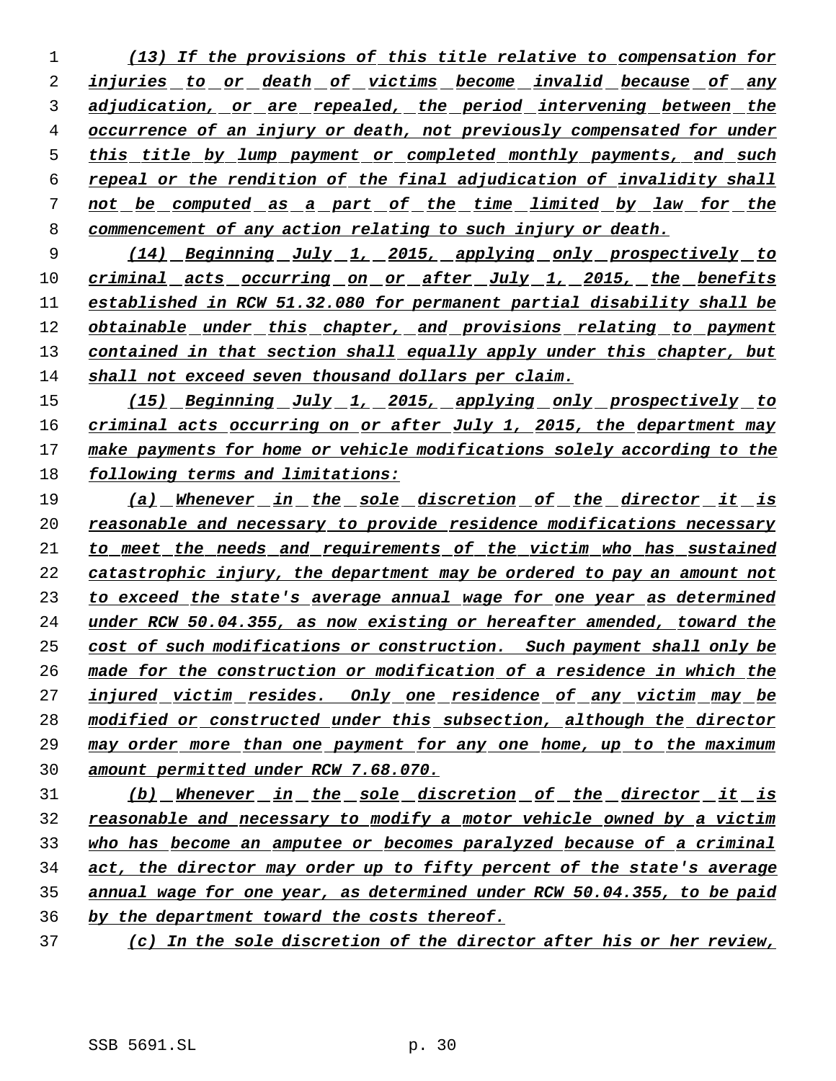*(13) If the provisions of this title relative to compensation for injuries to or death of victims become invalid because of any adjudication, or are repealed, the period intervening between the occurrence of an injury or death, not previously compensated for under this title by lump payment or completed monthly payments, and such repeal or the rendition of the final adjudication of invalidity shall not be computed as a part of the time limited by law for the commencement of any action relating to such injury or death.*

 *(14) Beginning July 1, 2015, applying only prospectively to criminal acts occurring on or after July 1, 2015, the benefits established in RCW 51.32.080 for permanent partial disability shall be obtainable under this chapter, and provisions relating to payment contained in that section shall equally apply under this chapter, but shall not exceed seven thousand dollars per claim.*

 *(15) Beginning July 1, 2015, applying only prospectively to criminal acts occurring on or after July 1, 2015, the department may make payments for home or vehicle modifications solely according to the following terms and limitations:*

 *(a) Whenever in the sole discretion of the director it is reasonable and necessary to provide residence modifications necessary to meet the needs and requirements of the victim who has sustained catastrophic injury, the department may be ordered to pay an amount not to exceed the state's average annual wage for one year as determined under RCW 50.04.355, as now existing or hereafter amended, toward the cost of such modifications or construction. Such payment shall only be made for the construction or modification of a residence in which the injured victim resides. Only one residence of any victim may be modified or constructed under this subsection, although the director may order more than one payment for any one home, up to the maximum amount permitted under RCW 7.68.070.*

 *(b) Whenever in the sole discretion of the director it is reasonable and necessary to modify a motor vehicle owned by a victim who has become an amputee or becomes paralyzed because of a criminal act, the director may order up to fifty percent of the state's average annual wage for one year, as determined under RCW 50.04.355, to be paid by the department toward the costs thereof.*

*(c) In the sole discretion of the director after his or her review,*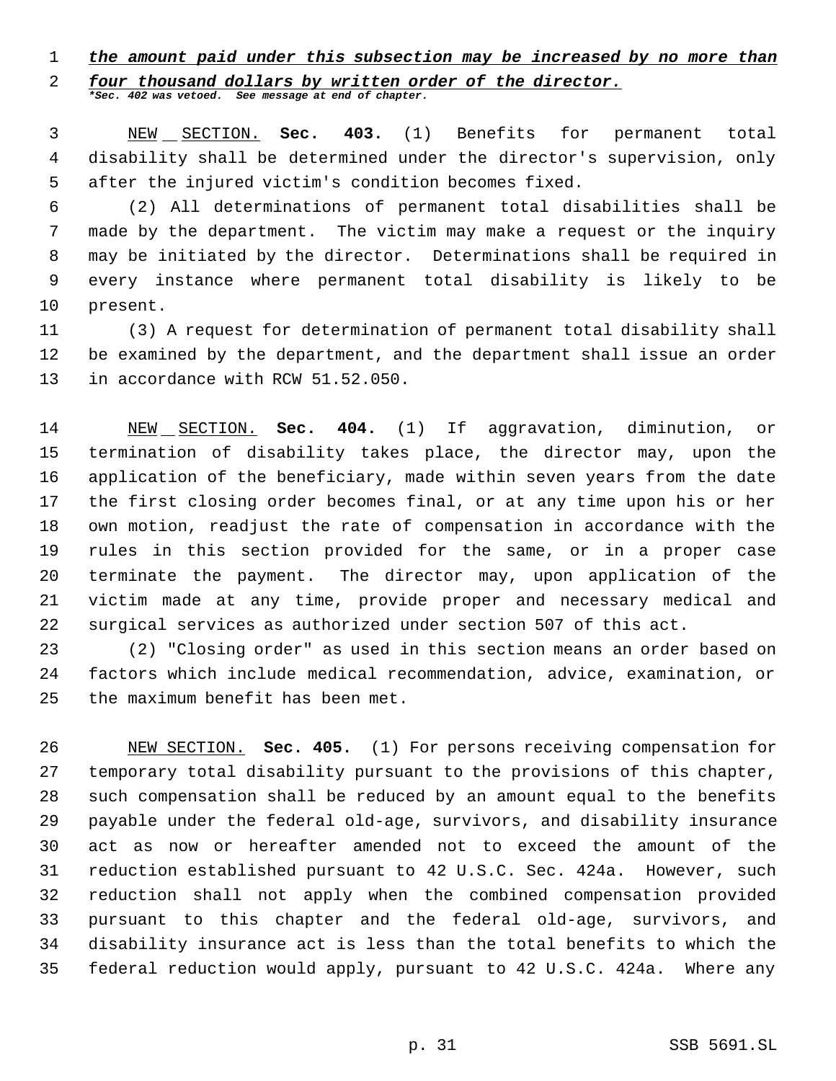### *the amount paid under this subsection may be increased by no more than*

*four thousand dollars by written order of the director.*

*\*Sec. 402 was vetoed. See message at end of chapter.*

 NEW SECTION. **Sec. 403.** (1) Benefits for permanent total disability shall be determined under the director's supervision, only after the injured victim's condition becomes fixed.

 (2) All determinations of permanent total disabilities shall be made by the department. The victim may make a request or the inquiry may be initiated by the director. Determinations shall be required in every instance where permanent total disability is likely to be present.

 (3) A request for determination of permanent total disability shall be examined by the department, and the department shall issue an order 13 in accordance with RCW 51.52.050.

 NEW SECTION. **Sec. 404.** (1) If aggravation, diminution, or termination of disability takes place, the director may, upon the application of the beneficiary, made within seven years from the date the first closing order becomes final, or at any time upon his or her own motion, readjust the rate of compensation in accordance with the rules in this section provided for the same, or in a proper case terminate the payment. The director may, upon application of the victim made at any time, provide proper and necessary medical and surgical services as authorized under section 507 of this act.

 (2) "Closing order" as used in this section means an order based on factors which include medical recommendation, advice, examination, or the maximum benefit has been met.

 NEW SECTION. **Sec. 405.** (1) For persons receiving compensation for temporary total disability pursuant to the provisions of this chapter, such compensation shall be reduced by an amount equal to the benefits payable under the federal old-age, survivors, and disability insurance act as now or hereafter amended not to exceed the amount of the reduction established pursuant to 42 U.S.C. Sec. 424a. However, such reduction shall not apply when the combined compensation provided pursuant to this chapter and the federal old-age, survivors, and disability insurance act is less than the total benefits to which the federal reduction would apply, pursuant to 42 U.S.C. 424a. Where any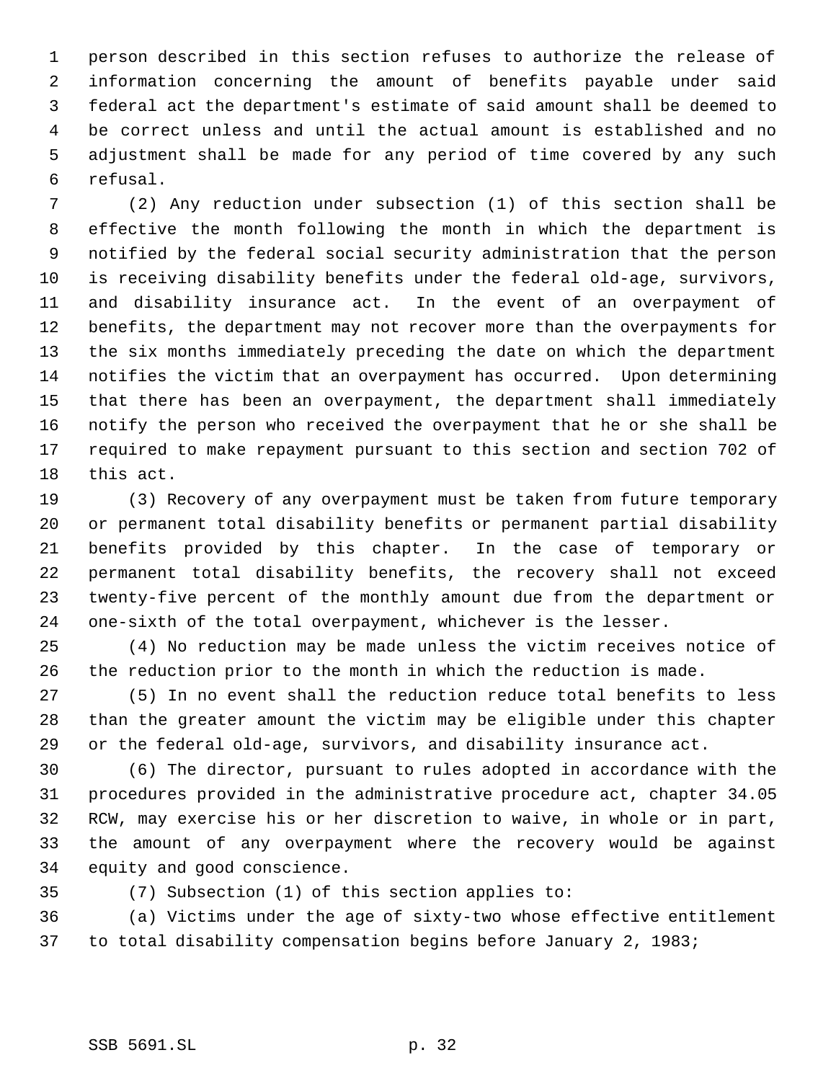person described in this section refuses to authorize the release of information concerning the amount of benefits payable under said federal act the department's estimate of said amount shall be deemed to be correct unless and until the actual amount is established and no adjustment shall be made for any period of time covered by any such refusal.

 (2) Any reduction under subsection (1) of this section shall be effective the month following the month in which the department is notified by the federal social security administration that the person is receiving disability benefits under the federal old-age, survivors, and disability insurance act. In the event of an overpayment of benefits, the department may not recover more than the overpayments for the six months immediately preceding the date on which the department notifies the victim that an overpayment has occurred. Upon determining that there has been an overpayment, the department shall immediately notify the person who received the overpayment that he or she shall be required to make repayment pursuant to this section and section 702 of this act.

 (3) Recovery of any overpayment must be taken from future temporary or permanent total disability benefits or permanent partial disability benefits provided by this chapter. In the case of temporary or permanent total disability benefits, the recovery shall not exceed twenty-five percent of the monthly amount due from the department or one-sixth of the total overpayment, whichever is the lesser.

 (4) No reduction may be made unless the victim receives notice of the reduction prior to the month in which the reduction is made.

 (5) In no event shall the reduction reduce total benefits to less than the greater amount the victim may be eligible under this chapter or the federal old-age, survivors, and disability insurance act.

 (6) The director, pursuant to rules adopted in accordance with the procedures provided in the administrative procedure act, chapter 34.05 RCW, may exercise his or her discretion to waive, in whole or in part, the amount of any overpayment where the recovery would be against equity and good conscience.

- 
- (7) Subsection (1) of this section applies to:

 (a) Victims under the age of sixty-two whose effective entitlement to total disability compensation begins before January 2, 1983;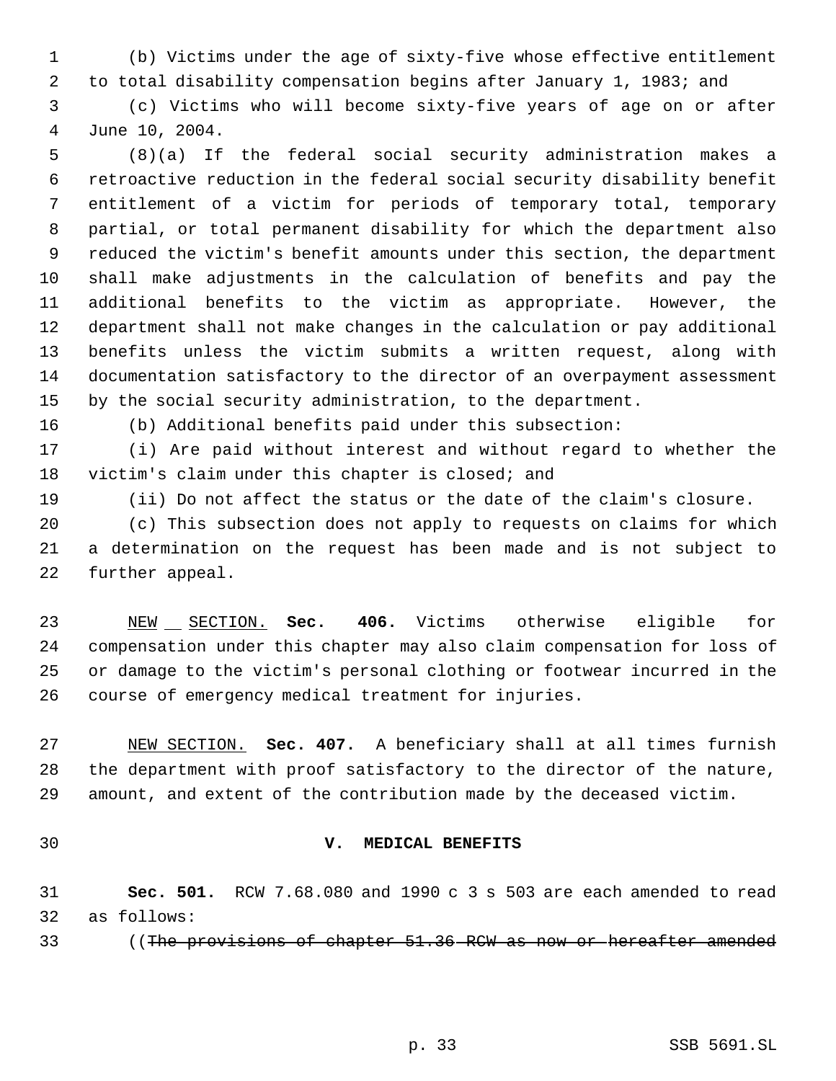(b) Victims under the age of sixty-five whose effective entitlement to total disability compensation begins after January 1, 1983; and

 (c) Victims who will become sixty-five years of age on or after June 10, 2004.

 (8)(a) If the federal social security administration makes a retroactive reduction in the federal social security disability benefit entitlement of a victim for periods of temporary total, temporary partial, or total permanent disability for which the department also reduced the victim's benefit amounts under this section, the department shall make adjustments in the calculation of benefits and pay the additional benefits to the victim as appropriate. However, the department shall not make changes in the calculation or pay additional benefits unless the victim submits a written request, along with documentation satisfactory to the director of an overpayment assessment by the social security administration, to the department.

(b) Additional benefits paid under this subsection:

 (i) Are paid without interest and without regard to whether the victim's claim under this chapter is closed; and

(ii) Do not affect the status or the date of the claim's closure.

 (c) This subsection does not apply to requests on claims for which a determination on the request has been made and is not subject to further appeal.

 NEW SECTION. **Sec. 406.** Victims otherwise eligible for compensation under this chapter may also claim compensation for loss of or damage to the victim's personal clothing or footwear incurred in the course of emergency medical treatment for injuries.

 NEW SECTION. **Sec. 407.** A beneficiary shall at all times furnish the department with proof satisfactory to the director of the nature, amount, and extent of the contribution made by the deceased victim.

### **V. MEDICAL BENEFITS**

 **Sec. 501.** RCW 7.68.080 and 1990 c 3 s 503 are each amended to read as follows:

33 (The provisions of chapter 51.36 RCW as now or hereafter amended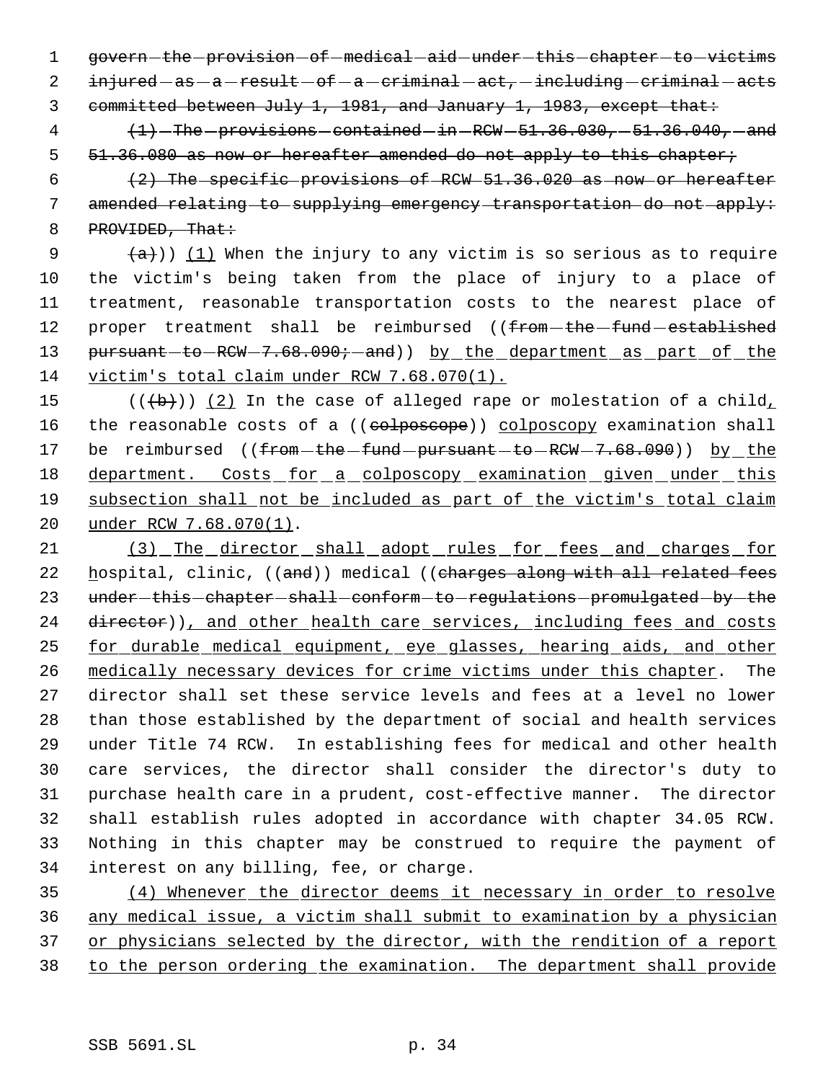1 govern-the-provision-of-medical-aid-under-this-chapter-to-victims injured  $-as - a - result - of - a - criminal - act, - including - criminal - acts$ 

committed between July 1, 1981, and January 1, 1983, except that:

  $\left\langle +1\right\rangle$  -The -provisions -contained -in -RCW -51.36.030, -51.36.040, -and 5 51.36.080 as now or hereafter amended do not apply to this chapter;

  $(2)$  The specific provisions of RCW  $51.36.020$  as now or hereafter amended relating to supplying emergency transportation do not apply: 8 PROVIDED, That:

 $(a)$  (1) When the injury to any victim is so serious as to require the victim's being taken from the place of injury to a place of treatment, reasonable transportation costs to the nearest place of 12 proper treatment shall be reimbursed ((from-the-fund-established 13 pursuant-to-RCW-7.68.090;-and)) by the department as part of the victim's total claim under RCW 7.68.070(1).

15  $((+b))$   $(2)$  In the case of alleged rape or molestation of a child, 16 the reasonable costs of a ((colposcope)) colposcopy examination shall 17 be reimbursed ((from the fund pursuant to RCW - 7.68.090)) by the 18 department. Costs for a colposcopy examination given under this subsection shall not be included as part of the victim's total claim under RCW 7.68.070(1).

 (3) The director shall adopt rules for fees and charges for 22 hospital, clinic, ((and)) medical ((charges along with all related fees 23 under-this-chapter-shall-conform-to-regulations-promulgated-by-the 24 director)), and other health care services, including fees and costs for durable medical equipment, eye glasses, hearing aids, and other medically necessary devices for crime victims under this chapter. The director shall set these service levels and fees at a level no lower than those established by the department of social and health services under Title 74 RCW. In establishing fees for medical and other health care services, the director shall consider the director's duty to purchase health care in a prudent, cost-effective manner. The director shall establish rules adopted in accordance with chapter 34.05 RCW. Nothing in this chapter may be construed to require the payment of interest on any billing, fee, or charge.

 (4) Whenever the director deems it necessary in order to resolve any medical issue, a victim shall submit to examination by a physician 37 or physicians selected by the director, with the rendition of a report to the person ordering the examination. The department shall provide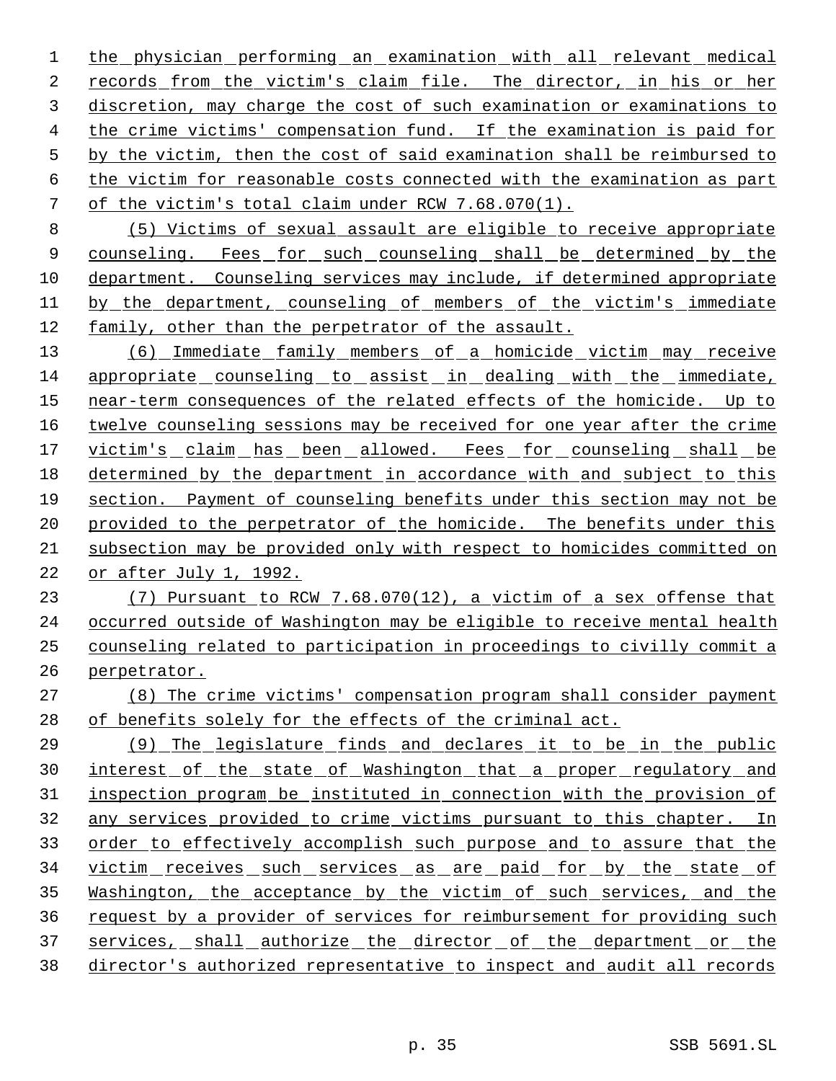the physician performing an examination with all relevant medical records from the victim's claim file. The director, in his or her discretion, may charge the cost of such examination or examinations to the crime victims' compensation fund. If the examination is paid for by the victim, then the cost of said examination shall be reimbursed to the victim for reasonable costs connected with the examination as part of the victim's total claim under RCW 7.68.070(1).

 (5) Victims of sexual assault are eligible to receive appropriate 9 counseling. Fees for such counseling shall be determined by the department. Counseling services may include, if determined appropriate 11 by the department, counseling of members of the victim's immediate family, other than the perpetrator of the assault.

 (6) Immediate family members of a homicide victim may receive appropriate counseling to assist in dealing with the immediate, near-term consequences of the related effects of the homicide. Up to 16 twelve counseling sessions may be received for one year after the crime 17 victim's claim has been allowed. Fees for counseling shall be determined by the department in accordance with and subject to this section. Payment of counseling benefits under this section may not be 20 provided to the perpetrator of the homicide. The benefits under this subsection may be provided only with respect to homicides committed on or after July 1, 1992.

 (7) Pursuant to RCW 7.68.070(12), a victim of a sex offense that occurred outside of Washington may be eligible to receive mental health counseling related to participation in proceedings to civilly commit a perpetrator.

 (8) The crime victims' compensation program shall consider payment of benefits solely for the effects of the criminal act.

 (9) The legislature finds and declares it to be in the public 30 interest of the state of Washington that a proper regulatory and inspection program be instituted in connection with the provision of any services provided to crime victims pursuant to this chapter. In 33 order to effectively accomplish such purpose and to assure that the 34 victim receives such services as are paid for by the state of Washington, the acceptance by the victim of such services, and the request by a provider of services for reimbursement for providing such 37 services, shall authorize the director of the department or the director's authorized representative to inspect and audit all records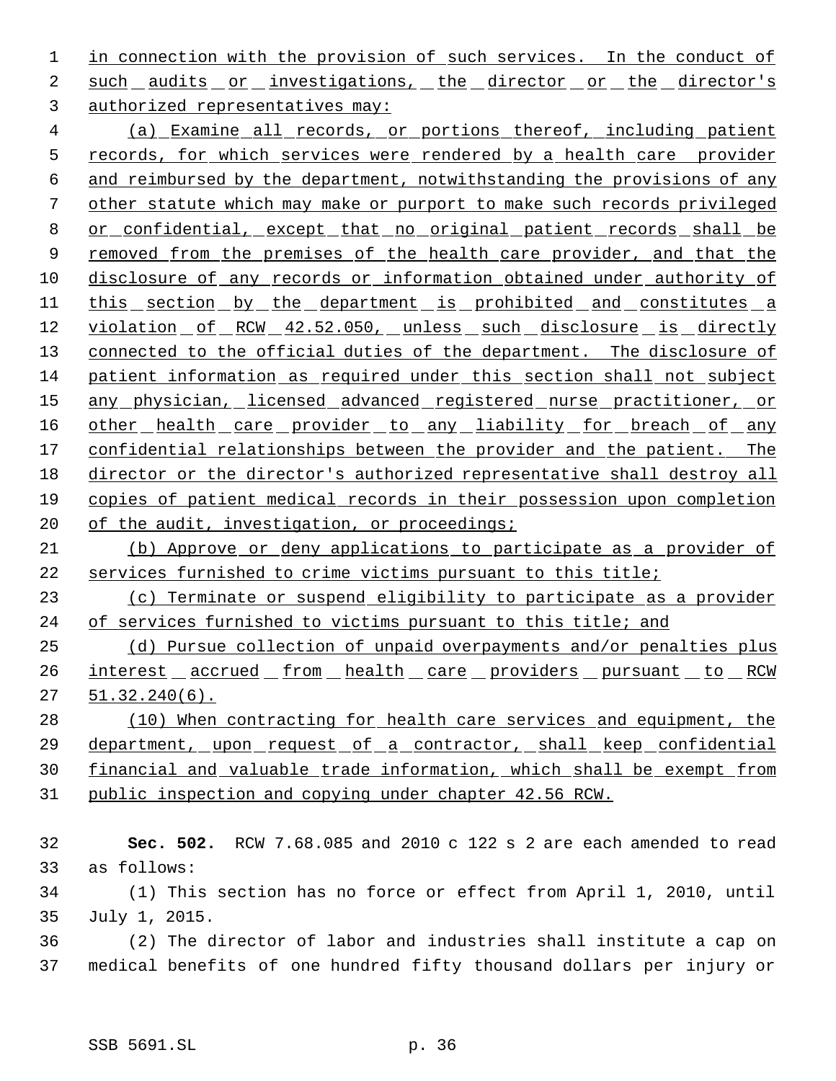1 in connection with the provision of such services. In the conduct of 2 such audits or investigations, the director or the director's 3 authorized representatives may:

 4 (a) Examine all records, or portions thereof, including patient 5 records, for which services were rendered by a health care provider 6 and reimbursed by the department, notwithstanding the provisions of any 7 other statute which may make or purport to make such records privileged 8 or confidential, except that no original patient records shall be 9 removed from the premises of the health care provider, and that the 10 disclosure of any records or information obtained under authority of 11 this section by the department is prohibited and constitutes a 12 violation of RCW 42.52.050, unless such disclosure is directly 13 connected to the official duties of the department. The disclosure of 14 patient information as required under this section shall not subject 15 any physician, licensed advanced registered nurse practitioner, or 16 other health care provider to any liability for breach of any 17 confidential relationships between the provider and the patient. The 18 director or the director's authorized representative shall destroy all 19 copies of patient medical records in their possession upon completion 20 of the audit, investigation, or proceedings;

21 (b) Approve or deny applications to participate as a provider of 22 services furnished to crime victims pursuant to this title;

23 (c) Terminate or suspend eligibility to participate as a provider 24 of services furnished to victims pursuant to this title; and

25 (d) Pursue collection of unpaid overpayments and/or penalties plus 26 interest accrued from health care providers pursuant to RCW 27 51.32.240(6).

 (10) When contracting for health care services and equipment, the department, upon request of a contractor, shall keep confidential financial and valuable trade information, which shall be exempt from public inspection and copying under chapter 42.56 RCW.

 **Sec. 502.** RCW 7.68.085 and 2010 c 122 s 2 are each amended to read as follows: (1) This section has no force or effect from April 1, 2010, until July 1, 2015. (2) The director of labor and industries shall institute a cap on medical benefits of one hundred fifty thousand dollars per injury or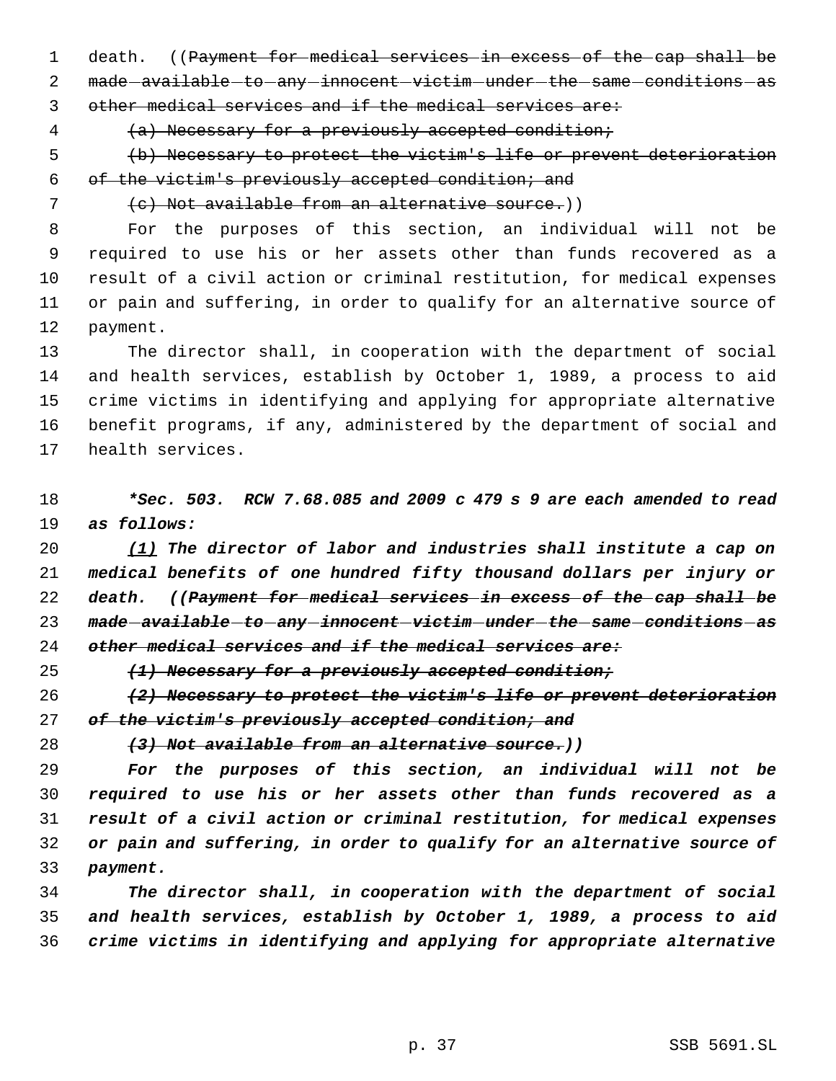1 death. ((Payment for medical services in excess of the cap shall be 2 made - available - to - any - innocent - victim - under - the - same - conditions - as other medical services and if the medical services are:

4 (a) Necessary for a previously accepted condition;

 (b) Necessary to protect the victim's life or prevent deterioration 6 of the victim's previously accepted condition; and

7 (c) Not available from an alternative source.)

 For the purposes of this section, an individual will not be required to use his or her assets other than funds recovered as a result of a civil action or criminal restitution, for medical expenses or pain and suffering, in order to qualify for an alternative source of payment.

 The director shall, in cooperation with the department of social and health services, establish by October 1, 1989, a process to aid crime victims in identifying and applying for appropriate alternative benefit programs, if any, administered by the department of social and health services.

 *\*Sec. 503. RCW 7.68.085 and 2009 c 479 s 9 are each amended to read as follows:*

 *(1) The director of labor and industries shall institute a cap on medical benefits of one hundred fifty thousand dollars per injury or death. ((Payment for medical services in excess of the cap shall be made available to any innocent victim under the same conditions as other medical services and if the medical services are:*

*(1) Necessary for a previously accepted condition;*

 *(2) Necessary to protect the victim's life or prevent deterioration of the victim's previously accepted condition; and*

*(3) Not available from an alternative source.))*

 *For the purposes of this section, an individual will not be required to use his or her assets other than funds recovered as a result of a civil action or criminal restitution, for medical expenses or pain and suffering, in order to qualify for an alternative source of payment.*

 *The director shall, in cooperation with the department of social and health services, establish by October 1, 1989, a process to aid crime victims in identifying and applying for appropriate alternative*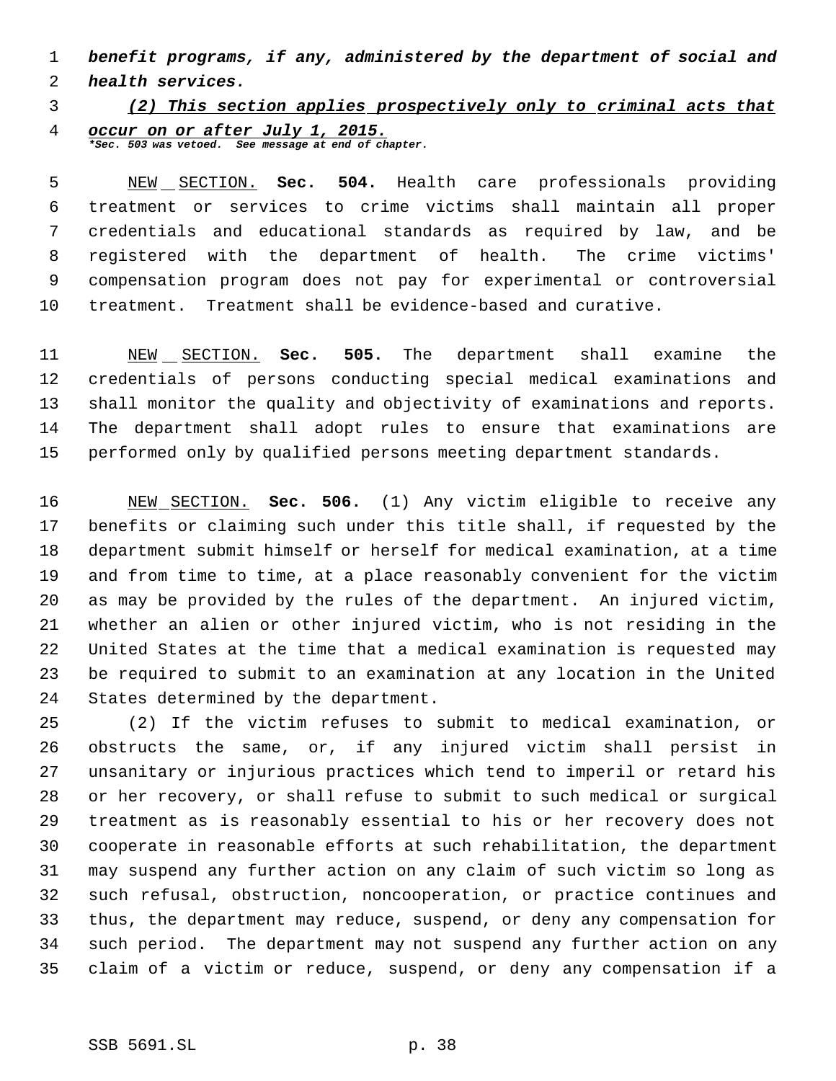*benefit programs, if any, administered by the department of social and*

*health services.*

# *(2) This section applies prospectively only to criminal acts that occur on or after July 1, 2015.*

*\*Sec. 503 was vetoed. See message at end of chapter.*

 NEW SECTION. **Sec. 504.** Health care professionals providing treatment or services to crime victims shall maintain all proper credentials and educational standards as required by law, and be registered with the department of health. The crime victims' compensation program does not pay for experimental or controversial treatment. Treatment shall be evidence-based and curative.

 NEW SECTION. **Sec. 505.** The department shall examine the credentials of persons conducting special medical examinations and shall monitor the quality and objectivity of examinations and reports. The department shall adopt rules to ensure that examinations are performed only by qualified persons meeting department standards.

 NEW SECTION. **Sec. 506.** (1) Any victim eligible to receive any benefits or claiming such under this title shall, if requested by the department submit himself or herself for medical examination, at a time and from time to time, at a place reasonably convenient for the victim as may be provided by the rules of the department. An injured victim, whether an alien or other injured victim, who is not residing in the United States at the time that a medical examination is requested may be required to submit to an examination at any location in the United States determined by the department.

 (2) If the victim refuses to submit to medical examination, or obstructs the same, or, if any injured victim shall persist in unsanitary or injurious practices which tend to imperil or retard his or her recovery, or shall refuse to submit to such medical or surgical treatment as is reasonably essential to his or her recovery does not cooperate in reasonable efforts at such rehabilitation, the department may suspend any further action on any claim of such victim so long as such refusal, obstruction, noncooperation, or practice continues and thus, the department may reduce, suspend, or deny any compensation for such period. The department may not suspend any further action on any claim of a victim or reduce, suspend, or deny any compensation if a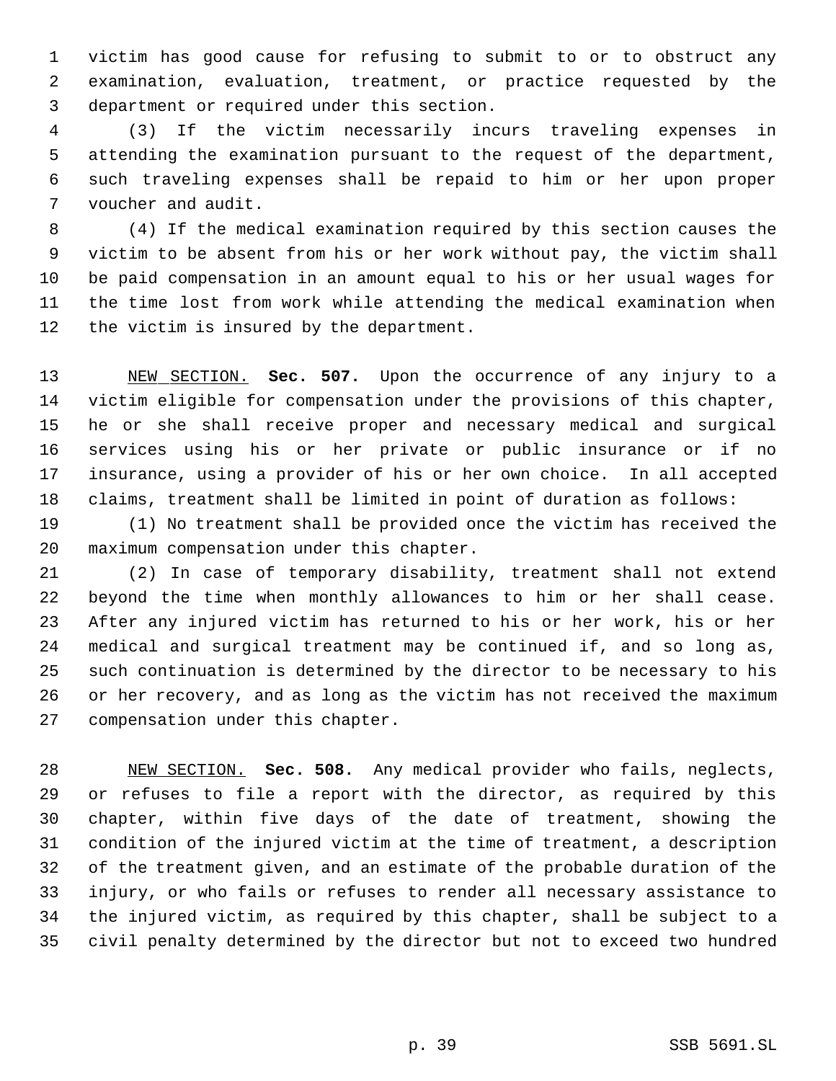victim has good cause for refusing to submit to or to obstruct any examination, evaluation, treatment, or practice requested by the department or required under this section.

 (3) If the victim necessarily incurs traveling expenses in attending the examination pursuant to the request of the department, such traveling expenses shall be repaid to him or her upon proper voucher and audit.

 (4) If the medical examination required by this section causes the victim to be absent from his or her work without pay, the victim shall be paid compensation in an amount equal to his or her usual wages for the time lost from work while attending the medical examination when 12 the victim is insured by the department.

 NEW SECTION. **Sec. 507.** Upon the occurrence of any injury to a victim eligible for compensation under the provisions of this chapter, he or she shall receive proper and necessary medical and surgical services using his or her private or public insurance or if no insurance, using a provider of his or her own choice. In all accepted claims, treatment shall be limited in point of duration as follows:

 (1) No treatment shall be provided once the victim has received the maximum compensation under this chapter.

 (2) In case of temporary disability, treatment shall not extend beyond the time when monthly allowances to him or her shall cease. After any injured victim has returned to his or her work, his or her medical and surgical treatment may be continued if, and so long as, such continuation is determined by the director to be necessary to his or her recovery, and as long as the victim has not received the maximum compensation under this chapter.

 NEW SECTION. **Sec. 508.** Any medical provider who fails, neglects, or refuses to file a report with the director, as required by this chapter, within five days of the date of treatment, showing the condition of the injured victim at the time of treatment, a description of the treatment given, and an estimate of the probable duration of the injury, or who fails or refuses to render all necessary assistance to the injured victim, as required by this chapter, shall be subject to a civil penalty determined by the director but not to exceed two hundred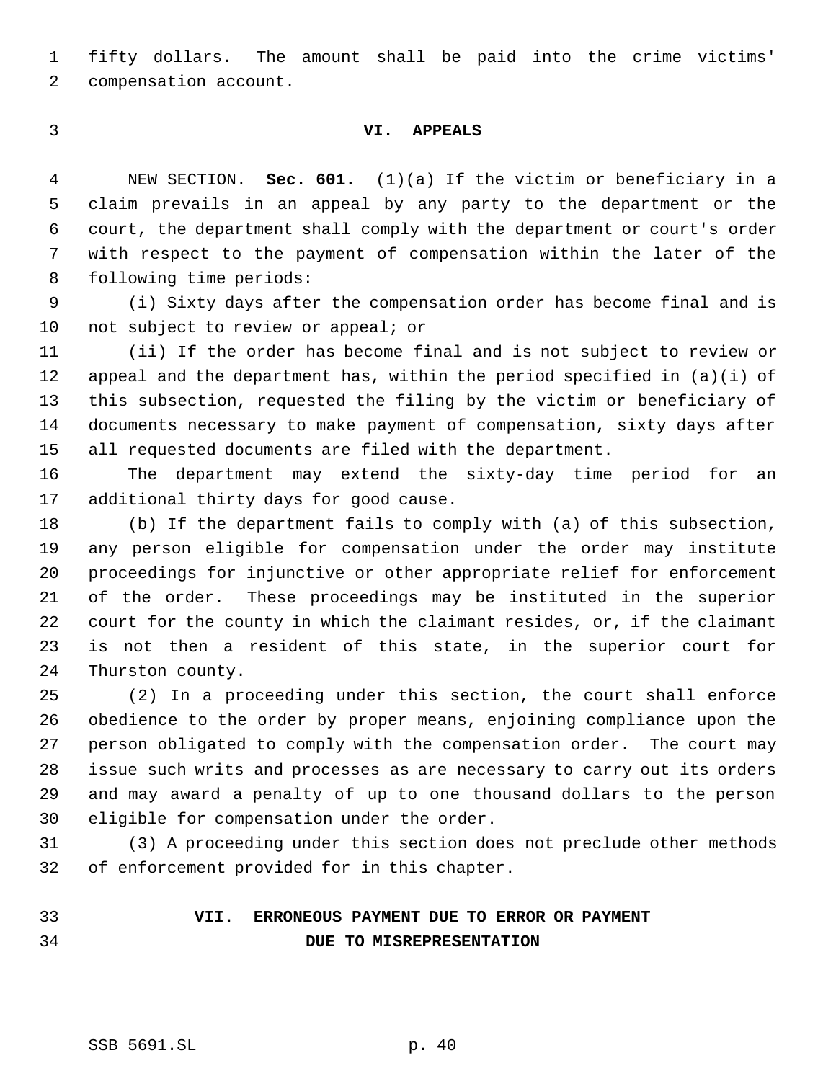fifty dollars. The amount shall be paid into the crime victims' compensation account.

### **VI. APPEALS**

 NEW SECTION. **Sec. 601.** (1)(a) If the victim or beneficiary in a claim prevails in an appeal by any party to the department or the court, the department shall comply with the department or court's order with respect to the payment of compensation within the later of the following time periods:

 (i) Sixty days after the compensation order has become final and is 10 not subject to review or appeal; or

 (ii) If the order has become final and is not subject to review or 12 appeal and the department has, within the period specified in  $(a)(i)$  of this subsection, requested the filing by the victim or beneficiary of documents necessary to make payment of compensation, sixty days after all requested documents are filed with the department.

 The department may extend the sixty-day time period for an additional thirty days for good cause.

 (b) If the department fails to comply with (a) of this subsection, any person eligible for compensation under the order may institute proceedings for injunctive or other appropriate relief for enforcement of the order. These proceedings may be instituted in the superior court for the county in which the claimant resides, or, if the claimant is not then a resident of this state, in the superior court for Thurston county.

 (2) In a proceeding under this section, the court shall enforce obedience to the order by proper means, enjoining compliance upon the person obligated to comply with the compensation order. The court may issue such writs and processes as are necessary to carry out its orders and may award a penalty of up to one thousand dollars to the person eligible for compensation under the order.

 (3) A proceeding under this section does not preclude other methods of enforcement provided for in this chapter.

 **VII. ERRONEOUS PAYMENT DUE TO ERROR OR PAYMENT DUE TO MISREPRESENTATION**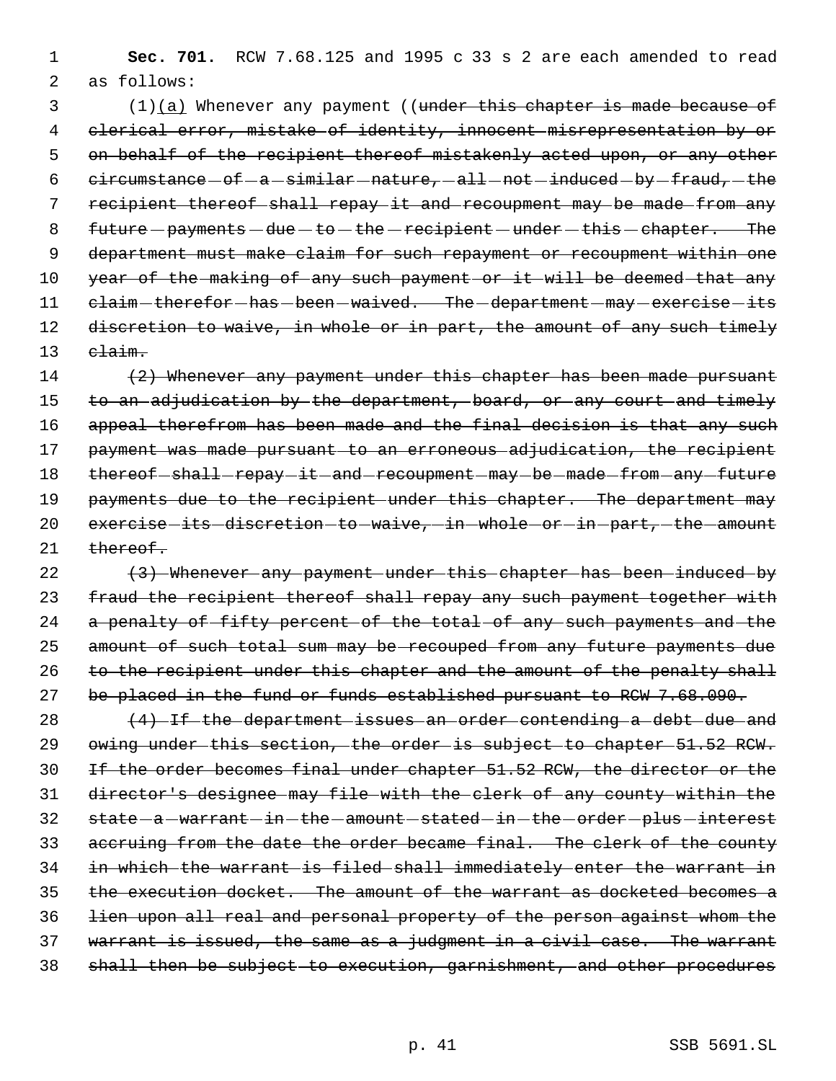1 **Sec. 701.** RCW 7.68.125 and 1995 c 33 s 2 are each amended to read 2 as follows:

3 (1)(a) Whenever any payment ((under this chapter is made because of 4 clerical error, mistake of identity, innocent misrepresentation by or 5 on behalf of the recipient thereof mistakenly acted upon, or any other 6  $circumstance-of-a-similar-nature, -all-not-induced-by-fraud, -the$ 7 recipient thereof shall repay it and recoupment may be made from any 8  $futtere$  - payments - due - to - the - recipient - under - this - chapter. The 9 department must make claim for such repayment or recoupment within one 10 year of the making of any such payment or it will be deemed that any 11 claim-therefor-has-been-waived. The-department-may-exercise-its 12 discretion to waive, in whole or in part, the amount of any such timely 13 claim.

14 (2) Whenever any payment under this chapter has been made pursuant 15 to an adjudication by the department, board, or any court and timely 16 appeal therefrom has been made and the final decision is that any such 17 payment was made pursuant to an erroneous adjudication, the recipient 18 thereof-shall-repay-it-and-recoupment-may-be-made-from-any-future 19 payments due to the recipient under this chapter. The department may 20 exercise its discretion to waive, in whole or in part, the amount 21 thereof.

22 (3) Whenever any payment under this chapter has been induced by 23 fraud the recipient thereof shall repay any such payment together with 24 a penalty of fifty percent of the total of any such payments and the 25 amount of such total sum may be recouped from any future payments due 26 to the recipient under this chapter and the amount of the penalty shall 27 be placed in the fund or funds established pursuant to RCW 7.68.090.

28 (4) If the department issues an order contending a debt due and owing under this section, the order is subject to chapter 51.52 RCW. If the order becomes final under chapter 51.52 RCW, the director or the director's designee may file with the clerk of any county within the 32 state-a-warrant-in-the-amount-stated-in-the-order-plus-interest accruing from the date the order became final. The clerk of the county in which the warrant is filed shall immediately enter the warrant in the execution docket. The amount of the warrant as docketed becomes a lien upon all real and personal property of the person against whom the 37 warrant is issued, the same as a judgment in a civil case. The warrant shall then be subject to execution, garnishment, and other procedures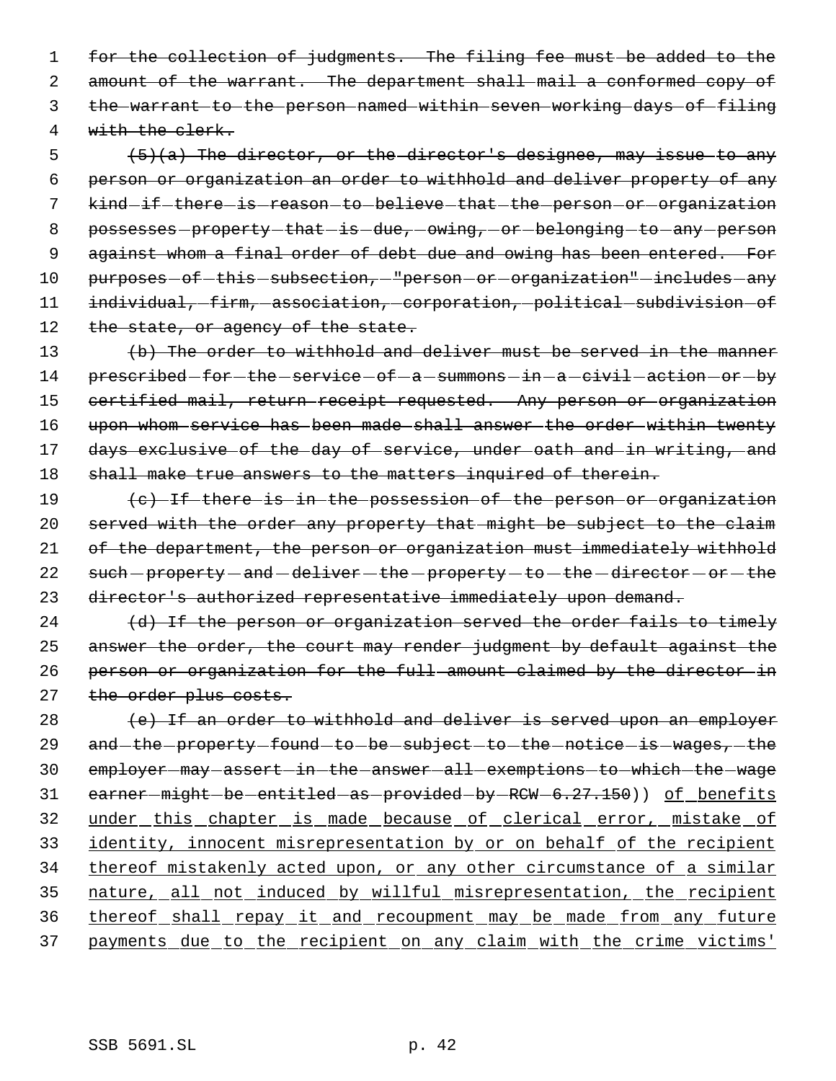1 for the collection of judgments. The filing fee must be added to the 2 amount of the warrant. The department shall mail a conformed copy of 3 the warrant to the person named within seven working days of filing 4 with the clerk.

 $5$  (5)(a) The director, or the director's designee, may issue to any 6 person or organization an order to withhold and deliver property of any 7 kind-if-there-is-reason-to-believe-that-the-person-or-organization 8 possesses-property-that-is-due,-owing,-or-belonging-to-any-person 9 against whom a final order of debt due and owing has been entered. For 10 purposes-of-this-subsection, "person-or-organization"-includes-any 11 individual, firm, association, corporation, political subdivision of 12 the state, or agency of the state.

13 (b) The order to withhold and deliver must be served in the manner 14 prescribed-for-the-service-of-a-summons-in-a-civil-action-or-by 15 certified mail, return receipt requested. Any person or organization 16 upon whom service has been made shall answer the order within twenty 17 days exclusive of the day of service, under oath and in writing, and 18 shall make true answers to the matters inquired of therein.

19 (c) If there is in the possession of the person or organization 20 served with the order any property that might be subject to the claim 21 of the department, the person or organization must immediately withhold 22 such-property-and-deliver-the-property-to-the-director-or-the 23 director's authorized representative immediately upon demand.

 $24$  (d) If the person or organization served the order fails to timely 25 answer the order, the court may render judgment by default against the 26 person or organization for the full amount claimed by the director in 27 the order plus costs.

 $28$  (e) If an order to withhold and deliver is served upon an employer 29 and the property found to be subject to the notice is wages, the 30 employer-may-assert-in-the-answer-all-exemptions-to-which-the-wage 31 earner-might-be-entitled-as-provided-by-RCW-6.27.150)) of benefits 32 under this chapter is made because of clerical error, mistake of 33 identity, innocent misrepresentation by or on behalf of the recipient 34 thereof mistakenly acted upon, or any other circumstance of a similar 35 nature, all not induced by willful misrepresentation, the recipient 36 thereof shall repay it and recoupment may be made from any future 37 payments due to the recipient on any claim with the crime victims'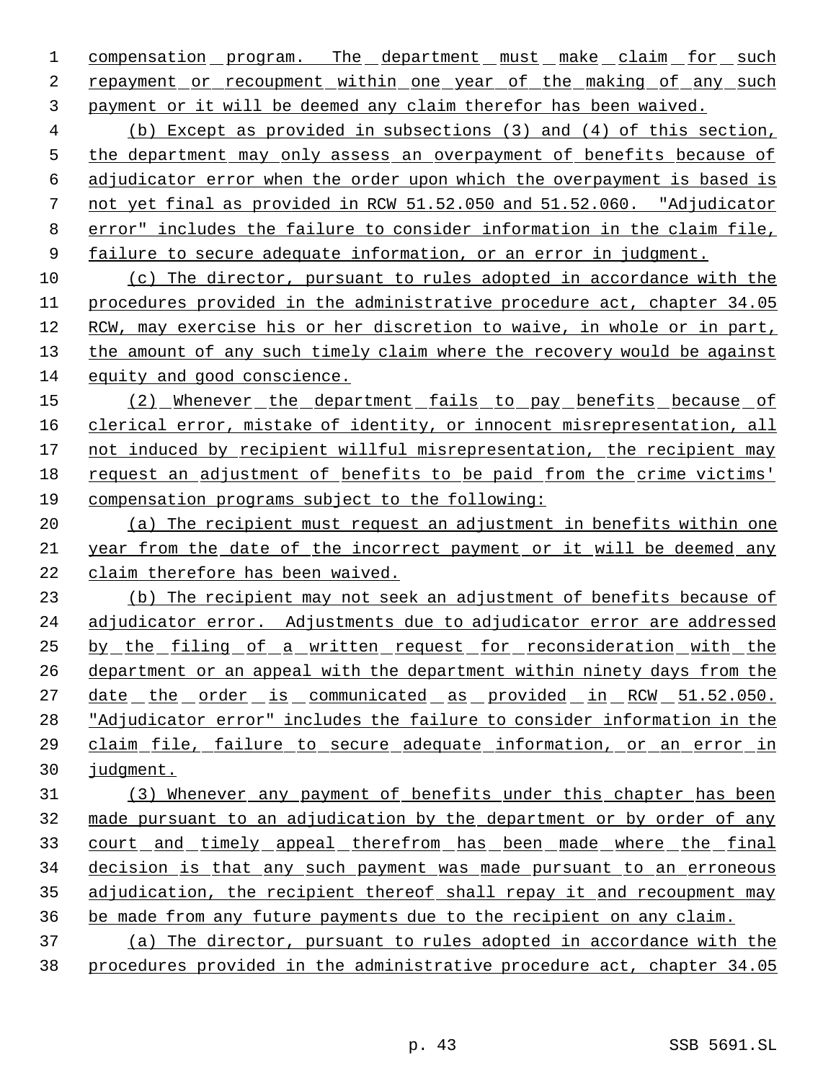1 compensation program. The department must make claim for such repayment or recoupment within one year of the making of any such payment or it will be deemed any claim therefor has been waived.

 (b) Except as provided in subsections (3) and (4) of this section, the department may only assess an overpayment of benefits because of adjudicator error when the order upon which the overpayment is based is not yet final as provided in RCW 51.52.050 and 51.52.060. "Adjudicator error" includes the failure to consider information in the claim file, failure to secure adequate information, or an error in judgment.

 (c) The director, pursuant to rules adopted in accordance with the procedures provided in the administrative procedure act, chapter 34.05 RCW, may exercise his or her discretion to waive, in whole or in part, the amount of any such timely claim where the recovery would be against equity and good conscience.

15 (2) Whenever the department fails to pay benefits because of 16 clerical error, mistake of identity, or innocent misrepresentation, all not induced by recipient willful misrepresentation, the recipient may request an adjustment of benefits to be paid from the crime victims' compensation programs subject to the following:

 (a) The recipient must request an adjustment in benefits within one year from the date of the incorrect payment or it will be deemed any claim therefore has been waived.

 (b) The recipient may not seek an adjustment of benefits because of adjudicator error. Adjustments due to adjudicator error are addressed by the filing of a written request for reconsideration with the department or an appeal with the department within ninety days from the 27 date the order is communicated as provided in RCW 51.52.050. "Adjudicator error" includes the failure to consider information in the claim file, failure to secure adequate information, or an error in judgment.

 (3) Whenever any payment of benefits under this chapter has been made pursuant to an adjudication by the department or by order of any 33 court and timely appeal therefrom has been made where the final decision is that any such payment was made pursuant to an erroneous 35 adjudication, the recipient thereof shall repay it and recoupment may be made from any future payments due to the recipient on any claim.

 (a) The director, pursuant to rules adopted in accordance with the procedures provided in the administrative procedure act, chapter 34.05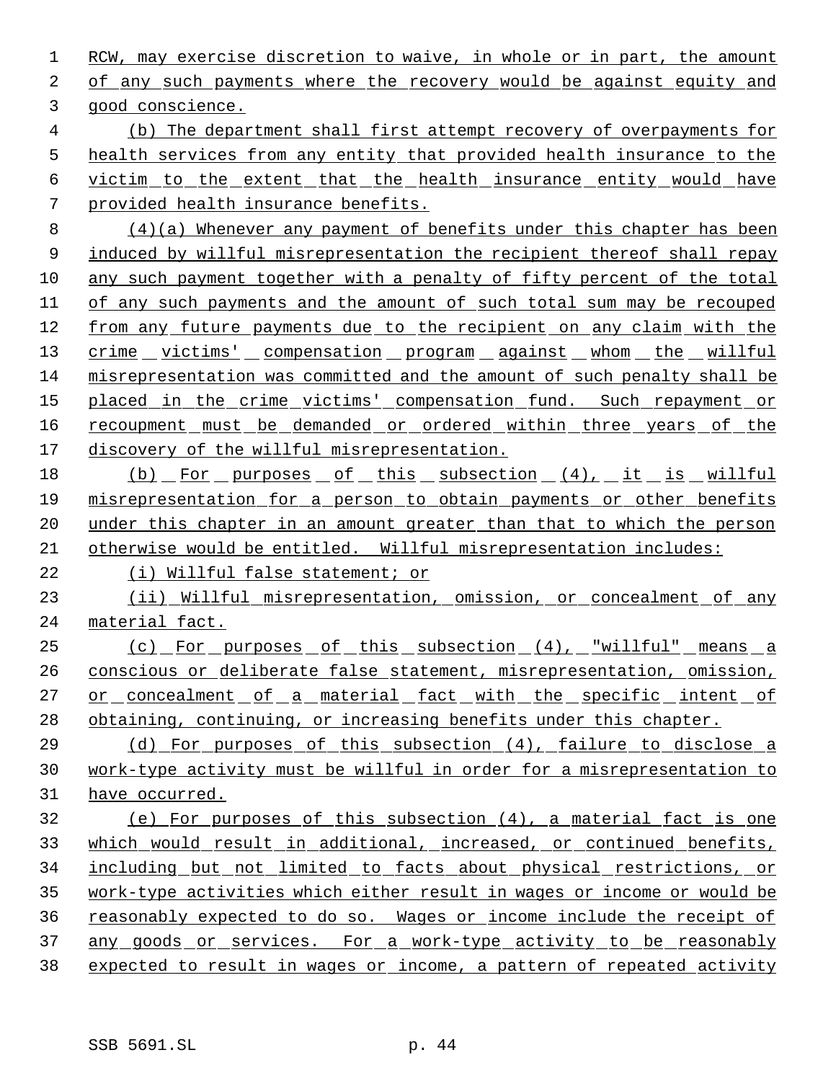1 RCW, may exercise discretion to waive, in whole or in part, the amount of any such payments where the recovery would be against equity and good conscience. (b) The department shall first attempt recovery of overpayments for health services from any entity that provided health insurance to the victim to the extent that the health insurance entity would have provided health insurance benefits. (4)(a) Whenever any payment of benefits under this chapter has been 9 induced by willful misrepresentation the recipient thereof shall repay any such payment together with a penalty of fifty percent of the total of any such payments and the amount of such total sum may be recouped from any future payments due to the recipient on any claim with the 13 crime victims' compensation program against whom the willful misrepresentation was committed and the amount of such penalty shall be 15 placed in the crime victims' compensation fund. Such repayment or 16 recoupment must be demanded or ordered within three years of the discovery of the willful misrepresentation. 18 (b) For purposes of this subsection (4), it is willful misrepresentation for a person to obtain payments or other benefits 20 under this chapter in an amount greater than that to which the person otherwise would be entitled. Willful misrepresentation includes: (i) Willful false statement; or 23 (ii) Willful misrepresentation, omission, or concealment of any material fact. (c) For purposes of this subsection (4), "willful" means a conscious or deliberate false statement, misrepresentation, omission, 27 or concealment of a material fact with the specific intent of 28 obtaining, continuing, or increasing benefits under this chapter. (d) For purposes of this subsection (4), failure to disclose a work-type activity must be willful in order for a misrepresentation to have occurred.

 (e) For purposes of this subsection (4), a material fact is one which would result in additional, increased, or continued benefits, including but not limited to facts about physical restrictions, or work-type activities which either result in wages or income or would be reasonably expected to do so. Wages or income include the receipt of 37 any goods or services. For a work-type activity to be reasonably expected to result in wages or income, a pattern of repeated activity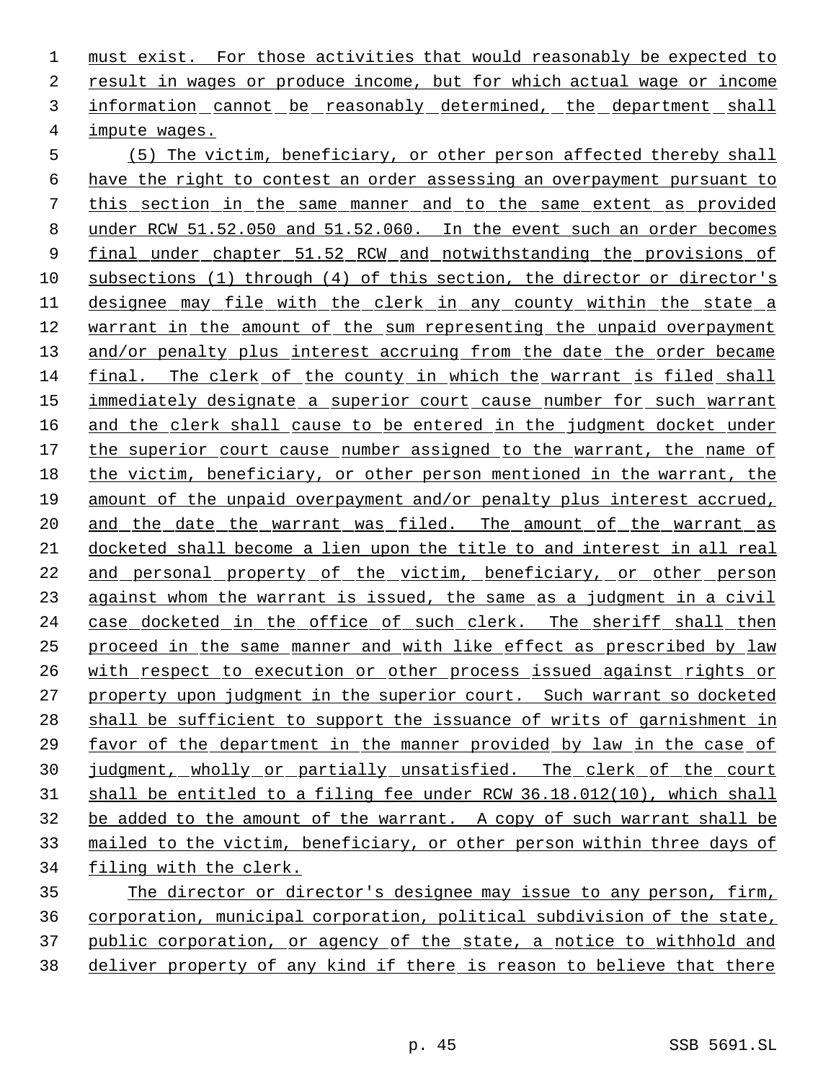must exist. For those activities that would reasonably be expected to result in wages or produce income, but for which actual wage or income information cannot be reasonably determined, the department shall impute wages.

 (5) The victim, beneficiary, or other person affected thereby shall have the right to contest an order assessing an overpayment pursuant to this section in the same manner and to the same extent as provided under RCW 51.52.050 and 51.52.060. In the event such an order becomes final under chapter 51.52 RCW and notwithstanding the provisions of 10 subsections (1) through (4) of this section, the director or director's designee may file with the clerk in any county within the state a warrant in the amount of the sum representing the unpaid overpayment and/or penalty plus interest accruing from the date the order became final. The clerk of the county in which the warrant is filed shall immediately designate a superior court cause number for such warrant 16 and the clerk shall cause to be entered in the judgment docket under the superior court cause number assigned to the warrant, the name of the victim, beneficiary, or other person mentioned in the warrant, the amount of the unpaid overpayment and/or penalty plus interest accrued, 20 and the date the warrant was filed. The amount of the warrant as docketed shall become a lien upon the title to and interest in all real and personal property of the victim, beneficiary, or other person against whom the warrant is issued, the same as a judgment in a civil case docketed in the office of such clerk. The sheriff shall then proceed in the same manner and with like effect as prescribed by law with respect to execution or other process issued against rights or 27 property upon judgment in the superior court. Such warrant so docketed shall be sufficient to support the issuance of writs of garnishment in favor of the department in the manner provided by law in the case of 30 judgment, wholly or partially unsatisfied. The clerk of the court shall be entitled to a filing fee under RCW 36.18.012(10), which shall be added to the amount of the warrant. A copy of such warrant shall be mailed to the victim, beneficiary, or other person within three days of 34 filing with the clerk.

 The director or director's designee may issue to any person, firm, corporation, municipal corporation, political subdivision of the state, public corporation, or agency of the state, a notice to withhold and deliver property of any kind if there is reason to believe that there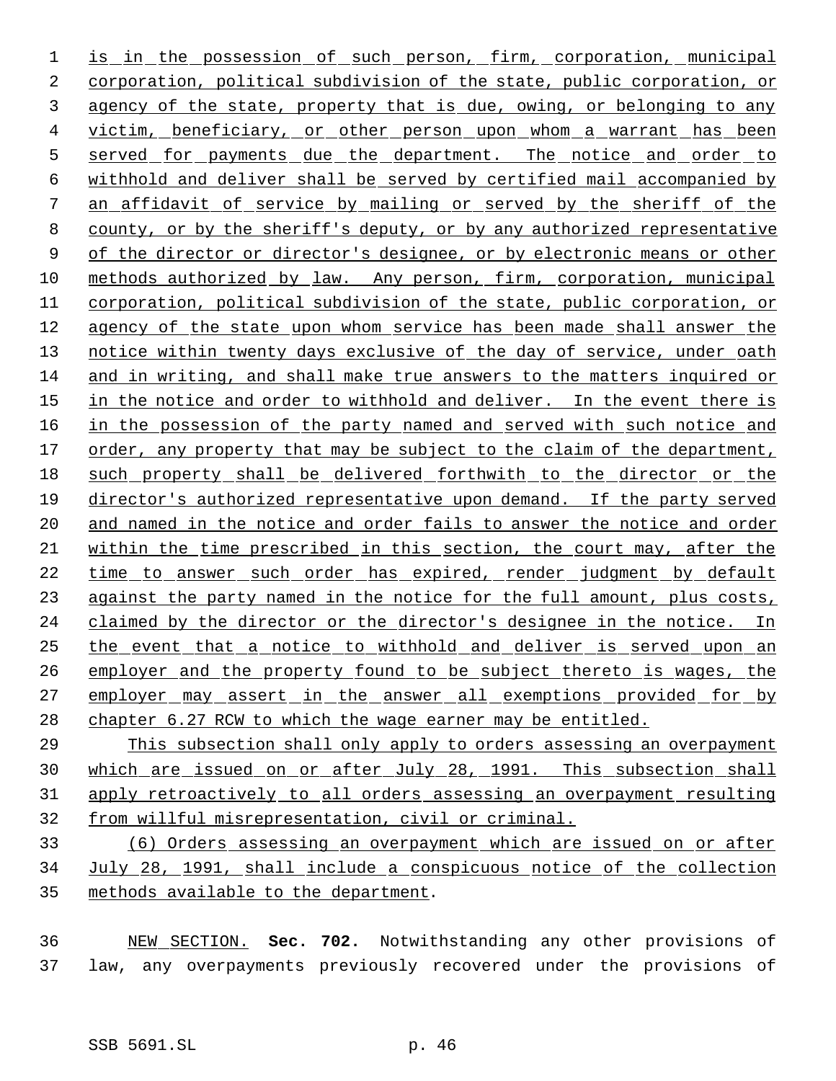1 is in the possession of such person, firm, corporation, municipal corporation, political subdivision of the state, public corporation, or agency of the state, property that is due, owing, or belonging to any 4 victim, beneficiary, or other person upon whom a warrant has been 5 served for payments due the department. The notice and order to withhold and deliver shall be served by certified mail accompanied by an affidavit of service by mailing or served by the sheriff of the county, or by the sheriff's deputy, or by any authorized representative 9 of the director or director's designee, or by electronic means or other methods authorized by law. Any person, firm, corporation, municipal corporation, political subdivision of the state, public corporation, or agency of the state upon whom service has been made shall answer the 13 notice within twenty days exclusive of the day of service, under oath and in writing, and shall make true answers to the matters inquired or in the notice and order to withhold and deliver. In the event there is 16 in the possession of the party named and served with such notice and 17 order, any property that may be subject to the claim of the department, such property shall be delivered forthwith to the director or the director's authorized representative upon demand. If the party served and named in the notice and order fails to answer the notice and order within the time prescribed in this section, the court may, after the time to answer such order has expired, render judgment by default 23 against the party named in the notice for the full amount, plus costs, claimed by the director or the director's designee in the notice. In the event that a notice to withhold and deliver is served upon an 26 employer and the property found to be subject thereto is wages, the 27 employer may assert in the answer all exemptions provided for by 28 chapter 6.27 RCW to which the wage earner may be entitled.

 This subsection shall only apply to orders assessing an overpayment which are issued on or after July 28, 1991. This subsection shall apply retroactively to all orders assessing an overpayment resulting from willful misrepresentation, civil or criminal.

 (6) Orders assessing an overpayment which are issued on or after July 28, 1991, shall include a conspicuous notice of the collection methods available to the department.

 NEW SECTION. **Sec. 702.** Notwithstanding any other provisions of law, any overpayments previously recovered under the provisions of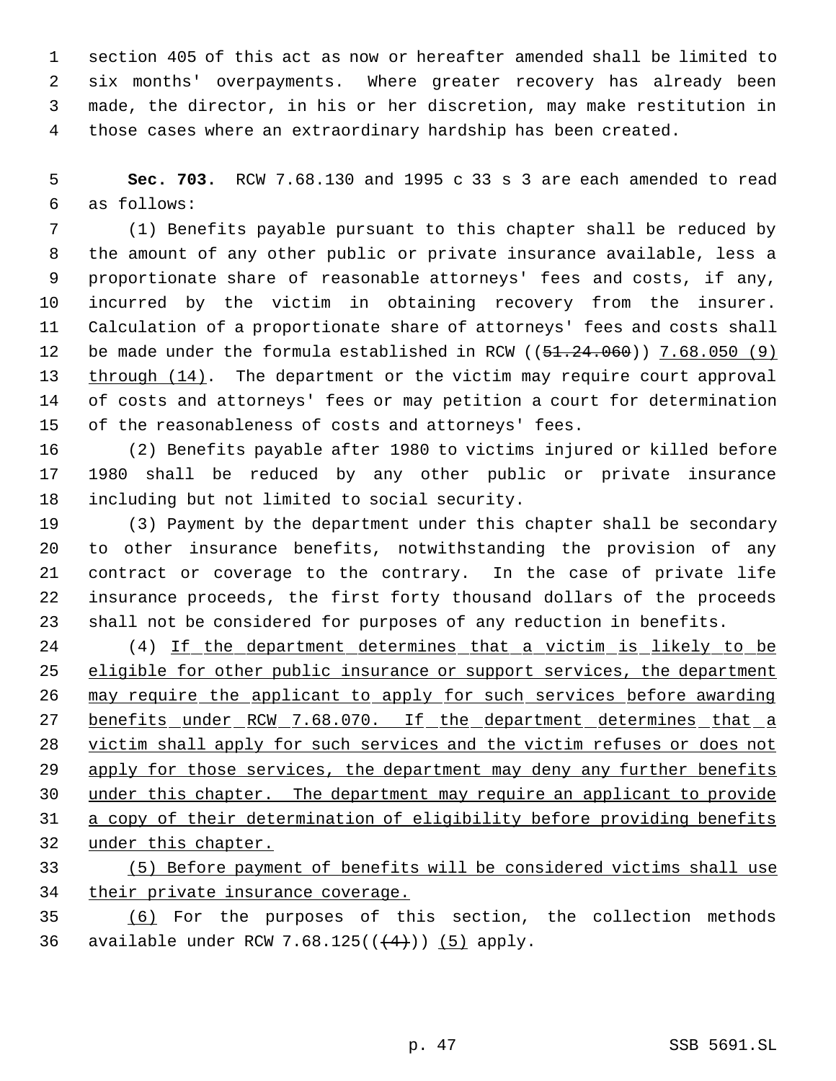section 405 of this act as now or hereafter amended shall be limited to six months' overpayments. Where greater recovery has already been made, the director, in his or her discretion, may make restitution in those cases where an extraordinary hardship has been created.

 **Sec. 703.** RCW 7.68.130 and 1995 c 33 s 3 are each amended to read as follows:

 (1) Benefits payable pursuant to this chapter shall be reduced by the amount of any other public or private insurance available, less a proportionate share of reasonable attorneys' fees and costs, if any, incurred by the victim in obtaining recovery from the insurer. Calculation of a proportionate share of attorneys' fees and costs shall 12 be made under the formula established in RCW ((51.24.060)) 7.68.050 (9) through (14). The department or the victim may require court approval of costs and attorneys' fees or may petition a court for determination of the reasonableness of costs and attorneys' fees.

 (2) Benefits payable after 1980 to victims injured or killed before 1980 shall be reduced by any other public or private insurance including but not limited to social security.

 (3) Payment by the department under this chapter shall be secondary to other insurance benefits, notwithstanding the provision of any contract or coverage to the contrary. In the case of private life insurance proceeds, the first forty thousand dollars of the proceeds shall not be considered for purposes of any reduction in benefits.

24 (4) If the department determines that a victim is likely to be 25 eligible for other public insurance or support services, the department may require the applicant to apply for such services before awarding 27 benefits under RCW 7.68.070. If the department determines that a victim shall apply for such services and the victim refuses or does not 29 apply for those services, the department may deny any further benefits under this chapter. The department may require an applicant to provide a copy of their determination of eligibility before providing benefits under this chapter.

 (5) Before payment of benefits will be considered victims shall use 34 their private insurance coverage.

 (6) For the purposes of this section, the collection methods 36 available under RCW 7.68.125( $($  $($  $+4)$  $)$ )  $($ 5 $)$  apply.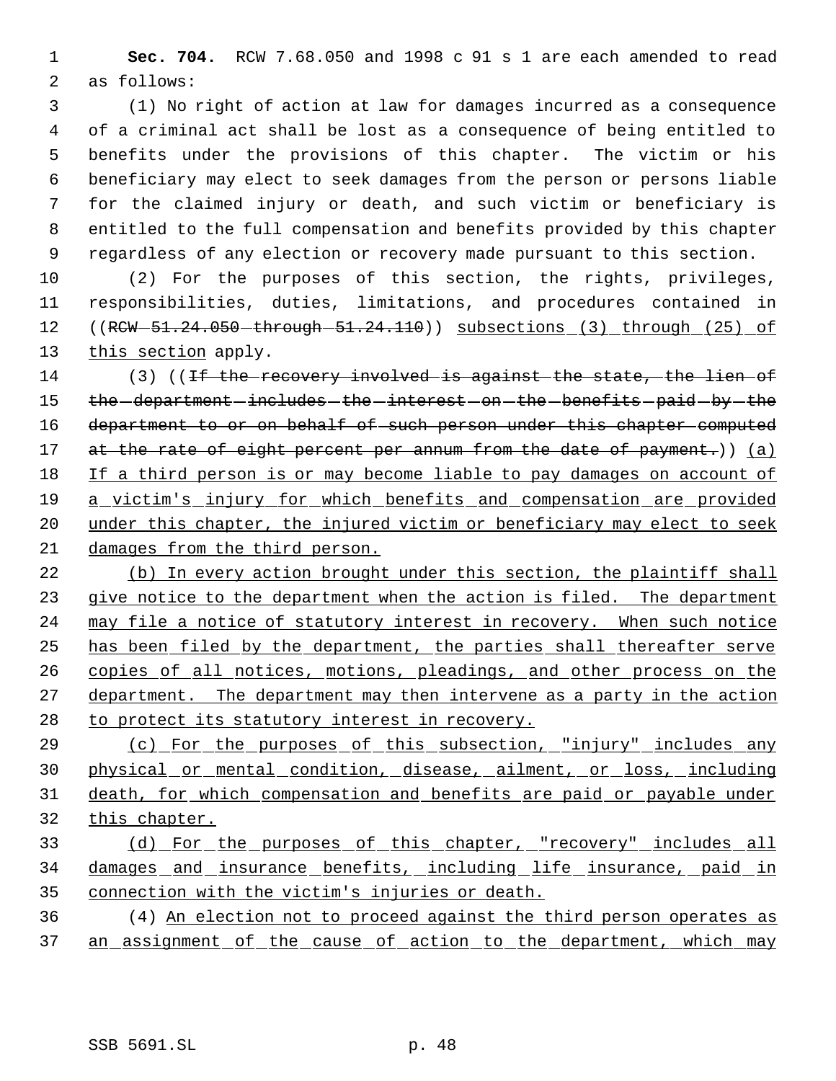**Sec. 704.** RCW 7.68.050 and 1998 c 91 s 1 are each amended to read as follows:

 (1) No right of action at law for damages incurred as a consequence of a criminal act shall be lost as a consequence of being entitled to benefits under the provisions of this chapter. The victim or his beneficiary may elect to seek damages from the person or persons liable for the claimed injury or death, and such victim or beneficiary is entitled to the full compensation and benefits provided by this chapter regardless of any election or recovery made pursuant to this section.

 (2) For the purposes of this section, the rights, privileges, responsibilities, duties, limitations, and procedures contained in 12 ((RCW-51.24.050-through-51.24.110)) subsections (3) through (25) of 13 this section apply.

14 (3) ((<del>If the recovery involved is against the state, the lien of</del> 15 the -department -includes -the -interest -on -the -benefits -paid -by -the 16 department to or on behalf of such person under this chapter computed 17 at the rate of eight percent per annum from the date of payment.)) (a) If a third person is or may become liable to pay damages on account of a victim's injury for which benefits and compensation are provided 20 under this chapter, the injured victim or beneficiary may elect to seek damages from the third person.

 (b) In every action brought under this section, the plaintiff shall 23 give notice to the department when the action is filed. The department may file a notice of statutory interest in recovery. When such notice has been filed by the department, the parties shall thereafter serve 26 copies of all notices, motions, pleadings, and other process on the 27 department. The department may then intervene as a party in the action 28 to protect its statutory interest in recovery.

 (c) For the purposes of this subsection, "injury" includes any physical or mental condition, disease, ailment, or loss, including death, for which compensation and benefits are paid or payable under this chapter.

# (d) For the purposes of this chapter, "recovery" includes all damages and insurance benefits, including life insurance, paid in connection with the victim's injuries or death.

 (4) An election not to proceed against the third person operates as 37 an assignment of the cause of action to the department, which may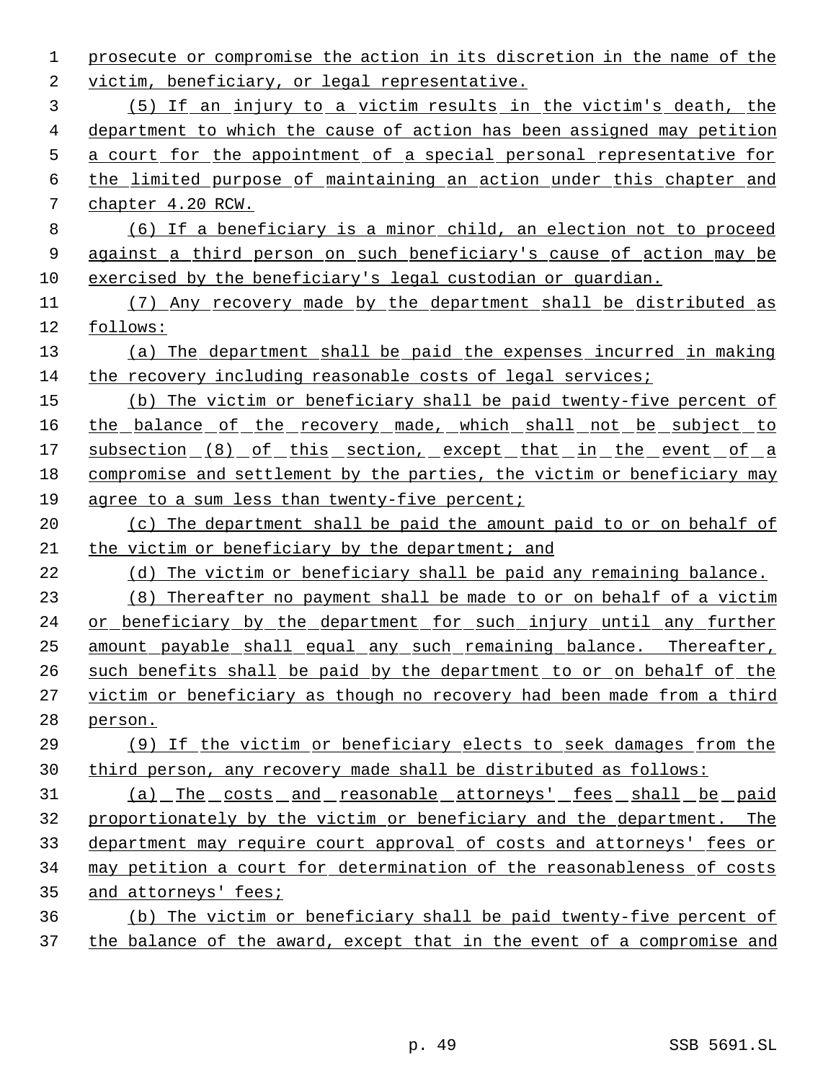prosecute or compromise the action in its discretion in the name of the victim, beneficiary, or legal representative. (5) If an injury to a victim results in the victim's death, the department to which the cause of action has been assigned may petition a court for the appointment of a special personal representative for the limited purpose of maintaining an action under this chapter and chapter 4.20 RCW. (6) If a beneficiary is a minor child, an election not to proceed against a third person on such beneficiary's cause of action may be exercised by the beneficiary's legal custodian or guardian. (7) Any recovery made by the department shall be distributed as follows: (a) The department shall be paid the expenses incurred in making the recovery including reasonable costs of legal services; (b) The victim or beneficiary shall be paid twenty-five percent of 16 the balance of the recovery made, which shall not be subject to 17 subsection (8) of this section, except that in the event of a compromise and settlement by the parties, the victim or beneficiary may agree to a sum less than twenty-five percent; 20 (c) The department shall be paid the amount paid to or on behalf of the victim or beneficiary by the department; and (d) The victim or beneficiary shall be paid any remaining balance. (8) Thereafter no payment shall be made to or on behalf of a victim or beneficiary by the department for such injury until any further amount payable shall equal any such remaining balance. Thereafter, such benefits shall be paid by the department to or on behalf of the victim or beneficiary as though no recovery had been made from a third person. (9) If the victim or beneficiary elects to seek damages from the third person, any recovery made shall be distributed as follows: 31 (a) The costs and reasonable attorneys' fees shall be paid proportionately by the victim or beneficiary and the department. The department may require court approval of costs and attorneys' fees or may petition a court for determination of the reasonableness of costs and attorneys' fees; (b) The victim or beneficiary shall be paid twenty-five percent of the balance of the award, except that in the event of a compromise and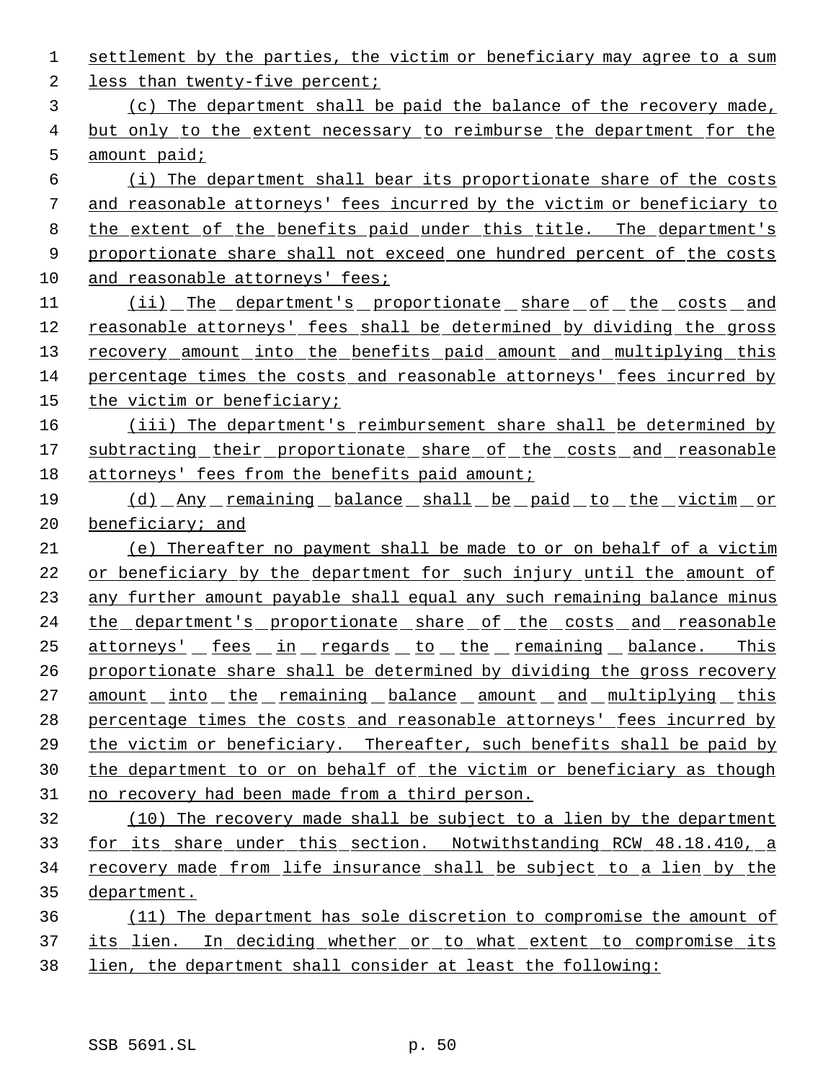settlement by the parties, the victim or beneficiary may agree to a sum 2 less than twenty-five percent; (c) The department shall be paid the balance of the recovery made, but only to the extent necessary to reimburse the department for the amount paid; (i) The department shall bear its proportionate share of the costs 7 and reasonable attorneys' fees incurred by the victim or beneficiary to the extent of the benefits paid under this title. The department's 9 proportionate share shall not exceed one hundred percent of the costs 10 and reasonable attorneys' fees; 11 (ii) The department's proportionate share of the costs and reasonable attorneys' fees shall be determined by dividing the gross 13 recovery amount into the benefits paid amount and multiplying this percentage times the costs and reasonable attorneys' fees incurred by the victim or beneficiary; 16 (iii) The department's reimbursement share shall be determined by 17 subtracting their proportionate share of the costs and reasonable 18 attorneys' fees from the benefits paid amount; (d) Any remaining balance shall be paid to the victim or beneficiary; and (e) Thereafter no payment shall be made to or on behalf of a victim or beneficiary by the department for such injury until the amount of any further amount payable shall equal any such remaining balance minus 24 the department's proportionate share of the costs and reasonable attorneys' fees in regards to the remaining balance. This proportionate share shall be determined by dividing the gross recovery 27 amount into the remaining balance amount and multiplying this percentage times the costs and reasonable attorneys' fees incurred by 29 the victim or beneficiary. Thereafter, such benefits shall be paid by the department to or on behalf of the victim or beneficiary as though no recovery had been made from a third person. (10) The recovery made shall be subject to a lien by the department for its share under this section. Notwithstanding RCW 48.18.410, a recovery made from life insurance shall be subject to a lien by the department. (11) The department has sole discretion to compromise the amount of 37 its lien. In deciding whether or to what extent to compromise its lien, the department shall consider at least the following: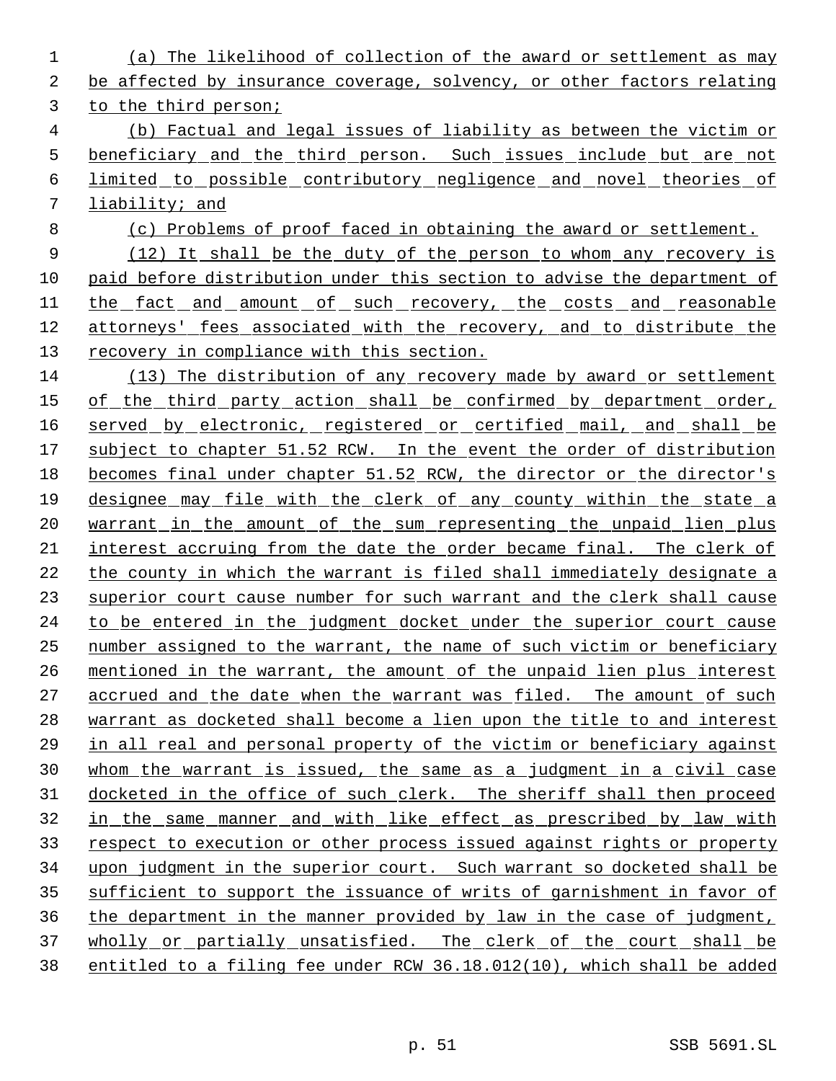(a) The likelihood of collection of the award or settlement as may be affected by insurance coverage, solvency, or other factors relating to the third person; (b) Factual and legal issues of liability as between the victim or 5 beneficiary and the third person. Such issues include but are not limited to possible contributory negligence and novel theories of liability; and (c) Problems of proof faced in obtaining the award or settlement. 9 (12) It shall be the duty of the person to whom any recovery is paid before distribution under this section to advise the department of 11 the fact and amount of such recovery, the costs and reasonable 12 attorneys' fees associated with the recovery, and to distribute the recovery in compliance with this section. (13) The distribution of any recovery made by award or settlement 15 of the third party action shall be confirmed by department order, 16 served by electronic, registered or certified mail, and shall be subject to chapter 51.52 RCW. In the event the order of distribution becomes final under chapter 51.52 RCW, the director or the director's designee may file with the clerk of any county within the state a 20 warrant in the amount of the sum representing the unpaid lien plus interest accruing from the date the order became final. The clerk of the county in which the warrant is filed shall immediately designate a superior court cause number for such warrant and the clerk shall cause to be entered in the judgment docket under the superior court cause number assigned to the warrant, the name of such victim or beneficiary mentioned in the warrant, the amount of the unpaid lien plus interest 27 accrued and the date when the warrant was filed. The amount of such warrant as docketed shall become a lien upon the title to and interest in all real and personal property of the victim or beneficiary against whom the warrant is issued, the same as a judgment in a civil case 31 docketed in the office of such clerk. The sheriff shall then proceed in the same manner and with like effect as prescribed by law with respect to execution or other process issued against rights or property upon judgment in the superior court. Such warrant so docketed shall be sufficient to support the issuance of writs of garnishment in favor of the department in the manner provided by law in the case of judgment, 37 wholly or partially unsatisfied. The clerk of the court shall be entitled to a filing fee under RCW 36.18.012(10), which shall be added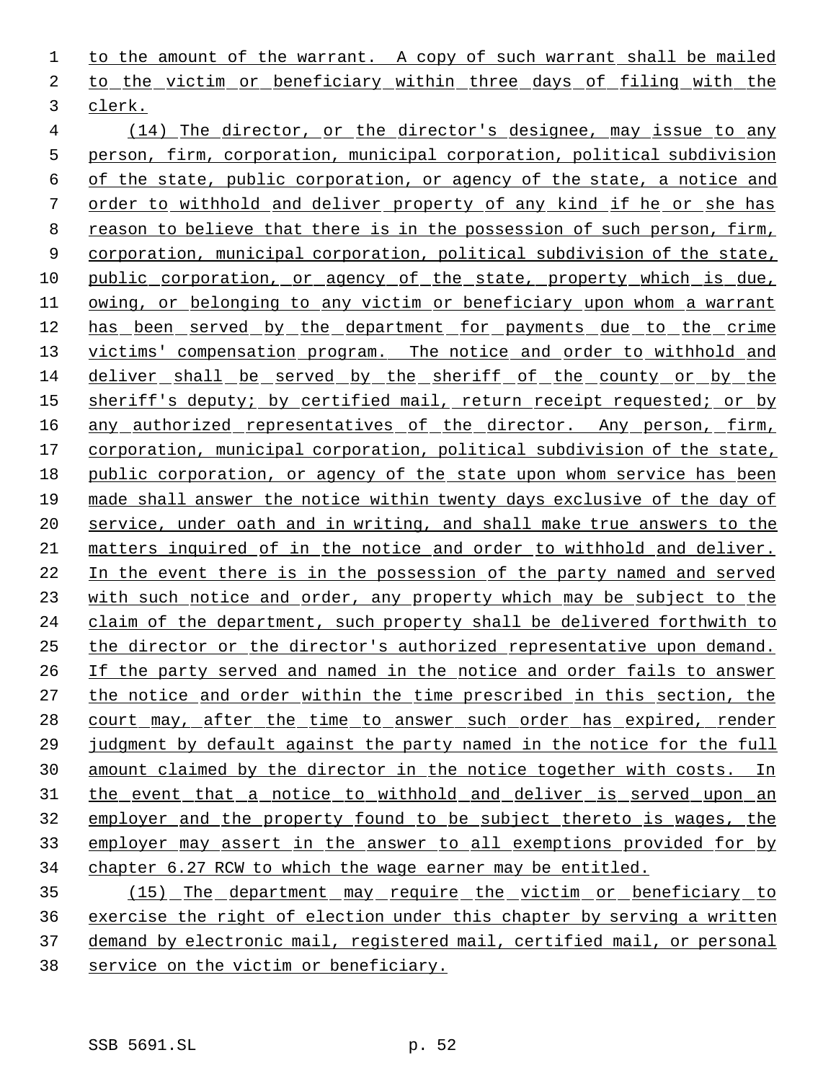1 to the amount of the warrant. A copy of such warrant shall be mailed to the victim or beneficiary within three days of filing with the clerk.

 (14) The director, or the director's designee, may issue to any person, firm, corporation, municipal corporation, political subdivision of the state, public corporation, or agency of the state, a notice and order to withhold and deliver property of any kind if he or she has reason to believe that there is in the possession of such person, firm, 9 corporation, municipal corporation, political subdivision of the state, public corporation, or agency of the state, property which is due, 11 owing, or belonging to any victim or beneficiary upon whom a warrant has been served by the department for payments due to the crime 13 victims' compensation program. The notice and order to withhold and deliver shall be served by the sheriff of the county or by the sheriff's deputy; by certified mail, return receipt requested; or by 16 any authorized representatives of the director. Any person, firm, corporation, municipal corporation, political subdivision of the state, public corporation, or agency of the state upon whom service has been made shall answer the notice within twenty days exclusive of the day of service, under oath and in writing, and shall make true answers to the matters inquired of in the notice and order to withhold and deliver. In the event there is in the possession of the party named and served with such notice and order, any property which may be subject to the claim of the department, such property shall be delivered forthwith to the director or the director's authorized representative upon demand. If the party served and named in the notice and order fails to answer the notice and order within the time prescribed in this section, the 28 court may, after the time to answer such order has expired, render judgment by default against the party named in the notice for the full amount claimed by the director in the notice together with costs. In the event that a notice to withhold and deliver is served upon an employer and the property found to be subject thereto is wages, the employer may assert in the answer to all exemptions provided for by chapter 6.27 RCW to which the wage earner may be entitled.

 (15) The department may require the victim or beneficiary to exercise the right of election under this chapter by serving a written demand by electronic mail, registered mail, certified mail, or personal service on the victim or beneficiary.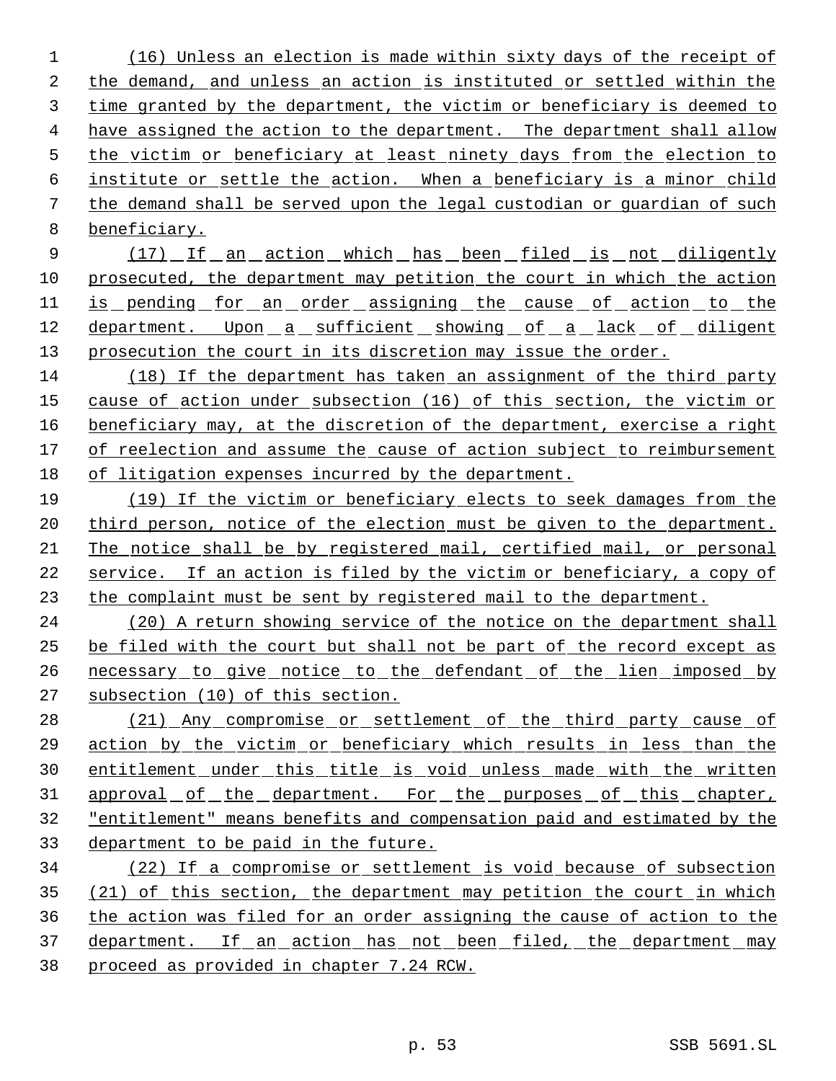(16) Unless an election is made within sixty days of the receipt of the demand, and unless an action is instituted or settled within the time granted by the department, the victim or beneficiary is deemed to have assigned the action to the department. The department shall allow the victim or beneficiary at least ninety days from the election to institute or settle the action. When a beneficiary is a minor child the demand shall be served upon the legal custodian or guardian of such beneficiary.

9 (17) If an action which has been filed is not diligently prosecuted, the department may petition the court in which the action 11 is pending for an order assigning the cause of action to the 12 department. Upon a sufficient showing of a lack of diligent 13 prosecution the court in its discretion may issue the order.

 (18) If the department has taken an assignment of the third party cause of action under subsection (16) of this section, the victim or 16 beneficiary may, at the discretion of the department, exercise a right of reelection and assume the cause of action subject to reimbursement of litigation expenses incurred by the department.

 (19) If the victim or beneficiary elects to seek damages from the 20 third person, notice of the election must be given to the department. The notice shall be by registered mail, certified mail, or personal 22 service. If an action is filed by the victim or beneficiary, a copy of the complaint must be sent by registered mail to the department.

 (20) A return showing service of the notice on the department shall be filed with the court but shall not be part of the record except as 26 necessary to give notice to the defendant of the lien imposed by subsection (10) of this section.

28 (21) Any compromise or settlement of the third party cause of action by the victim or beneficiary which results in less than the entitlement under this title is void unless made with the written 31 approval of the department. For the purposes of this chapter, "entitlement" means benefits and compensation paid and estimated by the department to be paid in the future.

 (22) If a compromise or settlement is void because of subsection 35 (21) of this section, the department may petition the court in which the action was filed for an order assigning the cause of action to the 37 department. If an action has not been filed, the department may proceed as provided in chapter 7.24 RCW.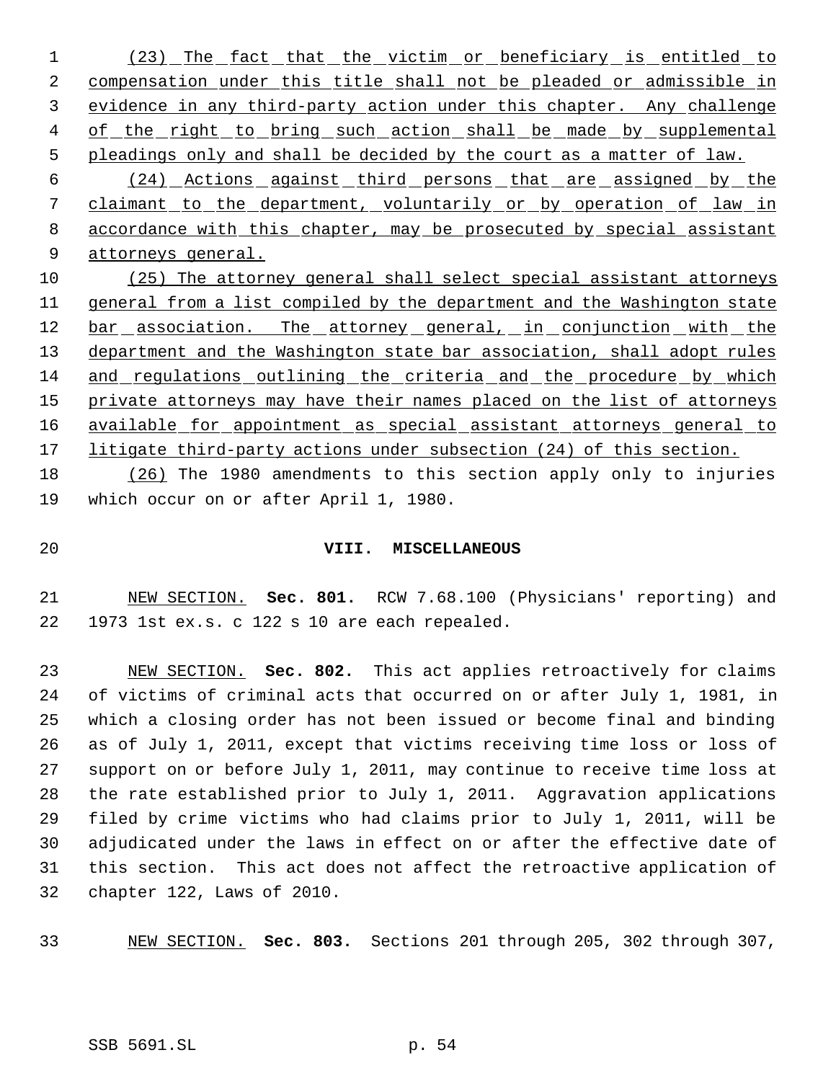1 (23) The fact that the victim or beneficiary is entitled to 2 compensation under this title shall not be pleaded or admissible in evidence in any third-party action under this chapter. Any challenge 4 of the right to bring such action shall be made by supplemental pleadings only and shall be decided by the court as a matter of law.

 (24) Actions against third persons that are assigned by the 7 claimant to the department, voluntarily or by operation of law in accordance with this chapter, may be prosecuted by special assistant 9 attorneys general.

 (25) The attorney general shall select special assistant attorneys general from a list compiled by the department and the Washington state 12 bar association. The attorney general, in conjunction with the 13 department and the Washington state bar association, shall adopt rules and regulations outlining the criteria and the procedure by which 15 private attorneys may have their names placed on the list of attorneys available for appointment as special assistant attorneys general to 17 litigate third-party actions under subsection (24) of this section.

 (26) The 1980 amendments to this section apply only to injuries which occur on or after April 1, 1980.

### **VIII. MISCELLANEOUS**

 NEW SECTION. **Sec. 801.** RCW 7.68.100 (Physicians' reporting) and 1973 1st ex.s. c 122 s 10 are each repealed.

 NEW SECTION. **Sec. 802.** This act applies retroactively for claims of victims of criminal acts that occurred on or after July 1, 1981, in which a closing order has not been issued or become final and binding as of July 1, 2011, except that victims receiving time loss or loss of support on or before July 1, 2011, may continue to receive time loss at the rate established prior to July 1, 2011. Aggravation applications filed by crime victims who had claims prior to July 1, 2011, will be adjudicated under the laws in effect on or after the effective date of this section. This act does not affect the retroactive application of chapter 122, Laws of 2010.

NEW SECTION. **Sec. 803.** Sections 201 through 205, 302 through 307,